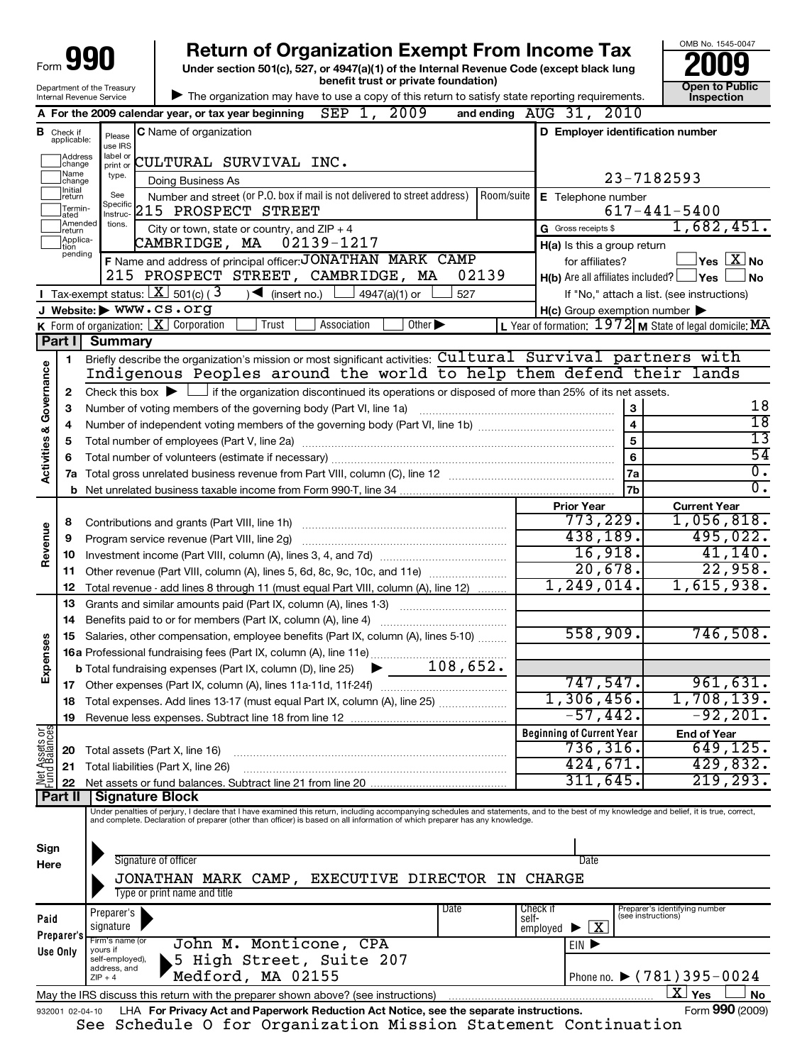| Form                               |                                       |                                                                             | <b>Return of Organization Exempt From Income Tax</b><br>Under section 501(c), 527, or 4947(a)(1) of the Internal Revenue Code (except black lung                                                                                                                                                                                                   |                                                                                                  | OMB No. 1545-0047                                                                 |
|------------------------------------|---------------------------------------|-----------------------------------------------------------------------------|----------------------------------------------------------------------------------------------------------------------------------------------------------------------------------------------------------------------------------------------------------------------------------------------------------------------------------------------------|--------------------------------------------------------------------------------------------------|-----------------------------------------------------------------------------------|
| Department of the Treasury         |                                       |                                                                             | benefit trust or private foundation)                                                                                                                                                                                                                                                                                                               |                                                                                                  | <b>Open to Public</b>                                                             |
| Internal Revenue Service           |                                       |                                                                             | The organization may have to use a copy of this return to satisfy state reporting requirements.<br>SEP 1, 2009<br>A For the 2009 calendar year, or tax year beginning                                                                                                                                                                              | and ending AUG 31, 2010                                                                          | <b>Inspection</b>                                                                 |
|                                    | <b>B</b> Check if<br>applicable:      | Please<br>use IRS                                                           | C Name of organization                                                                                                                                                                                                                                                                                                                             | D Employer identification number                                                                 |                                                                                   |
|                                    | Address<br>change<br>Name<br>Jchange  | label or<br>print or<br>type.                                               | CULTURAL SURVIVAL INC.<br>Doing Business As                                                                                                                                                                                                                                                                                                        |                                                                                                  | 23-7182593                                                                        |
|                                    | Initial<br>]return<br>Termin-<br>ated | See<br>Specific<br>Instruc-                                                 | Number and street (or P.O. box if mail is not delivered to street address)<br>Room/suite<br>215 PROSPECT STREET                                                                                                                                                                                                                                    | E Telephone number                                                                               | $617 - 441 - 5400$                                                                |
|                                    | <b>JAmended</b><br>Ireturn            | tions.                                                                      | City or town, state or country, and $ZIP + 4$                                                                                                                                                                                                                                                                                                      | G Gross receipts \$                                                                              | 1,682,451.                                                                        |
|                                    | Applica-<br>tion<br>pending           |                                                                             | 02139-1217<br>CAMBRIDGE, MA<br>F Name and address of principal officer: JONATHAN MARK CAMP<br>215 PROSPECT STREET, CAMBRIDGE, MA<br>02139                                                                                                                                                                                                          | H(a) Is this a group return<br>for affiliates?<br>$H(b)$ Are all affiliates included? $\Box$ Yes | $\overline{\ }$ Yes $\overline{\rm X}$ No<br><b>No</b>                            |
|                                    |                                       |                                                                             | <b>I</b> Tax-exempt status: $X \sim 501(c)$ (3)<br>$\sum$ (insert no.)<br>4947(a)(1) or<br>527                                                                                                                                                                                                                                                     |                                                                                                  | If "No," attach a list. (see instructions)                                        |
|                                    |                                       |                                                                             | J Website: WWW.CS.Org                                                                                                                                                                                                                                                                                                                              | $H(c)$ Group exemption number $\blacktriangleright$                                              |                                                                                   |
|                                    | Part I                                | <b>Summary</b>                                                              | <b>K</b> Form of organization: $X$ Corporation<br>Trust<br>Other $\blacktriangleright$<br>Association                                                                                                                                                                                                                                              |                                                                                                  | L Year of formation: $1972$ M State of legal domicile: MA                         |
| <b>Activities &amp; Governance</b> | 1.                                    |                                                                             | Briefly describe the organization's mission or most significant activities: Cultural Survival partners with<br>Indigenous Peoples around the world to help them defend their lands                                                                                                                                                                 |                                                                                                  |                                                                                   |
|                                    | $\mathbf{2}$<br>3                     |                                                                             | Check this box $\blacktriangleright$ $\Box$ if the organization discontinued its operations or disposed of more than 25% of its net assets.<br>Number of voting members of the governing body (Part VI, line 1a)                                                                                                                                   | 3                                                                                                | 18                                                                                |
|                                    | 4                                     |                                                                             |                                                                                                                                                                                                                                                                                                                                                    | $\overline{\mathbf{4}}$                                                                          | $\overline{18}$                                                                   |
|                                    | 5                                     |                                                                             |                                                                                                                                                                                                                                                                                                                                                    | 5                                                                                                | 13                                                                                |
|                                    | 6                                     |                                                                             |                                                                                                                                                                                                                                                                                                                                                    | 6                                                                                                | $\overline{54}$                                                                   |
|                                    | 7a                                    |                                                                             |                                                                                                                                                                                                                                                                                                                                                    | 7a                                                                                               | $\overline{0}$ .                                                                  |
|                                    | b                                     |                                                                             | 7 <sub>b</sub>                                                                                                                                                                                                                                                                                                                                     | $\overline{0}$ .                                                                                 |                                                                                   |
| Revenue                            | 8<br>9<br>10<br>11<br>12              |                                                                             | Contributions and grants (Part VIII, line 1h)<br>Program service revenue (Part VIII, line 2g)<br>Other revenue (Part VIII, column (A), lines 5, 6d, 8c, 9c, 10c, and 11e)<br>Total revenue - add lines 8 through 11 (must equal Part VIII, column (A), line 12)                                                                                    | <b>Prior Year</b><br>773,229.<br>438,189.<br>16,918.<br>20,678.<br>1, 249, 014.                  | <b>Current Year</b><br>1,056,818.<br>495,022.<br>41,140.<br>22,958.<br>1,615,938. |
|                                    | 13                                    |                                                                             | Grants and similar amounts paid (Part IX, column (A), lines 1-3)                                                                                                                                                                                                                                                                                   |                                                                                                  |                                                                                   |
|                                    | 14                                    |                                                                             | Benefits paid to or for members (Part IX, column (A), line 4)                                                                                                                                                                                                                                                                                      |                                                                                                  |                                                                                   |
| ses<br>Expens                      | 15                                    |                                                                             | Salaries, other compensation, employee benefits (Part IX, column (A), lines 5-10)                                                                                                                                                                                                                                                                  | 558,909.                                                                                         | 746,508.                                                                          |
|                                    | 17                                    |                                                                             |                                                                                                                                                                                                                                                                                                                                                    | 747,547.                                                                                         | 961,631.                                                                          |
|                                    | 18                                    |                                                                             | Total expenses. Add lines 13-17 (must equal Part IX, column (A), line 25)                                                                                                                                                                                                                                                                          | 1,306,456.                                                                                       | 1,708,139.                                                                        |
|                                    | 19                                    |                                                                             |                                                                                                                                                                                                                                                                                                                                                    | $-57,442.$                                                                                       | $-92,201$ .                                                                       |
|                                    |                                       |                                                                             |                                                                                                                                                                                                                                                                                                                                                    | <b>Beginning of Current Year</b>                                                                 | <b>End of Year</b>                                                                |
| Net Assets or<br>Fund Balances     | 20                                    |                                                                             | Total assets (Part X, line 16)                                                                                                                                                                                                                                                                                                                     | 736, 316.                                                                                        | 649, 125.                                                                         |
|                                    | 21                                    |                                                                             | Total liabilities (Part X, line 26)                                                                                                                                                                                                                                                                                                                | 424,671.                                                                                         | 429,832.                                                                          |
|                                    | 22                                    |                                                                             |                                                                                                                                                                                                                                                                                                                                                    | 311, 645.                                                                                        | 219, 293.                                                                         |
|                                    | Part II                               |                                                                             | <b>Signature Block</b><br>Under penalties of perjury, I declare that I have examined this return, including accompanying schedules and statements, and to the best of my knowledge and belief, it is true, correct,<br>and complete. Declaration of preparer (other than officer) is based on all information of which preparer has any knowledge. |                                                                                                  |                                                                                   |
| Sign<br>Here                       |                                       |                                                                             | Signature of officer<br>JONATHAN MARK CAMP, EXECUTIVE DIRECTOR IN CHARGE<br>Type or print name and title                                                                                                                                                                                                                                           | Date                                                                                             |                                                                                   |
| Paid                               | Preparer's                            | Preparer's<br>signature                                                     | Date                                                                                                                                                                                                                                                                                                                                               | Check if<br>self-<br>$\overline{\mathbf{x}}$<br>employed $\blacktriangleright$                   | Preparer's identifying number<br>(see instructions)                               |
| Use Only                           |                                       | Firm's name (or<br>yours if<br>self-employed),<br>address, and<br>$ZIP + 4$ | John M. Monticone, CPA<br>5 High Street, Suite 207<br>Medford, MA 02155                                                                                                                                                                                                                                                                            | EIN D                                                                                            | Phone no. $\triangleright$ (781) 395-0024                                         |
|                                    |                                       |                                                                             | May the IRS discuss this return with the preparer shown above? (see instructions)                                                                                                                                                                                                                                                                  |                                                                                                  | $\overline{\text{X}}$ Yes<br>No                                                   |
|                                    | 932001 02-04-10                       |                                                                             | LHA For Privacy Act and Paperwork Reduction Act Notice, see the separate instructions.                                                                                                                                                                                                                                                             |                                                                                                  | Form 990 (2009)                                                                   |

OMB No. 1545-0047

See Schedule O for Organization Mission Statement Continuation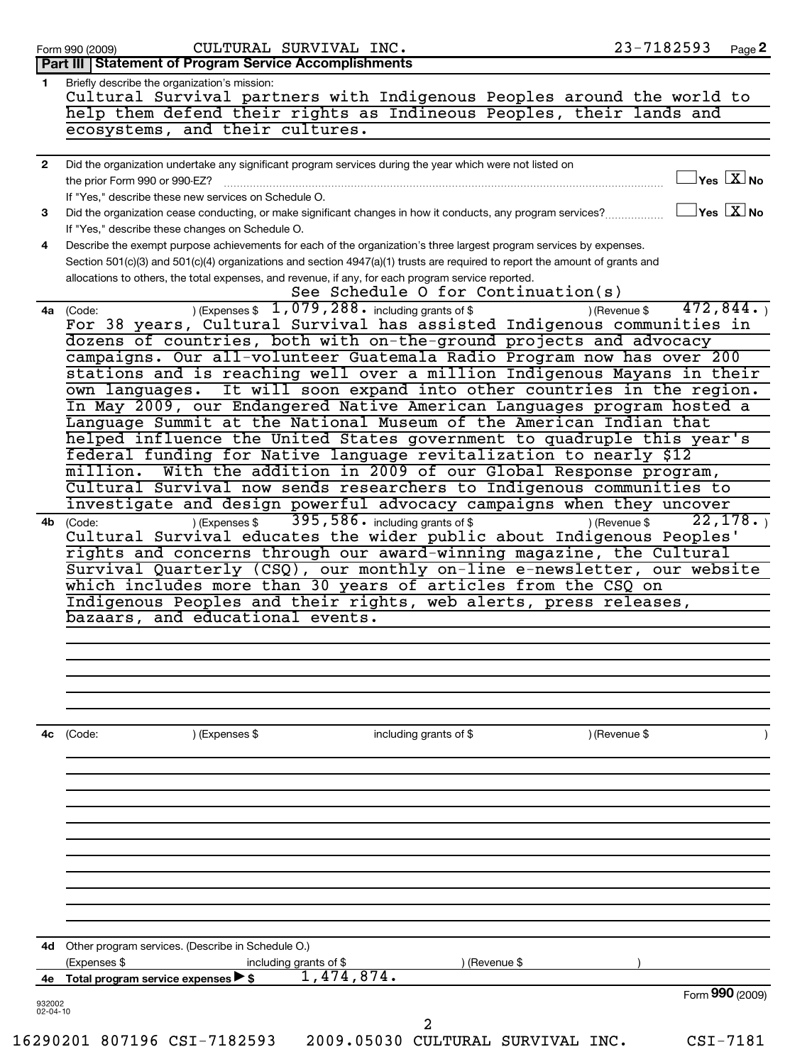|                | CULTURAL SURVIVAL INC.<br>Form 990 (2009)                                                                                   | 23-7182593                                                | Page 2 |
|----------------|-----------------------------------------------------------------------------------------------------------------------------|-----------------------------------------------------------|--------|
|                | Part III   Statement of Program Service Accomplishments                                                                     |                                                           |        |
| 1.             | Briefly describe the organization's mission:                                                                                |                                                           |        |
|                | Cultural Survival partners with Indigenous Peoples around the world to                                                      |                                                           |        |
|                | help them defend their rights as Indineous Peoples, their lands and                                                         |                                                           |        |
|                | ecosystems, and their cultures.                                                                                             |                                                           |        |
|                |                                                                                                                             |                                                           |        |
| $\mathbf{2}$   | Did the organization undertake any significant program services during the year which were not listed on                    |                                                           |        |
|                | the prior Form 990 or 990-EZ?                                                                                               | $\mathbb{I}$ Yes $\boxed{\text{X}}$ No                    |        |
|                | If "Yes," describe these new services on Schedule O.                                                                        |                                                           |        |
|                |                                                                                                                             | $\Box$ Yes $\boxed{\text{X}}$ No                          |        |
| 3              | Did the organization cease conducting, or make significant changes in how it conducts, any program services?                |                                                           |        |
|                | If "Yes," describe these changes on Schedule O.                                                                             |                                                           |        |
| 4              | Describe the exempt purpose achievements for each of the organization's three largest program services by expenses.         |                                                           |        |
|                | Section 501(c)(3) and 501(c)(4) organizations and section 4947(a)(1) trusts are required to report the amount of grants and |                                                           |        |
|                | allocations to others, the total expenses, and revenue, if any, for each program service reported.                          |                                                           |        |
|                |                                                                                                                             | See Schedule O for Continuation(s)<br>472,844.            |        |
|                | $(1, 079, 288)$ including grants of \$<br>4a (Code:                                                                         | ) (Revenue \$                                             |        |
|                | For 38 years, Cultural Survival has assisted Indigenous communities in                                                      |                                                           |        |
|                | dozens of countries, both with on-the-ground projects and advocacy                                                          |                                                           |        |
|                | campaigns. Our all-volunteer Guatemala Radio Program now has over 200                                                       |                                                           |        |
|                | stations and is reaching well over a million Indigenous Mayans in their                                                     |                                                           |        |
|                | own languages. It will soon expand into other countries in the region.                                                      |                                                           |        |
|                | In May 2009, our Endangered Native American Languages program hosted a                                                      |                                                           |        |
|                | Language Summit at the National Museum of the American Indian that                                                          |                                                           |        |
|                | helped influence the United States government to quadruple this year's                                                      |                                                           |        |
|                | federal funding for Native language revitalization to nearly \$12                                                           |                                                           |        |
|                | $\overline{{\tt millin.}}$                                                                                                  | With the addition in 2009 of our Global Response program, |        |
|                | Cultural Survival now sends researchers to Indigenous communities to                                                        |                                                           |        |
|                | investigate and design powerful advocacy campaigns when they uncover                                                        |                                                           |        |
|                | 395, 586. including grants of \$<br>) (Expenses \$<br>4b (Code:                                                             | 22,178.<br>) (Revenue \$                                  |        |
|                | Cultural Survival educates the wider public about Indigenous Peoples'                                                       |                                                           |        |
|                | rights and concerns through our award-winning magazine, the Cultural                                                        |                                                           |        |
|                | Survival Quarterly (CSQ), our monthly on-line e-newsletter, our website                                                     |                                                           |        |
|                | which includes more than 30 years of articles from the CSQ on                                                               |                                                           |        |
|                | Indigenous Peoples and their rights, web alerts, press releases,                                                            |                                                           |        |
|                | bazaars, and educational events.                                                                                            |                                                           |        |
|                |                                                                                                                             |                                                           |        |
|                |                                                                                                                             |                                                           |        |
|                |                                                                                                                             |                                                           |        |
|                |                                                                                                                             |                                                           |        |
|                |                                                                                                                             |                                                           |        |
| 4с             | (Code:<br>) (Expenses \$<br>including grants of \$                                                                          | ) (Revenue \$                                             |        |
|                |                                                                                                                             |                                                           |        |
|                |                                                                                                                             |                                                           |        |
|                |                                                                                                                             |                                                           |        |
|                |                                                                                                                             |                                                           |        |
|                |                                                                                                                             |                                                           |        |
|                |                                                                                                                             |                                                           |        |
|                |                                                                                                                             |                                                           |        |
|                |                                                                                                                             |                                                           |        |
| 4d             | Other program services. (Describe in Schedule O.)                                                                           |                                                           |        |
| 4е             | (Expenses \$<br>including grants of $$$<br>1,474,874.<br>Total program service expenses $\triangleright$ \$                 | (Revenue \$                                               |        |
| 932002         |                                                                                                                             | Form 990 (2009)                                           |        |
| $02 - 04 - 10$ |                                                                                                                             |                                                           |        |
|                | 16290201 807196 CSI-7182593                                                                                                 | 2009.05030 CULTURAL SURVIVAL INC.<br>$CSI-7181$           |        |
|                |                                                                                                                             |                                                           |        |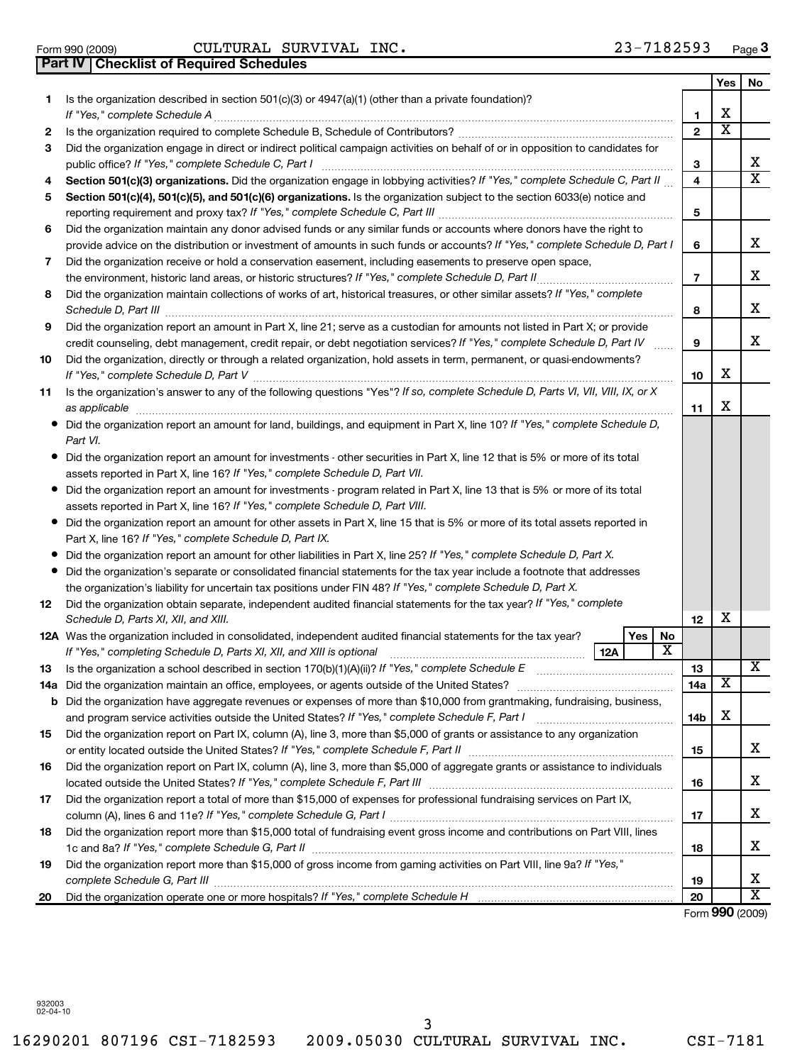16290201 807196 CSI-7182593 2009.05030 CULTURAL SURVIVAL INC. CSI-7181 3

| Form 990 (2009)                                  | CULTURAL SURVIVAL INC. |  | 23-7182593 | Page |
|--------------------------------------------------|------------------------|--|------------|------|
| <b>Part IV   Checklist of Required Schedules</b> |                        |  |            |      |

|     | Part IV   Checklist of Required Schedules                                                                                               |                         |                         |                         |
|-----|-----------------------------------------------------------------------------------------------------------------------------------------|-------------------------|-------------------------|-------------------------|
|     |                                                                                                                                         |                         | Yes                     | No                      |
| 1.  | Is the organization described in section 501(c)(3) or $4947(a)(1)$ (other than a private foundation)?                                   |                         |                         |                         |
|     | If "Yes," complete Schedule A                                                                                                           | 1                       | х                       |                         |
| 2   |                                                                                                                                         | $\overline{2}$          | $\overline{\textbf{x}}$ |                         |
| 3   | Did the organization engage in direct or indirect political campaign activities on behalf of or in opposition to candidates for         |                         |                         |                         |
|     | public office? If "Yes," complete Schedule C, Part I                                                                                    | 3                       |                         | x                       |
| 4   | Section 501(c)(3) organizations. Did the organization engage in lobbying activities? If "Yes," complete Schedule C, Part II             | $\overline{\mathbf{4}}$ |                         | $\overline{\mathbf{x}}$ |
| 5   | Section 501(c)(4), 501(c)(5), and 501(c)(6) organizations. Is the organization subject to the section 6033(e) notice and                |                         |                         |                         |
|     | reporting requirement and proxy tax? If "Yes," complete Schedule C, Part III [11] [11] [11] [11] [11] [11] [1                           | 5                       |                         |                         |
| 6   | Did the organization maintain any donor advised funds or any similar funds or accounts where donors have the right to                   |                         |                         |                         |
|     | provide advice on the distribution or investment of amounts in such funds or accounts? If "Yes," complete Schedule D, Part I            | 6                       |                         | x                       |
| 7   | Did the organization receive or hold a conservation easement, including easements to preserve open space,                               |                         |                         |                         |
|     | the environment, historic land areas, or historic structures? If "Yes," complete Schedule D, Part II                                    | $\overline{7}$          |                         | x                       |
| 8   | Did the organization maintain collections of works of art, historical treasures, or other similar assets? If "Yes," complete            |                         |                         |                         |
|     |                                                                                                                                         | 8                       |                         | x                       |
| 9   | Did the organization report an amount in Part X, line 21; serve as a custodian for amounts not listed in Part X; or provide             |                         |                         |                         |
|     | credit counseling, debt management, credit repair, or debt negotiation services? If "Yes," complete Schedule D, Part IV                 | 9                       |                         | x                       |
| 10  | Did the organization, directly or through a related organization, hold assets in term, permanent, or quasi-endowments?                  |                         |                         |                         |
|     |                                                                                                                                         | 10                      | X                       |                         |
| 11  | Is the organization's answer to any of the following questions "Yes"? If so, complete Schedule D, Parts VI, VII, VIII, IX, or X         |                         |                         |                         |
|     | as applicable                                                                                                                           | 11                      | Х                       |                         |
|     | Did the organization report an amount for land, buildings, and equipment in Part X, line 10? If "Yes," complete Schedule D,<br>Part VI. |                         |                         |                         |
|     | Did the organization report an amount for investments - other securities in Part X, line 12 that is 5% or more of its total             |                         |                         |                         |
|     | assets reported in Part X, line 16? If "Yes," complete Schedule D, Part VII.                                                            |                         |                         |                         |
|     | Did the organization report an amount for investments - program related in Part X, line 13 that is 5% or more of its total              |                         |                         |                         |
|     | assets reported in Part X, line 16? If "Yes," complete Schedule D, Part VIII.                                                           |                         |                         |                         |
|     | Did the organization report an amount for other assets in Part X, line 15 that is 5% or more of its total assets reported in            |                         |                         |                         |
|     | Part X, line 16? If "Yes," complete Schedule D, Part IX.                                                                                |                         |                         |                         |
|     | Did the organization report an amount for other liabilities in Part X, line 25? If "Yes," complete Schedule D, Part X.                  |                         |                         |                         |
|     | Did the organization's separate or consolidated financial statements for the tax year include a footnote that addresses                 |                         |                         |                         |
|     | the organization's liability for uncertain tax positions under FIN 48? If "Yes," complete Schedule D, Part X.                           |                         |                         |                         |
| 12  | Did the organization obtain separate, independent audited financial statements for the tax year? If "Yes," complete                     |                         |                         |                         |
|     | Schedule D, Parts XI, XII, and XIII.                                                                                                    | 12                      | X                       |                         |
|     | 12A Was the organization included in consolidated, independent audited financial statements for the tax year?<br>Yes<br>No              |                         |                         |                         |
|     | $\overline{\texttt{x}}$<br><b>12A</b>                                                                                                   |                         |                         |                         |
| 13  | Is the organization a school described in section 170(b)(1)(A)(ii)? If "Yes," complete Schedule E                                       | 13                      |                         | ▵                       |
| 14a | Did the organization maintain an office, employees, or agents outside of the United States?                                             | 14a                     | $\overline{\textbf{x}}$ |                         |
|     | <b>b</b> Did the organization have aggregate revenues or expenses of more than \$10,000 from grantmaking, fundraising, business,        |                         |                         |                         |
|     | and program service activities outside the United States? If "Yes," complete Schedule F, Part I manufactured in                         | 14 <sub>b</sub>         | X                       |                         |
| 15  | Did the organization report on Part IX, column (A), line 3, more than \$5,000 of grants or assistance to any organization               |                         |                         |                         |
|     |                                                                                                                                         | 15                      |                         | x                       |
| 16  | Did the organization report on Part IX, column (A), line 3, more than \$5,000 of aggregate grants or assistance to individuals          |                         |                         |                         |
|     |                                                                                                                                         | 16                      |                         | x                       |
| 17  | Did the organization report a total of more than \$15,000 of expenses for professional fundraising services on Part IX,                 |                         |                         |                         |
|     |                                                                                                                                         | 17                      |                         | х                       |
| 18  | Did the organization report more than \$15,000 total of fundraising event gross income and contributions on Part VIII, lines            |                         |                         |                         |
|     |                                                                                                                                         | 18                      |                         | x                       |
| 19  | Did the organization report more than \$15,000 of gross income from gaming activities on Part VIII, line 9a? If "Yes,"                  |                         |                         |                         |
|     | complete Schedule G, Part III                                                                                                           | 19                      |                         | X                       |
| 20  |                                                                                                                                         | 20                      |                         | $\overline{\text{X}}$   |

Form (2009) **990**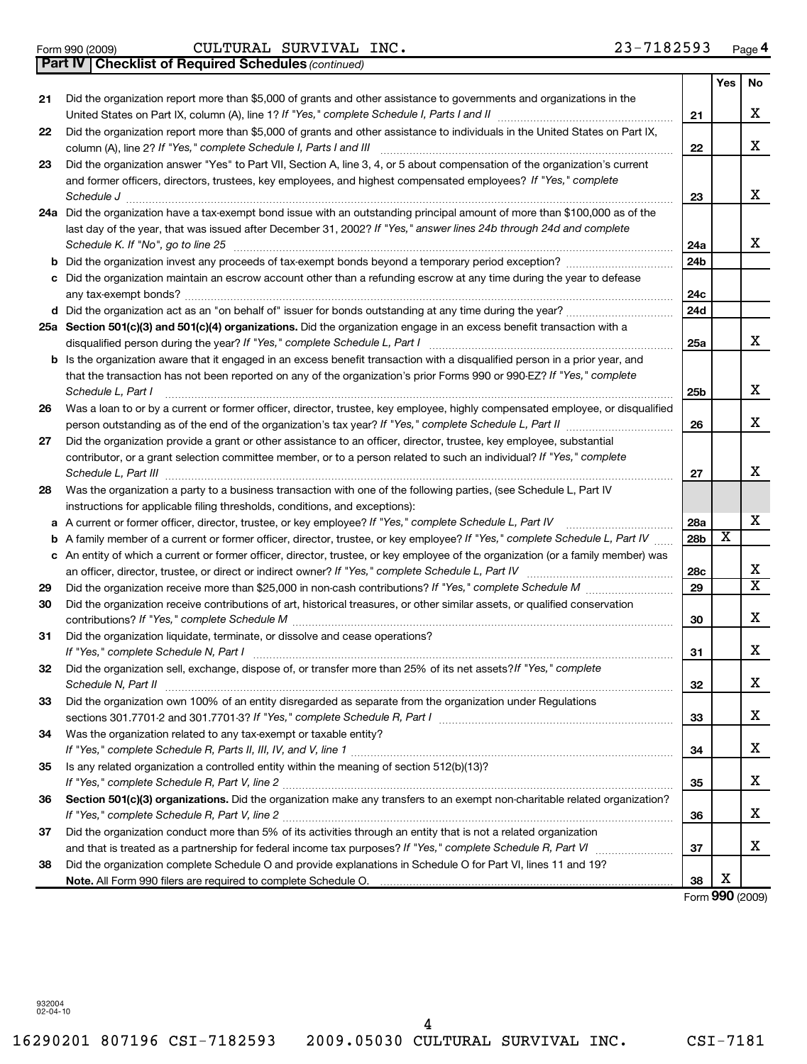Form 990 (2009) CULTURAL SURVIVAL INC. 23-7 $18$ 2593 Page

*(continued)* **Part IV Checklist of Required Schedules**

|        |                                                                                                                                                                                                                                |     | Yes                     | No |
|--------|--------------------------------------------------------------------------------------------------------------------------------------------------------------------------------------------------------------------------------|-----|-------------------------|----|
| 21     | Did the organization report more than \$5,000 of grants and other assistance to governments and organizations in the                                                                                                           |     |                         |    |
|        |                                                                                                                                                                                                                                | 21  |                         | X  |
| 22     | Did the organization report more than \$5,000 of grants and other assistance to individuals in the United States on Part IX,<br>column (A), line 2? If "Yes," complete Schedule I, Parts I and III                             | 22  |                         | X  |
| 23     | Did the organization answer "Yes" to Part VII, Section A, line 3, 4, or 5 about compensation of the organization's current                                                                                                     |     |                         |    |
|        | and former officers, directors, trustees, key employees, and highest compensated employees? If "Yes," complete                                                                                                                 |     |                         |    |
|        | Schedule J <b>Execute Schedule J Execute Schedule J</b>                                                                                                                                                                        | 23  |                         | х  |
|        | 24a Did the organization have a tax-exempt bond issue with an outstanding principal amount of more than \$100,000 as of the                                                                                                    |     |                         |    |
|        | last day of the year, that was issued after December 31, 2002? If "Yes," answer lines 24b through 24d and complete                                                                                                             |     |                         |    |
|        | Schedule K. If "No", go to line 25                                                                                                                                                                                             | 24a |                         | x  |
| b      |                                                                                                                                                                                                                                | 24b |                         |    |
|        | Did the organization maintain an escrow account other than a refunding escrow at any time during the year to defease                                                                                                           |     |                         |    |
|        |                                                                                                                                                                                                                                | 24c |                         |    |
|        |                                                                                                                                                                                                                                | 24d |                         |    |
|        | 25a Section 501(c)(3) and 501(c)(4) organizations. Did the organization engage in an excess benefit transaction with a                                                                                                         |     |                         |    |
|        |                                                                                                                                                                                                                                | 25a |                         | x  |
|        | Is the organization aware that it engaged in an excess benefit transaction with a disqualified person in a prior year, and                                                                                                     |     |                         |    |
|        | that the transaction has not been reported on any of the organization's prior Forms 990 or 990-EZ? If "Yes," complete                                                                                                          |     |                         |    |
|        | Schedule L, Part I                                                                                                                                                                                                             | 25b |                         | х  |
| 26     | Was a loan to or by a current or former officer, director, trustee, key employee, highly compensated employee, or disqualified                                                                                                 |     |                         | х  |
|        |                                                                                                                                                                                                                                | 26  |                         |    |
| 27     | Did the organization provide a grant or other assistance to an officer, director, trustee, key employee, substantial                                                                                                           |     |                         |    |
|        | contributor, or a grant selection committee member, or to a person related to such an individual? If "Yes," complete                                                                                                           |     |                         | х  |
| 28     | Was the organization a party to a business transaction with one of the following parties, (see Schedule L, Part IV                                                                                                             | 27  |                         |    |
|        | instructions for applicable filing thresholds, conditions, and exceptions):                                                                                                                                                    |     |                         |    |
|        | A current or former officer, director, trustee, or key employee? If "Yes," complete Schedule L, Part IV                                                                                                                        | 28a |                         | х  |
| а<br>b | A family member of a current or former officer, director, trustee, or key employee? If "Yes," complete Schedule L, Part IV                                                                                                     | 28b | $\overline{\textbf{x}}$ |    |
|        | c An entity of which a current or former officer, director, trustee, or key employee of the organization (or a family member) was                                                                                              |     |                         |    |
|        | an officer, director, trustee, or direct or indirect owner? If "Yes," complete Schedule L, Part IV                                                                                                                             | 28c |                         | х  |
| 29     |                                                                                                                                                                                                                                | 29  |                         | x  |
| 30     | Did the organization receive contributions of art, historical treasures, or other similar assets, or qualified conservation                                                                                                    |     |                         |    |
|        |                                                                                                                                                                                                                                | 30  |                         | x  |
| 31     | Did the organization liquidate, terminate, or dissolve and cease operations?                                                                                                                                                   |     |                         |    |
|        | If "Yes," complete Schedule N, Part I                                                                                                                                                                                          | 31  |                         | х  |
| 32     | Did the organization sell, exchange, dispose of, or transfer more than 25% of its net assets? If "Yes," complete                                                                                                               |     |                         |    |
|        | Schedule N, Part II                                                                                                                                                                                                            | 32  |                         | Χ  |
| 33     | Did the organization own 100% of an entity disregarded as separate from the organization under Regulations                                                                                                                     |     |                         |    |
|        |                                                                                                                                                                                                                                | 33  |                         | х  |
| 34     | Was the organization related to any tax-exempt or taxable entity?                                                                                                                                                              |     |                         |    |
|        |                                                                                                                                                                                                                                | 34  |                         | х  |
| 35     | Is any related organization a controlled entity within the meaning of section 512(b)(13)?                                                                                                                                      |     |                         |    |
|        |                                                                                                                                                                                                                                | 35  |                         | x  |
| 36     | Section 501(c)(3) organizations. Did the organization make any transfers to an exempt non-charitable related organization?                                                                                                     |     |                         |    |
|        |                                                                                                                                                                                                                                | 36  |                         | х  |
| 37     | Did the organization conduct more than 5% of its activities through an entity that is not a related organization                                                                                                               |     |                         |    |
|        |                                                                                                                                                                                                                                | 37  |                         | х  |
| 38     | Did the organization complete Schedule O and provide explanations in Schedule O for Part VI, lines 11 and 19?                                                                                                                  |     |                         |    |
|        | Note. All Form 990 filers are required to complete Schedule O. [11] [12] The Content of Schedule O. [11] The Content of Schedule O. [11] The Content of Schedule O. [11] The Content of Schedule O. [11] The Content of Schedu | 38  | X                       |    |

Form (2009) **990**

932004 02-04-10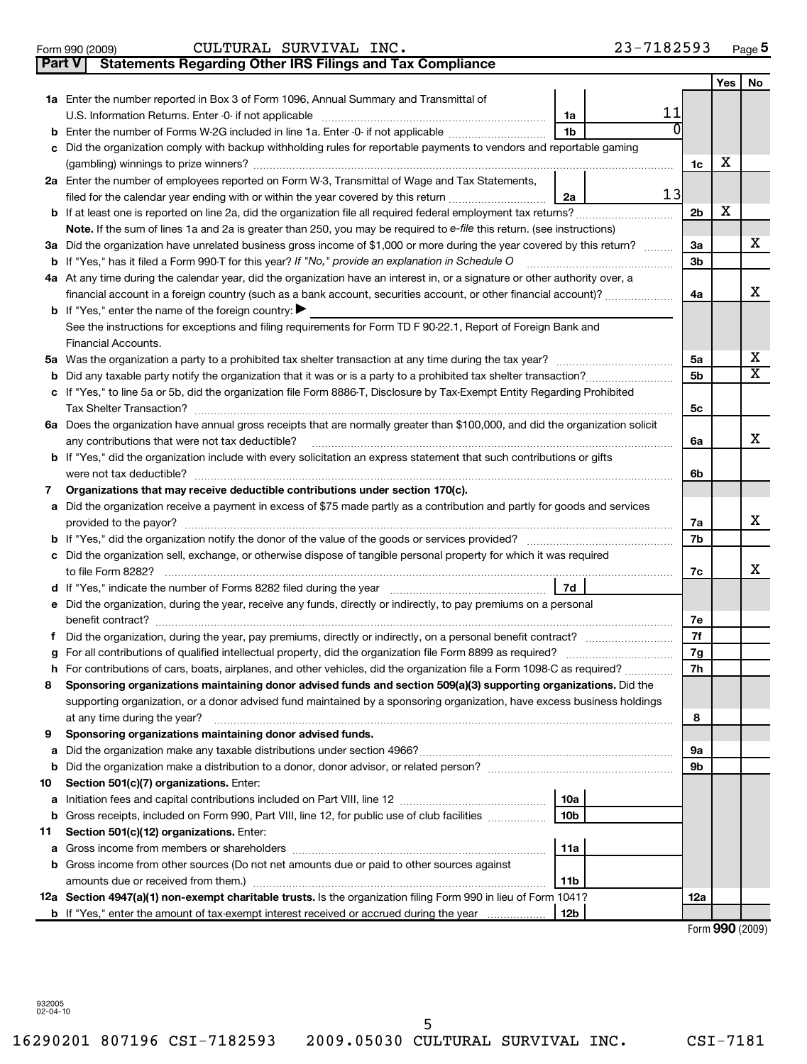16290201 807196 CSI-7182593 2009.05030 CULTURAL SURVIVAL INC. CSI-7181 5

## Form 990 (2009) CULTURAL SURVIVAL INC. 23-7 $18$ 2593 Page

**5**

| Part V | <b>Statements Regarding Other IRS Filings and Tax Compliance</b>                                                               |                |     |                         |
|--------|--------------------------------------------------------------------------------------------------------------------------------|----------------|-----|-------------------------|
|        |                                                                                                                                |                | Yes | No                      |
|        | 1a Enter the number reported in Box 3 of Form 1096, Annual Summary and Transmittal of                                          |                |     |                         |
|        | 11<br>1a                                                                                                                       |                |     |                         |
|        | <b>b</b> Enter the number of Forms W-2G included in line 1a. Enter -0- if not applicable<br>1 <sub>b</sub>                     |                |     |                         |
| с      | Did the organization comply with backup withholding rules for reportable payments to vendors and reportable gaming             |                |     |                         |
|        |                                                                                                                                | 1c             | х   |                         |
|        | 2a Enter the number of employees reported on Form W-3, Transmittal of Wage and Tax Statements,                                 |                |     |                         |
|        | 13<br>filed for the calendar year ending with or within the year covered by this return<br>2a                                  |                |     |                         |
|        | <b>b</b> If at least one is reported on line 2a, did the organization file all required federal employment tax returns?        | 2 <sub>b</sub> | х   |                         |
|        | Note. If the sum of lines 1a and 2a is greater than 250, you may be required to $e$ -file this return. (see instructions)      |                |     |                         |
|        | 3a Did the organization have unrelated business gross income of \$1,000 or more during the year covered by this return?        | За             |     | x                       |
|        | <b>b</b> If "Yes," has it filed a Form 990-T for this year? If "No," provide an explanation in Schedule O                      | 3b             |     |                         |
|        | 4a At any time during the calendar year, did the organization have an interest in, or a signature or other authority over, a   |                |     |                         |
|        | financial account in a foreign country (such as a bank account, securities account, or other financial account)?               | 4a             |     | x                       |
|        | <b>b</b> If "Yes," enter the name of the foreign country: $\blacktriangleright$                                                |                |     |                         |
|        | See the instructions for exceptions and filing requirements for Form TD F 90-22.1, Report of Foreign Bank and                  |                |     |                         |
|        | Financial Accounts.                                                                                                            |                |     |                         |
|        |                                                                                                                                | 5а             |     | х                       |
|        |                                                                                                                                | 5b             |     | $\overline{\textbf{X}}$ |
|        | c If "Yes," to line 5a or 5b, did the organization file Form 8886-T, Disclosure by Tax-Exempt Entity Regarding Prohibited      |                |     |                         |
|        |                                                                                                                                | 5c             |     |                         |
|        | 6a Does the organization have annual gross receipts that are normally greater than \$100,000, and did the organization solicit |                |     |                         |
|        | any contributions that were not tax deductible?                                                                                | 6a             |     | x                       |
|        | <b>b</b> If "Yes," did the organization include with every solicitation an express statement that such contributions or gifts  |                |     |                         |
|        |                                                                                                                                | 6b             |     |                         |
| 7      | Organizations that may receive deductible contributions under section 170(c).                                                  |                |     |                         |
|        | a Did the organization receive a payment in excess of \$75 made partly as a contribution and partly for goods and services     |                |     |                         |
|        |                                                                                                                                | 7a             |     | x                       |
|        |                                                                                                                                | 7b             |     |                         |
|        | c Did the organization sell, exchange, or otherwise dispose of tangible personal property for which it was required            |                |     | x                       |
|        | 7d                                                                                                                             | 7c             |     |                         |
|        | e Did the organization, during the year, receive any funds, directly or indirectly, to pay premiums on a personal              |                |     |                         |
|        |                                                                                                                                | 7е             |     |                         |
|        |                                                                                                                                | 7f             |     |                         |
|        |                                                                                                                                | 7g             |     |                         |
|        | h For contributions of cars, boats, airplanes, and other vehicles, did the organization file a Form 1098-C as required?        | 7h             |     |                         |
| 8      | Sponsoring organizations maintaining donor advised funds and section 509(a)(3) supporting organizations. Did the               |                |     |                         |
|        | supporting organization, or a donor advised fund maintained by a sponsoring organization, have excess business holdings        |                |     |                         |
|        | at any time during the year?                                                                                                   | 8              |     |                         |
| 9      | Sponsoring organizations maintaining donor advised funds.                                                                      |                |     |                         |
| а      |                                                                                                                                | 9а             |     |                         |
| b      |                                                                                                                                | 9b             |     |                         |
| 10     | Section 501(c)(7) organizations. Enter:                                                                                        |                |     |                         |
| а      | 10a                                                                                                                            |                |     |                         |
|        | 10 <sub>b</sub><br>b Gross receipts, included on Form 990, Part VIII, line 12, for public use of club facilities               |                |     |                         |
| 11     | Section 501(c)(12) organizations. Enter:                                                                                       |                |     |                         |
| а      | 11a                                                                                                                            |                |     |                         |
|        | b Gross income from other sources (Do not net amounts due or paid to other sources against                                     |                |     |                         |
|        | 11 <sub>b</sub><br>amounts due or received from them.)                                                                         |                |     |                         |
|        | 12a Section 4947(a)(1) non-exempt charitable trusts. Is the organization filing Form 990 in lieu of Form 1041?                 | 12a            |     |                         |
|        | 12 <sub>b</sub><br><b>b</b> If "Yes," enter the amount of tax-exempt interest received or accrued during the year              |                |     |                         |

Form (2009) **990**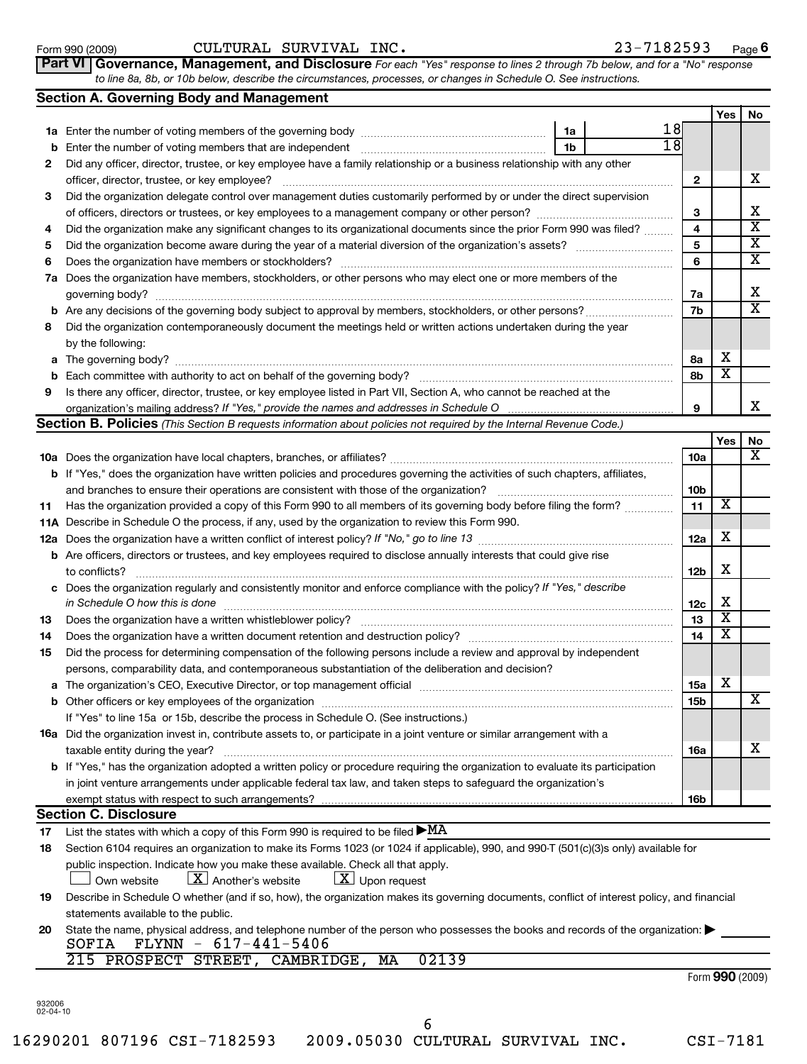|                          | Did the process for determining compensation of the following persons include a review and approval by independent<br>persons, comparability data, and contemporaneous substantiation of the deliberation and decision? |                 |                 |   |
|--------------------------|-------------------------------------------------------------------------------------------------------------------------------------------------------------------------------------------------------------------------|-----------------|-----------------|---|
|                          |                                                                                                                                                                                                                         | 15a             | X               |   |
|                          |                                                                                                                                                                                                                         | 15 <sub>b</sub> |                 | X |
|                          | If "Yes" to line 15a or 15b, describe the process in Schedule O. (See instructions.)                                                                                                                                    |                 |                 |   |
|                          | 16a Did the organization invest in, contribute assets to, or participate in a joint venture or similar arrangement with a                                                                                               |                 |                 |   |
|                          | taxable entity during the year?                                                                                                                                                                                         | <b>16a</b>      |                 | x |
|                          | <b>b</b> If "Yes," has the organization adopted a written policy or procedure requiring the organization to evaluate its participation                                                                                  |                 |                 |   |
|                          | in joint venture arrangements under applicable federal tax law, and taken steps to safeguard the organization's                                                                                                         |                 |                 |   |
|                          |                                                                                                                                                                                                                         | 16 <sub>b</sub> |                 |   |
|                          | <b>Section C. Disclosure</b>                                                                                                                                                                                            |                 |                 |   |
| 17                       | List the states with which a copy of this Form 990 is required to be filed $\blacktriangleright$ MA                                                                                                                     |                 |                 |   |
| 18                       | Section 6104 requires an organization to make its Forms 1023 (or 1024 if applicable), 990, and 990-T (501(c)(3)s only) available for                                                                                    |                 |                 |   |
|                          | public inspection. Indicate how you make these available. Check all that apply.                                                                                                                                         |                 |                 |   |
|                          | $\lfloor x \rfloor$ Upon request<br>$\lfloor \mathbf{X} \rfloor$ Another's website<br>Own website                                                                                                                       |                 |                 |   |
| 19                       | Describe in Schedule O whether (and if so, how), the organization makes its governing documents, conflict of interest policy, and financial                                                                             |                 |                 |   |
|                          | statements available to the public.                                                                                                                                                                                     |                 |                 |   |
| 20                       | State the name, physical address, and telephone number of the person who possesses the books and records of the organization:                                                                                           |                 |                 |   |
|                          | $FLYNN - 617 - 441 - 5406$<br>SOFIA                                                                                                                                                                                     |                 |                 |   |
|                          | 02139<br>215 PROSPECT STREET, CAMBRIDGE, MA                                                                                                                                                                             |                 |                 |   |
|                          |                                                                                                                                                                                                                         |                 | Form 990 (2009) |   |
|                          |                                                                                                                                                                                                                         |                 |                 |   |
| 932006<br>$02 - 04 - 10$ |                                                                                                                                                                                                                         |                 |                 |   |
|                          | 6                                                                                                                                                                                                                       |                 |                 |   |
|                          | 16290201 807196 CSI-7182593<br>2009.05030 CULTURAL SURVIVAL INC.                                                                                                                                                        |                 | CSI-7181        |   |

**Section A. Governing Body and Management**

**Part VI** Governance, Management, and Disclosure For each "Yes" response to lines 2 through 7b below, and for a "No" response *to line 8a, 8b, or 10b below, describe the circumstances, processes, or changes in Schedule O. See instructions.*

|        |                                                                                                                                                                                                                               |                 | res | <b>NO</b> |
|--------|-------------------------------------------------------------------------------------------------------------------------------------------------------------------------------------------------------------------------------|-----------------|-----|-----------|
|        | 1a                                                                                                                                                                                                                            | 18              |     |           |
| b      | 1b<br>Enter the number of voting members that are independent                                                                                                                                                                 | 18              |     |           |
| 2      | Did any officer, director, trustee, or key employee have a family relationship or a business relationship with any other                                                                                                      |                 |     |           |
|        | officer, director, trustee, or key employee?                                                                                                                                                                                  | 2               |     | x         |
| 3      | Did the organization delegate control over management duties customarily performed by or under the direct supervision                                                                                                         |                 |     |           |
|        |                                                                                                                                                                                                                               | 3               |     | x         |
| 4      | Did the organization make any significant changes to its organizational documents since the prior Form 990 was filed?                                                                                                         | 4               |     | X         |
| 5      |                                                                                                                                                                                                                               | 5               |     | X         |
| 6      | Does the organization have members or stockholders?                                                                                                                                                                           | 6               |     | х         |
| 7a     | Does the organization have members, stockholders, or other persons who may elect one or more members of the                                                                                                                   |                 |     |           |
|        | governing body?                                                                                                                                                                                                               | 7a              |     | x<br>X    |
| b      |                                                                                                                                                                                                                               | 7b              |     |           |
| 8      | Did the organization contemporaneously document the meetings held or written actions undertaken during the year                                                                                                               |                 |     |           |
|        | by the following:                                                                                                                                                                                                             | 8а              | х   |           |
| а<br>b | Each committee with authority to act on behalf of the governing body?                                                                                                                                                         | 8b              | х   |           |
| 9      | Is there any officer, director, trustee, or key employee listed in Part VII, Section A, who cannot be reached at the                                                                                                          |                 |     |           |
|        |                                                                                                                                                                                                                               | 9               |     | х         |
|        | <b>Section B. Policies</b> (This Section B requests information about policies not required by the Internal Revenue Code.)                                                                                                    |                 |     |           |
|        |                                                                                                                                                                                                                               |                 | Yes | No        |
|        |                                                                                                                                                                                                                               | 10a             |     | x         |
|        | <b>b</b> If "Yes," does the organization have written policies and procedures governing the activities of such chapters, affiliates,                                                                                          |                 |     |           |
|        | and branches to ensure their operations are consistent with those of the organization?                                                                                                                                        | 10 <sub>b</sub> |     |           |
| 11     | Has the organization provided a copy of this Form 990 to all members of its governing body before filing the form?                                                                                                            | 11              | х   |           |
|        | 11A Describe in Schedule O the process, if any, used by the organization to review this Form 990.                                                                                                                             |                 |     |           |
| 12a    |                                                                                                                                                                                                                               | 12a             | х   |           |
|        | <b>b</b> Are officers, directors or trustees, and key employees required to disclose annually interests that could give rise                                                                                                  |                 |     |           |
|        | to conflicts?                                                                                                                                                                                                                 | 12b             | х   |           |
|        | Does the organization regularly and consistently monitor and enforce compliance with the policy? If "Yes," describe                                                                                                           |                 |     |           |
|        | in Schedule O how this is done                                                                                                                                                                                                | 12 <sub>c</sub> | х   |           |
| 13     | Does the organization have a written whistleblower policy?                                                                                                                                                                    | 13              | X   |           |
| 14     |                                                                                                                                                                                                                               | 14              | х   |           |
| 15     | Did the process for determining compensation of the following persons include a review and approval by independent                                                                                                            |                 |     |           |
|        | persons, comparability data, and contemporaneous substantiation of the deliberation and decision?                                                                                                                             |                 |     |           |
| а      | The organization's CEO, Executive Director, or top management official manufactured content content of the organization's CEO, Executive Director, or top management official manufactured content of the original content of | 15a             | х   |           |
|        |                                                                                                                                                                                                                               | 15b             |     | X         |
|        | If "Yes" to line 15a or 15b, describe the process in Schedule O. (See instructions.)                                                                                                                                          |                 |     |           |
|        | <b>16a</b> Did the organization invest in, contribute assets to, or participate in a joint venture or similar arrangement with a                                                                                              |                 |     | x         |
|        | taxable entity during the year?<br>b If "Yes," has the organization adopted a written policy or procedure requiring the organization to evaluate its participation                                                            | 16a             |     |           |
|        | in joint venture arrangements under applicable federal tax law, and taken steps to safeguard the organization's                                                                                                               |                 |     |           |
|        | exempt status with respect to such arrangements?                                                                                                                                                                              | 16b             |     |           |
|        | <b>Section C. Disclosure</b>                                                                                                                                                                                                  |                 |     |           |
| 17     | List the states with which a copy of this Form 990 is required to be filed $\blacktriangleright$ MA                                                                                                                           |                 |     |           |
| 18     | Section 6104 requires an organization to make its Forms 1023 (or 1024 if applicable), 990, and 990-T (501(c)(3)s only) available for                                                                                          |                 |     |           |
|        | public inspection. Indicate how you make these available. Check all that apply.                                                                                                                                               |                 |     |           |
|        | $\lfloor x \rfloor$ Upon request<br>$\lfloor \underline{X} \rfloor$ Another's website<br>Own website                                                                                                                          |                 |     |           |
| 19     | Describe in Schedule O whether (and if so, how), the organization makes its governing documents, conflict of interest policy, and financial                                                                                   |                 |     |           |
|        | statements available to the public.                                                                                                                                                                                           |                 |     |           |
| 20     | State the name, physical address, and telephone number of the person who possesses the books and records of the organization:<br>SOFTA FLYNN - $617-441-5406$                                                                 |                 |     |           |

**Yes No**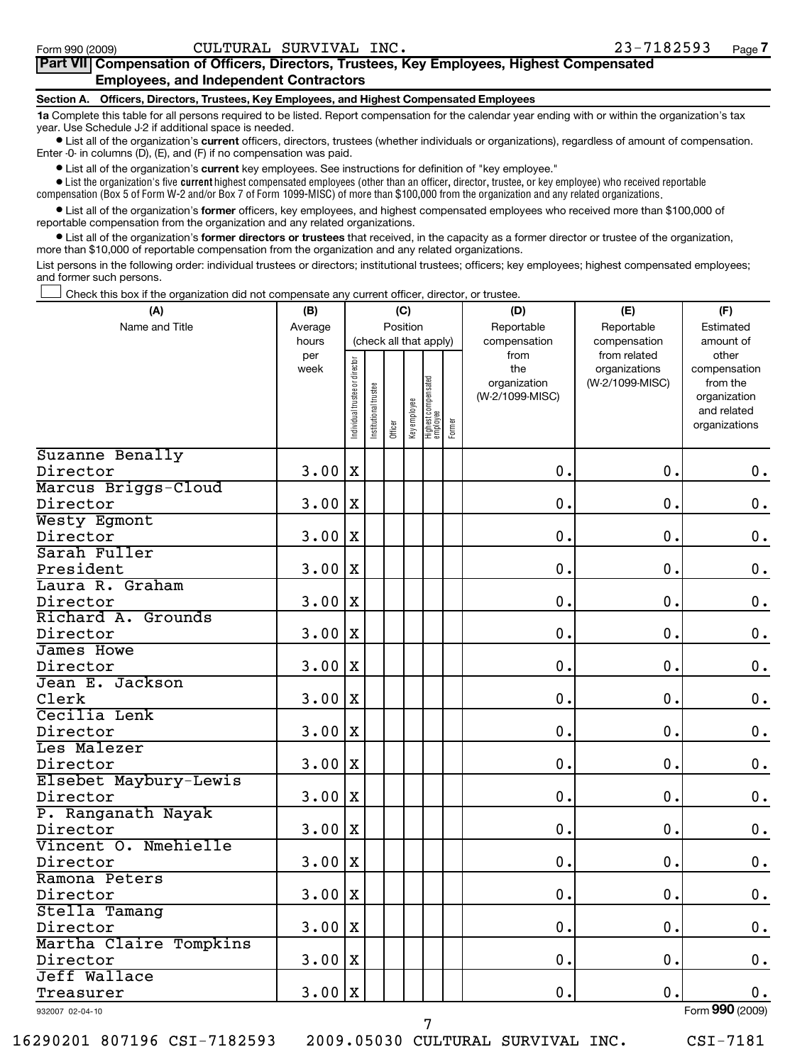## **Part VII Compensation of Officers, Directors, Trustees, Key Employees, Highest Compensated Employees, and Independent Contractors**

### **Section A. Officers, Directors, Trustees, Key Employees, and Highest Compensated Employees**

**1a**  Complete this table for all persons required to be listed. Report compensation for the calendar year ending with or within the organization's tax year. Use Schedule J-2 if additional space is needed.

**•** List all of the organization's current officers, directors, trustees (whether individuals or organizations), regardless of amount of compensation. Enter -0- in columns (D), (E), and (F) if no compensation was paid.

**•** List all of the organization's current key employees. See instructions for definition of "key employee."

 $\bullet$  List the organization's five  $\sf current$  highest compensated employees (other than an officer, director, trustee, or key employee) who received reportable compensation (Box 5 of Form W-2 and/or Box 7 of Form 1099-MISC) of more than \$100,000 from the organization and any related organizations .

• List all of the organization's former officers, key employees, and highest compensated employees who received more than \$100,000 of reportable compensation from the organization and any related organizations.

**•** List all of the organization's former directors or trustees that received, in the capacity as a former director or trustee of the organization, more than \$10,000 of reportable compensation from the organization and any related organizations.

List persons in the following order: individual trustees or directors; institutional trustees; officers; key employees; highest compensated employees; and former such persons.

Check this box if the organization did not compensate any current officer, director, or trustee.  $\left\vert \cdot\right\vert$ 

| (A)                      | (B)                  | (C)                                |                      |         |              |                                           |  | (D)                                                            | (E)                                                              | (F)                                                                                            |
|--------------------------|----------------------|------------------------------------|----------------------|---------|--------------|-------------------------------------------|--|----------------------------------------------------------------|------------------------------------------------------------------|------------------------------------------------------------------------------------------------|
| Name and Title           | Average              | Position<br>(check all that apply) |                      |         |              |                                           |  | Reportable                                                     | Reportable                                                       | Estimated                                                                                      |
|                          | hours<br>per<br>week | ndividual trustee or director      | nstitutional trustee | Officer | Key employee | Highest compensated<br>employee<br>Former |  | compensation<br>from<br>the<br>organization<br>(W-2/1099-MISC) | compensation<br>from related<br>organizations<br>(W-2/1099-MISC) | amount of<br>other<br>compensation<br>from the<br>organization<br>and related<br>organizations |
| Suzanne Benally          |                      |                                    |                      |         |              |                                           |  |                                                                |                                                                  |                                                                                                |
| Director                 | 3.00                 | $\mathbf X$                        |                      |         |              |                                           |  | 0.                                                             | 0.                                                               | $\mathbf 0$ .                                                                                  |
| Marcus Briggs-Cloud      |                      |                                    |                      |         |              |                                           |  |                                                                |                                                                  |                                                                                                |
| Director                 | 3.00                 | $\mathbf X$                        |                      |         |              |                                           |  | 0.                                                             | 0.                                                               | $\mathbf 0$ .                                                                                  |
| Westy Egmont             |                      |                                    |                      |         |              |                                           |  |                                                                |                                                                  |                                                                                                |
| Director                 | 3.00                 | $\mathbf X$                        |                      |         |              |                                           |  | 0.                                                             | 0.                                                               | $\mathbf 0$ .                                                                                  |
| Sarah Fuller             |                      |                                    |                      |         |              |                                           |  |                                                                |                                                                  |                                                                                                |
| President                | 3.00                 | $\mathbf X$                        |                      |         |              |                                           |  | 0.                                                             | 0.                                                               | $\mathbf 0$ .                                                                                  |
| Laura R. Graham          |                      |                                    |                      |         |              |                                           |  |                                                                |                                                                  |                                                                                                |
| Director                 | 3.00                 | $\mathbf X$                        |                      |         |              |                                           |  | 0.                                                             | 0.                                                               | $\mathbf 0$ .                                                                                  |
| Richard A. Grounds       |                      |                                    |                      |         |              |                                           |  |                                                                |                                                                  |                                                                                                |
| Director                 | 3.00                 | $\mathbf x$                        |                      |         |              |                                           |  | 0.                                                             | 0.                                                               | $\mathbf 0$ .                                                                                  |
| James Howe               |                      |                                    |                      |         |              |                                           |  |                                                                |                                                                  |                                                                                                |
| Director                 | 3.00                 | $\mathbf X$                        |                      |         |              |                                           |  | 0.                                                             | 0.                                                               | $\mathbf 0$ .                                                                                  |
| Jean E. Jackson          |                      |                                    |                      |         |              |                                           |  |                                                                |                                                                  |                                                                                                |
| Clerk                    | 3.00                 | X                                  |                      |         |              |                                           |  | 0.                                                             | 0.                                                               | $\mathbf 0$ .                                                                                  |
| Cecilia Lenk             |                      |                                    |                      |         |              |                                           |  |                                                                |                                                                  |                                                                                                |
| Director                 | 3.00                 | $\mathbf X$                        |                      |         |              |                                           |  | 0.                                                             | $\mathbf 0$ .                                                    | $\mathbf 0$ .                                                                                  |
| Les Malezer              |                      |                                    |                      |         |              |                                           |  |                                                                |                                                                  |                                                                                                |
| Director                 | 3.00                 | X                                  |                      |         |              |                                           |  | 0.                                                             | $\mathbf 0$ .                                                    | $\mathbf 0$ .                                                                                  |
| Elsebet Maybury-Lewis    |                      |                                    |                      |         |              |                                           |  |                                                                |                                                                  |                                                                                                |
| Director                 | 3.00                 | $\mathbf X$                        |                      |         |              |                                           |  | 0.                                                             | $\mathbf 0$ .                                                    | $\mathbf 0$ .                                                                                  |
| P. Ranganath Nayak       |                      |                                    |                      |         |              |                                           |  |                                                                |                                                                  |                                                                                                |
| Director                 | 3.00                 | X                                  |                      |         |              |                                           |  | 0.                                                             | $\mathbf 0$ .                                                    | $\mathbf 0$ .                                                                                  |
| Vincent O. Nmehielle     |                      |                                    |                      |         |              |                                           |  |                                                                |                                                                  |                                                                                                |
| Director                 | 3.00                 | $\mathbf X$                        |                      |         |              |                                           |  | 0.                                                             | 0.                                                               | $\mathbf 0$ .                                                                                  |
| Ramona Peters            |                      |                                    |                      |         |              |                                           |  |                                                                |                                                                  |                                                                                                |
| Director                 | 3.00                 | X                                  |                      |         |              |                                           |  | 0.                                                             | $\mathbf 0$ .                                                    | $\mathbf 0$ .                                                                                  |
| Stella Tamang            |                      |                                    |                      |         |              |                                           |  |                                                                |                                                                  |                                                                                                |
| Director                 | 3.00                 | $\mathbf X$                        |                      |         |              |                                           |  | 0.                                                             | 0.                                                               | $\mathbf 0$ .                                                                                  |
| Martha Claire Tompkins   |                      |                                    |                      |         |              |                                           |  |                                                                |                                                                  |                                                                                                |
| Director<br>Jeff Wallace | 3.00                 | X                                  |                      |         |              |                                           |  | 0.                                                             | $\mathbf 0$ .                                                    | $\mathbf 0$ .                                                                                  |
|                          |                      |                                    |                      |         |              |                                           |  | 0.                                                             | 0.                                                               |                                                                                                |
| Treasurer                | 3.00                 | $\mathbf x$                        |                      |         |              |                                           |  |                                                                |                                                                  | $\mathbf 0$ .                                                                                  |

932007 02-04-10

7

Form **990** (2009)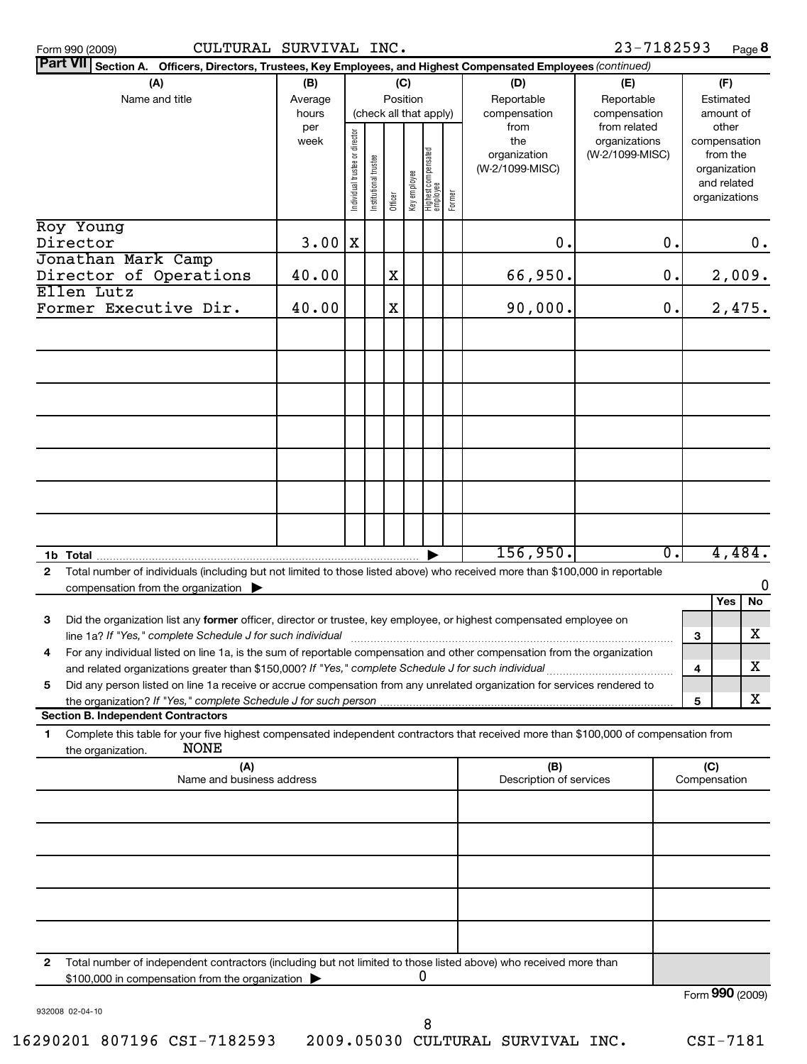**8**

| <b>Part VII</b> Section A. Officers, Directors, Trustees, Key Employees, and Highest Compensated Employees (continued)                                                                                                               |              |                               |                      |         |              |                                 |        |                                |                              |                  |                             |        |
|--------------------------------------------------------------------------------------------------------------------------------------------------------------------------------------------------------------------------------------|--------------|-------------------------------|----------------------|---------|--------------|---------------------------------|--------|--------------------------------|------------------------------|------------------|-----------------------------|--------|
| (A)                                                                                                                                                                                                                                  | (B)          |                               |                      |         | (C)          |                                 |        | (D)                            | (E)                          |                  | (F)                         |        |
| Name and title                                                                                                                                                                                                                       | Average      |                               |                      |         | Position     |                                 |        | Reportable                     | Reportable                   |                  | Estimated                   |        |
|                                                                                                                                                                                                                                      | hours<br>per |                               |                      |         |              | (check all that apply)          |        | compensation<br>from           | compensation<br>from related |                  | amount of<br>other          |        |
|                                                                                                                                                                                                                                      | week         |                               |                      |         |              |                                 |        | the                            | organizations                |                  | compensation                |        |
|                                                                                                                                                                                                                                      |              |                               |                      |         |              |                                 |        | organization                   | (W-2/1099-MISC)              |                  | from the                    |        |
|                                                                                                                                                                                                                                      |              |                               |                      |         |              |                                 |        | (W-2/1099-MISC)                |                              |                  | organization<br>and related |        |
|                                                                                                                                                                                                                                      |              | ndividual trustee or director | nstitutional trustee | Officer | Key employee | Highest compensated<br>employee | Former |                                |                              |                  | organizations               |        |
|                                                                                                                                                                                                                                      |              |                               |                      |         |              |                                 |        |                                |                              |                  |                             |        |
| Roy Young                                                                                                                                                                                                                            |              |                               |                      |         |              |                                 |        |                                |                              |                  |                             |        |
| Director<br>Jonathan Mark Camp                                                                                                                                                                                                       | 3.00         | X                             |                      |         |              |                                 |        | $\mathbf 0$ .                  |                              | $\mathbf 0$ .    |                             | 0.     |
| Director of Operations                                                                                                                                                                                                               | 40.00        |                               |                      | X       |              |                                 |        | 66,950.                        |                              | $\mathbf 0$ .    |                             | 2,009. |
| Ellen Lutz                                                                                                                                                                                                                           |              |                               |                      |         |              |                                 |        |                                |                              |                  |                             |        |
| Former Executive Dir.                                                                                                                                                                                                                | 40.00        |                               |                      | X       |              |                                 |        | 90,000.                        |                              | 0.               |                             | 2,475. |
|                                                                                                                                                                                                                                      |              |                               |                      |         |              |                                 |        |                                |                              |                  |                             |        |
|                                                                                                                                                                                                                                      |              |                               |                      |         |              |                                 |        |                                |                              |                  |                             |        |
|                                                                                                                                                                                                                                      |              |                               |                      |         |              |                                 |        |                                |                              |                  |                             |        |
|                                                                                                                                                                                                                                      |              |                               |                      |         |              |                                 |        |                                |                              |                  |                             |        |
|                                                                                                                                                                                                                                      |              |                               |                      |         |              |                                 |        |                                |                              |                  |                             |        |
|                                                                                                                                                                                                                                      |              |                               |                      |         |              |                                 |        |                                |                              |                  |                             |        |
|                                                                                                                                                                                                                                      |              |                               |                      |         |              |                                 |        |                                |                              |                  |                             |        |
|                                                                                                                                                                                                                                      |              |                               |                      |         |              |                                 |        |                                |                              |                  |                             |        |
|                                                                                                                                                                                                                                      |              |                               |                      |         |              |                                 |        |                                |                              |                  |                             |        |
|                                                                                                                                                                                                                                      |              |                               |                      |         |              |                                 |        |                                |                              |                  |                             |        |
|                                                                                                                                                                                                                                      |              |                               |                      |         |              |                                 |        |                                |                              |                  |                             |        |
|                                                                                                                                                                                                                                      |              |                               |                      |         |              |                                 |        |                                |                              |                  |                             |        |
|                                                                                                                                                                                                                                      |              |                               |                      |         |              |                                 |        | 156,950.                       |                              | $\overline{0}$ . |                             | 4,484. |
| Total number of individuals (including but not limited to those listed above) who received more than \$100,000 in reportable<br>$\overline{2}$                                                                                       |              |                               |                      |         |              |                                 |        |                                |                              |                  |                             |        |
| compensation from the organization                                                                                                                                                                                                   |              |                               |                      |         |              |                                 |        |                                |                              |                  |                             | 0      |
|                                                                                                                                                                                                                                      |              |                               |                      |         |              |                                 |        |                                |                              |                  | Yes                         | No     |
| Did the organization list any former officer, director or trustee, key employee, or highest compensated employee on<br>3                                                                                                             |              |                               |                      |         |              |                                 |        |                                |                              |                  |                             |        |
| line 1a? If "Yes," complete Schedule J for such individual                                                                                                                                                                           |              |                               |                      |         |              |                                 |        |                                |                              |                  | 3                           | х      |
| For any individual listed on line 1a, is the sum of reportable compensation and other compensation from the organization<br>4                                                                                                        |              |                               |                      |         |              |                                 |        |                                |                              |                  |                             | х      |
| and related organizations greater than \$150,000? If "Yes," complete Schedule J for such individual<br>Did any person listed on line 1a receive or accrue compensation from any unrelated organization for services rendered to<br>5 |              |                               |                      |         |              |                                 |        |                                |                              |                  | 4                           |        |
| the organization? If "Yes," complete Schedule J for such person                                                                                                                                                                      |              |                               |                      |         |              |                                 |        |                                |                              |                  | 5                           | X.     |
| <b>Section B. Independent Contractors</b>                                                                                                                                                                                            |              |                               |                      |         |              |                                 |        |                                |                              |                  |                             |        |
| Complete this table for your five highest compensated independent contractors that received more than \$100,000 of compensation from<br>1.                                                                                           |              |                               |                      |         |              |                                 |        |                                |                              |                  |                             |        |
| <b>NONE</b><br>the organization.                                                                                                                                                                                                     |              |                               |                      |         |              |                                 |        |                                |                              |                  |                             |        |
| (A)<br>Name and business address                                                                                                                                                                                                     |              |                               |                      |         |              |                                 |        | (B)<br>Description of services |                              |                  | (C)<br>Compensation         |        |
|                                                                                                                                                                                                                                      |              |                               |                      |         |              |                                 |        |                                |                              |                  |                             |        |
|                                                                                                                                                                                                                                      |              |                               |                      |         |              |                                 |        |                                |                              |                  |                             |        |
|                                                                                                                                                                                                                                      |              |                               |                      |         |              |                                 |        |                                |                              |                  |                             |        |
|                                                                                                                                                                                                                                      |              |                               |                      |         |              |                                 |        |                                |                              |                  |                             |        |
|                                                                                                                                                                                                                                      |              |                               |                      |         |              |                                 |        |                                |                              |                  |                             |        |
|                                                                                                                                                                                                                                      |              |                               |                      |         |              |                                 |        |                                |                              |                  |                             |        |
|                                                                                                                                                                                                                                      |              |                               |                      |         |              |                                 |        |                                |                              |                  |                             |        |
|                                                                                                                                                                                                                                      |              |                               |                      |         |              |                                 |        |                                |                              |                  |                             |        |
| Total number of independent contractors (including but not limited to those listed above) who received more than<br>2                                                                                                                |              |                               |                      |         |              |                                 |        |                                |                              |                  |                             |        |
| \$100,000 in compensation from the organization                                                                                                                                                                                      |              |                               |                      |         |              | 0                               |        |                                |                              |                  | Form 990 (2009)             |        |
| 932008 02-04-10                                                                                                                                                                                                                      |              |                               |                      |         |              |                                 |        |                                |                              |                  |                             |        |
|                                                                                                                                                                                                                                      |              |                               |                      |         |              | 8                               |        |                                |                              |                  |                             |        |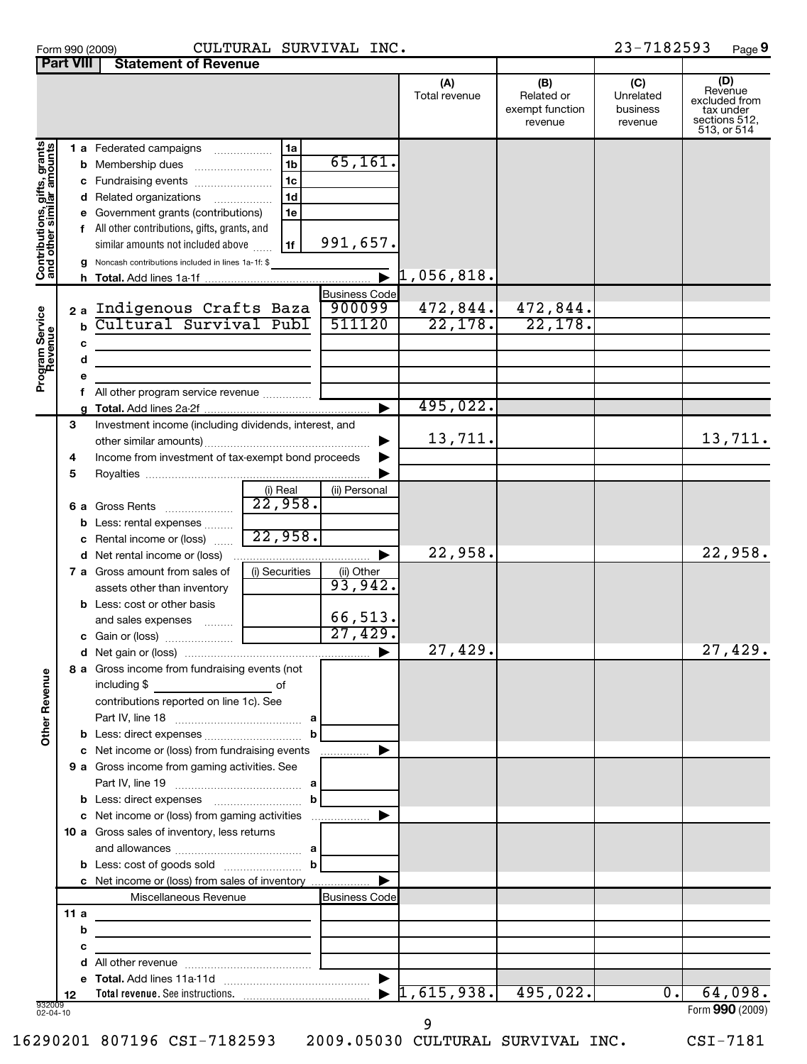| Form 990 (2009) |               |
|-----------------|---------------|
| Dart VIII       | <b>Stator</b> |

## Form 990 (2009) CULTURAL SURVIVAL INC. 23-7 $18$ 2593 Page

23-7182593 Page 9

|                                                           | <b>Fait VIII</b> | Statement of Devenue                                                                                                                                                                                                                                                                        |                                                                      |                      |                       |                                                 |                                         |                                                                              |
|-----------------------------------------------------------|------------------|---------------------------------------------------------------------------------------------------------------------------------------------------------------------------------------------------------------------------------------------------------------------------------------------|----------------------------------------------------------------------|----------------------|-----------------------|-------------------------------------------------|-----------------------------------------|------------------------------------------------------------------------------|
|                                                           |                  |                                                                                                                                                                                                                                                                                             |                                                                      |                      | (A)<br>Total revenue  | (B)<br>Related or<br>exempt function<br>revenue | (C)<br>Unrelated<br>business<br>revenue | (D)<br>Revenue<br>excluded from<br>tax under<br>sections 512,<br>513, or 514 |
| Contributions, gifts, grants<br>and other similar amounts |                  | 1 a Federated campaigns<br><b>b</b> Membership dues<br>c Fundraising events<br>d Related organizations<br>e Government grants (contributions)<br>f All other contributions, gifts, grants, and<br>similar amounts not included above<br>g Noncash contributions included in lines 1a-1f: \$ | 1a<br>1 <sub>b</sub><br>1 <sub>c</sub><br>1 <sub>d</sub><br>1e<br>1f | 65, 161.<br>991,657. | $\bar{1}$ , 056, 818. |                                                 |                                         |                                                                              |
|                                                           |                  |                                                                                                                                                                                                                                                                                             |                                                                      |                      |                       |                                                 |                                         |                                                                              |
|                                                           |                  |                                                                                                                                                                                                                                                                                             |                                                                      | <b>Business Code</b> |                       |                                                 |                                         |                                                                              |
|                                                           |                  | 2a Indigenous Crafts Baza                                                                                                                                                                                                                                                                   |                                                                      | 900099               | 472,844.              | 472,844.                                        |                                         |                                                                              |
|                                                           | b                | Cultural Survival Publ                                                                                                                                                                                                                                                                      |                                                                      | 511120               | 22,178.               | 22,178.                                         |                                         |                                                                              |
|                                                           |                  |                                                                                                                                                                                                                                                                                             |                                                                      |                      |                       |                                                 |                                         |                                                                              |
|                                                           | с                |                                                                                                                                                                                                                                                                                             |                                                                      |                      |                       |                                                 |                                         |                                                                              |
|                                                           | d                |                                                                                                                                                                                                                                                                                             |                                                                      |                      |                       |                                                 |                                         |                                                                              |
|                                                           |                  |                                                                                                                                                                                                                                                                                             |                                                                      |                      |                       |                                                 |                                         |                                                                              |
| Program Service<br>Revenue                                | е                |                                                                                                                                                                                                                                                                                             |                                                                      |                      |                       |                                                 |                                         |                                                                              |
|                                                           |                  | f All other program service revenue  [                                                                                                                                                                                                                                                      |                                                                      |                      |                       |                                                 |                                         |                                                                              |
|                                                           |                  |                                                                                                                                                                                                                                                                                             |                                                                      |                      | 495,022.              |                                                 |                                         |                                                                              |
|                                                           | 3                | Investment income (including dividends, interest, and                                                                                                                                                                                                                                       |                                                                      |                      |                       |                                                 |                                         |                                                                              |
|                                                           |                  |                                                                                                                                                                                                                                                                                             |                                                                      |                      | 13,711.               |                                                 |                                         | 13,711.                                                                      |
|                                                           |                  |                                                                                                                                                                                                                                                                                             |                                                                      | ▶                    |                       |                                                 |                                         |                                                                              |
|                                                           | 4                | Income from investment of tax-exempt bond proceeds                                                                                                                                                                                                                                          |                                                                      |                      |                       |                                                 |                                         |                                                                              |
|                                                           | 5                |                                                                                                                                                                                                                                                                                             |                                                                      |                      |                       |                                                 |                                         |                                                                              |
|                                                           |                  |                                                                                                                                                                                                                                                                                             | (i) Real                                                             | (ii) Personal        |                       |                                                 |                                         |                                                                              |
|                                                           |                  |                                                                                                                                                                                                                                                                                             | $\overline{22,958}$ .                                                |                      |                       |                                                 |                                         |                                                                              |
|                                                           |                  |                                                                                                                                                                                                                                                                                             |                                                                      |                      |                       |                                                 |                                         |                                                                              |
|                                                           |                  | <b>b</b> Less: rental expenses                                                                                                                                                                                                                                                              |                                                                      |                      |                       |                                                 |                                         |                                                                              |
|                                                           |                  | c Rental income or (loss)                                                                                                                                                                                                                                                                   | 22,958.                                                              |                      |                       |                                                 |                                         |                                                                              |
|                                                           |                  |                                                                                                                                                                                                                                                                                             |                                                                      | ▶                    | 22,958.               |                                                 |                                         | 22,958.                                                                      |
|                                                           |                  |                                                                                                                                                                                                                                                                                             |                                                                      |                      |                       |                                                 |                                         |                                                                              |
|                                                           |                  | <b>7 a</b> Gross amount from sales of                                                                                                                                                                                                                                                       | (i) Securities                                                       | (ii) Other           |                       |                                                 |                                         |                                                                              |
|                                                           |                  | assets other than inventory                                                                                                                                                                                                                                                                 |                                                                      | 93,942.              |                       |                                                 |                                         |                                                                              |
|                                                           |                  | <b>b</b> Less: cost or other basis                                                                                                                                                                                                                                                          |                                                                      |                      |                       |                                                 |                                         |                                                                              |
|                                                           |                  | and sales expenses                                                                                                                                                                                                                                                                          |                                                                      | 66,513.              |                       |                                                 |                                         |                                                                              |
|                                                           |                  |                                                                                                                                                                                                                                                                                             |                                                                      | 27,429.              |                       |                                                 |                                         |                                                                              |
|                                                           |                  |                                                                                                                                                                                                                                                                                             |                                                                      |                      |                       |                                                 |                                         |                                                                              |
|                                                           |                  |                                                                                                                                                                                                                                                                                             |                                                                      |                      | 27,429.               |                                                 |                                         | 27,429.                                                                      |
| $\mathbf{\omega}$                                         |                  | 8 a Gross income from fundraising events (not                                                                                                                                                                                                                                               |                                                                      |                      |                       |                                                 |                                         |                                                                              |
| <b>Other Revenu</b>                                       |                  | including \$<br><u>solution of</u>                                                                                                                                                                                                                                                          |                                                                      |                      |                       |                                                 |                                         |                                                                              |
|                                                           |                  | contributions reported on line 1c). See                                                                                                                                                                                                                                                     |                                                                      |                      |                       |                                                 |                                         |                                                                              |
|                                                           |                  |                                                                                                                                                                                                                                                                                             |                                                                      |                      |                       |                                                 |                                         |                                                                              |
|                                                           |                  |                                                                                                                                                                                                                                                                                             |                                                                      |                      |                       |                                                 |                                         |                                                                              |
|                                                           |                  |                                                                                                                                                                                                                                                                                             | $\mathbf b$                                                          |                      |                       |                                                 |                                         |                                                                              |
|                                                           |                  | c Net income or (loss) from fundraising events                                                                                                                                                                                                                                              |                                                                      |                      |                       |                                                 |                                         |                                                                              |
|                                                           |                  | 9 a Gross income from gaming activities. See                                                                                                                                                                                                                                                |                                                                      |                      |                       |                                                 |                                         |                                                                              |
|                                                           |                  |                                                                                                                                                                                                                                                                                             |                                                                      |                      |                       |                                                 |                                         |                                                                              |
|                                                           |                  |                                                                                                                                                                                                                                                                                             |                                                                      |                      |                       |                                                 |                                         |                                                                              |
|                                                           |                  |                                                                                                                                                                                                                                                                                             |                                                                      |                      |                       |                                                 |                                         |                                                                              |
|                                                           |                  | c Net income or (loss) from gaming activities                                                                                                                                                                                                                                               |                                                                      |                      |                       |                                                 |                                         |                                                                              |
|                                                           |                  | 10 a Gross sales of inventory, less returns                                                                                                                                                                                                                                                 |                                                                      |                      |                       |                                                 |                                         |                                                                              |
|                                                           |                  |                                                                                                                                                                                                                                                                                             |                                                                      |                      |                       |                                                 |                                         |                                                                              |
|                                                           |                  |                                                                                                                                                                                                                                                                                             |                                                                      |                      |                       |                                                 |                                         |                                                                              |
|                                                           |                  |                                                                                                                                                                                                                                                                                             |                                                                      |                      |                       |                                                 |                                         |                                                                              |
|                                                           |                  | c Net income or (loss) from sales of inventory                                                                                                                                                                                                                                              |                                                                      |                      |                       |                                                 |                                         |                                                                              |
|                                                           |                  | Miscellaneous Revenue                                                                                                                                                                                                                                                                       |                                                                      | <b>Business Code</b> |                       |                                                 |                                         |                                                                              |
|                                                           | 11 a             | the control of the control of the control of the control of the control of                                                                                                                                                                                                                  |                                                                      |                      |                       |                                                 |                                         |                                                                              |
|                                                           | b                | the control of the control of the control of the control of the control of                                                                                                                                                                                                                  |                                                                      |                      |                       |                                                 |                                         |                                                                              |
|                                                           | с                |                                                                                                                                                                                                                                                                                             |                                                                      |                      |                       |                                                 |                                         |                                                                              |
|                                                           |                  |                                                                                                                                                                                                                                                                                             |                                                                      |                      |                       |                                                 |                                         |                                                                              |
|                                                           |                  |                                                                                                                                                                                                                                                                                             |                                                                      |                      |                       |                                                 |                                         |                                                                              |
|                                                           |                  |                                                                                                                                                                                                                                                                                             |                                                                      |                      | $1,615,938.$ 495,022. |                                                 | 0.                                      | 64,098.                                                                      |
|                                                           | 12               |                                                                                                                                                                                                                                                                                             |                                                                      |                      |                       |                                                 |                                         |                                                                              |
| 932009<br>02-04-10                                        |                  |                                                                                                                                                                                                                                                                                             |                                                                      |                      |                       |                                                 |                                         | Form 990 (2009)                                                              |

## 02-04-10

16290201 807196 CSI-7182593 2009.05030 CULTURAL SURVIVAL INC. CSI-7181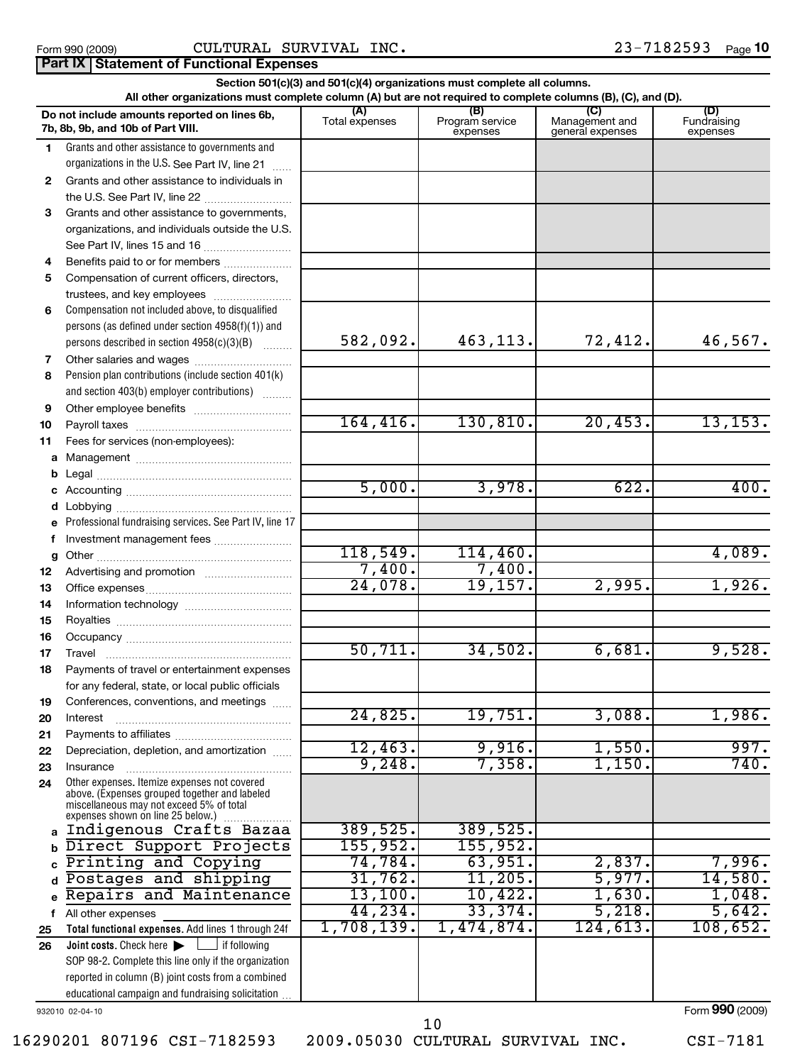|                                                                                                                                                                                                                   |                                                                                                                                                                                |            |            |          | Section 501(c)(3) and 501(c)(4) organizations must complete all columns.<br>All other organizations must complete column (A) but are not required to complete columns (B), (C), and (D). |  |  |  |  |  |  |  |  |
|-------------------------------------------------------------------------------------------------------------------------------------------------------------------------------------------------------------------|--------------------------------------------------------------------------------------------------------------------------------------------------------------------------------|------------|------------|----------|------------------------------------------------------------------------------------------------------------------------------------------------------------------------------------------|--|--|--|--|--|--|--|--|
| (B)<br>(C)<br>Do not include amounts reported on lines 6b,<br>Program service<br>Management and<br>Total expenses<br>Fundraising<br>7b, 8b, 9b, and 10b of Part VIII.<br>general expenses<br>expenses<br>expenses |                                                                                                                                                                                |            |            |          |                                                                                                                                                                                          |  |  |  |  |  |  |  |  |
| 1.                                                                                                                                                                                                                | Grants and other assistance to governments and                                                                                                                                 |            |            |          |                                                                                                                                                                                          |  |  |  |  |  |  |  |  |
|                                                                                                                                                                                                                   | organizations in the U.S. See Part IV, line 21<br>$\sim$                                                                                                                       |            |            |          |                                                                                                                                                                                          |  |  |  |  |  |  |  |  |
| 2                                                                                                                                                                                                                 | Grants and other assistance to individuals in                                                                                                                                  |            |            |          |                                                                                                                                                                                          |  |  |  |  |  |  |  |  |
|                                                                                                                                                                                                                   | the U.S. See Part IV, line 22                                                                                                                                                  |            |            |          |                                                                                                                                                                                          |  |  |  |  |  |  |  |  |
| з                                                                                                                                                                                                                 | Grants and other assistance to governments,                                                                                                                                    |            |            |          |                                                                                                                                                                                          |  |  |  |  |  |  |  |  |
|                                                                                                                                                                                                                   | organizations, and individuals outside the U.S.                                                                                                                                |            |            |          |                                                                                                                                                                                          |  |  |  |  |  |  |  |  |
|                                                                                                                                                                                                                   | See Part IV, lines 15 and 16                                                                                                                                                   |            |            |          |                                                                                                                                                                                          |  |  |  |  |  |  |  |  |
| 4                                                                                                                                                                                                                 | Benefits paid to or for members                                                                                                                                                |            |            |          |                                                                                                                                                                                          |  |  |  |  |  |  |  |  |
| 5                                                                                                                                                                                                                 | Compensation of current officers, directors,                                                                                                                                   |            |            |          |                                                                                                                                                                                          |  |  |  |  |  |  |  |  |
|                                                                                                                                                                                                                   | trustees, and key employees                                                                                                                                                    |            |            |          |                                                                                                                                                                                          |  |  |  |  |  |  |  |  |
| 6                                                                                                                                                                                                                 | Compensation not included above, to disqualified                                                                                                                               |            |            |          |                                                                                                                                                                                          |  |  |  |  |  |  |  |  |
|                                                                                                                                                                                                                   | persons (as defined under section 4958(f)(1)) and                                                                                                                              |            |            |          |                                                                                                                                                                                          |  |  |  |  |  |  |  |  |
|                                                                                                                                                                                                                   | persons described in section 4958(c)(3)(B)                                                                                                                                     | 582,092.   | 463,113.   | 72,412.  | 46,567.                                                                                                                                                                                  |  |  |  |  |  |  |  |  |
| 7                                                                                                                                                                                                                 |                                                                                                                                                                                |            |            |          |                                                                                                                                                                                          |  |  |  |  |  |  |  |  |
| 8                                                                                                                                                                                                                 | Pension plan contributions (include section 401(k)                                                                                                                             |            |            |          |                                                                                                                                                                                          |  |  |  |  |  |  |  |  |
|                                                                                                                                                                                                                   | and section 403(b) employer contributions)                                                                                                                                     |            |            |          |                                                                                                                                                                                          |  |  |  |  |  |  |  |  |
| 9                                                                                                                                                                                                                 |                                                                                                                                                                                | 164, 416.  | 130, 810.  | 20,453.  | 13, 153.                                                                                                                                                                                 |  |  |  |  |  |  |  |  |
| 10                                                                                                                                                                                                                |                                                                                                                                                                                |            |            |          |                                                                                                                                                                                          |  |  |  |  |  |  |  |  |
| 11                                                                                                                                                                                                                | Fees for services (non-employees):                                                                                                                                             |            |            |          |                                                                                                                                                                                          |  |  |  |  |  |  |  |  |
|                                                                                                                                                                                                                   |                                                                                                                                                                                |            |            |          |                                                                                                                                                                                          |  |  |  |  |  |  |  |  |
| b                                                                                                                                                                                                                 |                                                                                                                                                                                | 5,000.     | 3,978.     | 622.     | 400.                                                                                                                                                                                     |  |  |  |  |  |  |  |  |
|                                                                                                                                                                                                                   |                                                                                                                                                                                |            |            |          |                                                                                                                                                                                          |  |  |  |  |  |  |  |  |
| d                                                                                                                                                                                                                 | Professional fundraising services. See Part IV, line 17                                                                                                                        |            |            |          |                                                                                                                                                                                          |  |  |  |  |  |  |  |  |
| f                                                                                                                                                                                                                 | Investment management fees                                                                                                                                                     |            |            |          |                                                                                                                                                                                          |  |  |  |  |  |  |  |  |
| g                                                                                                                                                                                                                 |                                                                                                                                                                                | 118,549.   | 114,460.   |          | 4,089.                                                                                                                                                                                   |  |  |  |  |  |  |  |  |
| 12                                                                                                                                                                                                                |                                                                                                                                                                                | 7,400.     | 7,400.     |          |                                                                                                                                                                                          |  |  |  |  |  |  |  |  |
| 13                                                                                                                                                                                                                |                                                                                                                                                                                | 24,078.    | 19, 157.   | 2,995.   | 1,926.                                                                                                                                                                                   |  |  |  |  |  |  |  |  |
| 14                                                                                                                                                                                                                |                                                                                                                                                                                |            |            |          |                                                                                                                                                                                          |  |  |  |  |  |  |  |  |
| 15                                                                                                                                                                                                                |                                                                                                                                                                                |            |            |          |                                                                                                                                                                                          |  |  |  |  |  |  |  |  |
| 16                                                                                                                                                                                                                |                                                                                                                                                                                |            |            |          |                                                                                                                                                                                          |  |  |  |  |  |  |  |  |
| 17                                                                                                                                                                                                                |                                                                                                                                                                                | 50, 711.   | 34,502.    | 6,681.   | 9,528.                                                                                                                                                                                   |  |  |  |  |  |  |  |  |
| 18                                                                                                                                                                                                                | Payments of travel or entertainment expenses                                                                                                                                   |            |            |          |                                                                                                                                                                                          |  |  |  |  |  |  |  |  |
|                                                                                                                                                                                                                   | for any federal, state, or local public officials                                                                                                                              |            |            |          |                                                                                                                                                                                          |  |  |  |  |  |  |  |  |
| 19                                                                                                                                                                                                                | Conferences, conventions, and meetings                                                                                                                                         |            |            |          |                                                                                                                                                                                          |  |  |  |  |  |  |  |  |
| 20                                                                                                                                                                                                                | Interest                                                                                                                                                                       | 24,825.    | 19,751.    | 3,088.   | 1,986.                                                                                                                                                                                   |  |  |  |  |  |  |  |  |
| 21                                                                                                                                                                                                                |                                                                                                                                                                                |            |            |          |                                                                                                                                                                                          |  |  |  |  |  |  |  |  |
| 22                                                                                                                                                                                                                | Depreciation, depletion, and amortization                                                                                                                                      | 12,463.    | 9,916.     | 1,550.   | 997.                                                                                                                                                                                     |  |  |  |  |  |  |  |  |
| 23                                                                                                                                                                                                                | Insurance                                                                                                                                                                      | 9,248.     | 7,358.     | 1,150.   | 740.                                                                                                                                                                                     |  |  |  |  |  |  |  |  |
| 24                                                                                                                                                                                                                | Other expenses. Itemize expenses not covered<br>above. (Expenses grouped together and labeled<br>miscellaneous may not exceed 5% of total<br>expenses shown on line 25 below.) |            |            |          |                                                                                                                                                                                          |  |  |  |  |  |  |  |  |
|                                                                                                                                                                                                                   | Indigenous Crafts Bazaa                                                                                                                                                        | 389,525.   | 389,525.   |          |                                                                                                                                                                                          |  |  |  |  |  |  |  |  |
|                                                                                                                                                                                                                   | Direct Support Projects                                                                                                                                                        | 155,952.   | 155,952.   |          |                                                                                                                                                                                          |  |  |  |  |  |  |  |  |
|                                                                                                                                                                                                                   | Printing and Copying                                                                                                                                                           | 74,784.    | 63,951.    | 2,837.   | 7,996.                                                                                                                                                                                   |  |  |  |  |  |  |  |  |
|                                                                                                                                                                                                                   | Postages and shipping                                                                                                                                                          | 31,762.    | 11,205.    | 5,977.   | 14,580.                                                                                                                                                                                  |  |  |  |  |  |  |  |  |
| e                                                                                                                                                                                                                 | Repairs and Maintenance                                                                                                                                                        | 13,100.    | 10,422.    | 1,630.   | 1,048.                                                                                                                                                                                   |  |  |  |  |  |  |  |  |
|                                                                                                                                                                                                                   | f All other expenses                                                                                                                                                           | 44,234.    | 33,374.    | 5,218.   | 5,642.                                                                                                                                                                                   |  |  |  |  |  |  |  |  |
| 25                                                                                                                                                                                                                | Total functional expenses. Add lines 1 through 24f                                                                                                                             | 1,708,139. | 1,474,874. | 124,613. | 108,652.                                                                                                                                                                                 |  |  |  |  |  |  |  |  |
| 26                                                                                                                                                                                                                | Joint costs. Check here<br>if following                                                                                                                                        |            |            |          |                                                                                                                                                                                          |  |  |  |  |  |  |  |  |
|                                                                                                                                                                                                                   | SOP 98-2. Complete this line only if the organization                                                                                                                          |            |            |          |                                                                                                                                                                                          |  |  |  |  |  |  |  |  |
|                                                                                                                                                                                                                   | reported in column (B) joint costs from a combined                                                                                                                             |            |            |          |                                                                                                                                                                                          |  |  |  |  |  |  |  |  |
|                                                                                                                                                                                                                   | educational campaign and fundraising solicitation                                                                                                                              |            |            |          |                                                                                                                                                                                          |  |  |  |  |  |  |  |  |

932010 02-04-10

Form **990** (2009)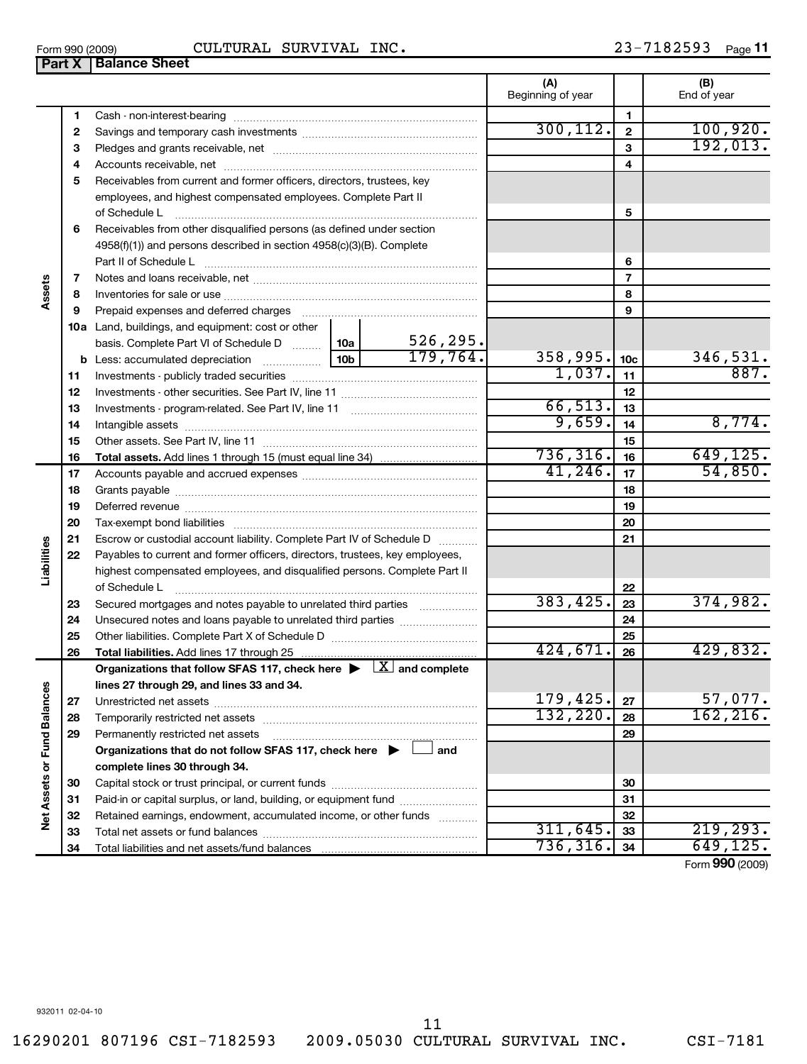| Form 990 (2009) | $^{\circ}$ INC.<br>CULTURAL SURVIVAL | 23-7182593<br>$_{\sf Page}$ 11 |
|-----------------|--------------------------------------|--------------------------------|
|                 |                                      |                                |

|                             |    | <b>Part X   Balance Sheet</b>                                                                                        |                                                |
|-----------------------------|----|----------------------------------------------------------------------------------------------------------------------|------------------------------------------------|
|                             |    |                                                                                                                      | (B)<br>(A)<br>Beginning of year<br>End of year |
|                             | 1  |                                                                                                                      | 1                                              |
|                             | 2  |                                                                                                                      | 300, 112.<br>100,920.<br>$\mathbf{2}$          |
|                             | 3  |                                                                                                                      | 192,013.<br>3                                  |
| Assets                      | 4  |                                                                                                                      | 4                                              |
|                             | 5  | Receivables from current and former officers, directors, trustees, key                                               |                                                |
|                             |    | employees, and highest compensated employees. Complete Part II                                                       |                                                |
|                             |    | of Schedule L                                                                                                        | 5                                              |
|                             | 6  | Receivables from other disqualified persons (as defined under section                                                |                                                |
|                             |    | 4958(f)(1)) and persons described in section 4958(c)(3)(B). Complete                                                 |                                                |
|                             |    | Part II of Schedule Latinum and Contract in the Schedule Latinum and Contract in the Schedule Latinum and Schedule L | 6                                              |
|                             | 7  |                                                                                                                      | 7                                              |
|                             | 8  |                                                                                                                      | 8                                              |
|                             | 9  |                                                                                                                      | 9                                              |
|                             |    | 10a Land, buildings, and equipment: cost or other                                                                    |                                                |
|                             |    | 526, 295.<br>basis. Complete Part VI of Schedule D    10a                                                            |                                                |
|                             |    | 179,764.<br>10 <sub>b</sub>                                                                                          | 358,995.<br>346,531.<br>10 <sub>c</sub>        |
|                             | 11 |                                                                                                                      | 887.<br>$\overline{1,037}$ .<br>11             |
|                             | 12 |                                                                                                                      | 12                                             |
|                             | 13 |                                                                                                                      | 66, 513.<br>13                                 |
|                             | 14 |                                                                                                                      | 8,774.<br>9,659.<br>14                         |
|                             | 15 |                                                                                                                      | 15                                             |
|                             | 16 |                                                                                                                      | 736, 316.<br>649, 125.<br>16                   |
|                             | 17 |                                                                                                                      | 41, 246.<br>54,850.<br>17                      |
|                             | 18 |                                                                                                                      | 18                                             |
|                             | 19 |                                                                                                                      | 19                                             |
|                             | 20 |                                                                                                                      | 20                                             |
|                             | 21 | Escrow or custodial account liability. Complete Part IV of Schedule D                                                | 21                                             |
|                             | 22 | Payables to current and former officers, directors, trustees, key employees,                                         |                                                |
| Liabilities                 |    | highest compensated employees, and disqualified persons. Complete Part II                                            |                                                |
|                             |    | of Schedule L                                                                                                        | 22<br>374,982.<br>383,425.                     |
|                             | 23 | Secured mortgages and notes payable to unrelated third parties                                                       | 23                                             |
|                             | 24 |                                                                                                                      | 24                                             |
|                             | 25 |                                                                                                                      | 25<br>424,671.<br>429,832.                     |
|                             | 26 | Organizations that follow SFAS 117, check here $\blacktriangleright \Box$ and complete                               | 26                                             |
|                             |    | lines 27 through 29, and lines 33 and 34.                                                                            |                                                |
|                             | 27 |                                                                                                                      | 179,425.<br>57,077.<br>27                      |
|                             | 28 |                                                                                                                      | 162, 216.<br>132, 220.<br>28                   |
|                             | 29 | Permanently restricted net assets                                                                                    | 29                                             |
|                             |    | Organizations that do not follow SFAS 117, check here $\blacktriangleright \Box$ and                                 |                                                |
|                             |    | complete lines 30 through 34.                                                                                        |                                                |
| Net Assets or Fund Balances | 30 |                                                                                                                      | 30                                             |
|                             | 31 | Paid-in or capital surplus, or land, building, or equipment fund                                                     | 31                                             |
|                             | 32 | Retained earnings, endowment, accumulated income, or other funds                                                     | 32                                             |
|                             | 33 |                                                                                                                      | 311,645.<br>219,293.<br>33                     |
|                             | 34 |                                                                                                                      | 736, 316.<br>649,125.<br>34                    |
|                             |    |                                                                                                                      | $T_{\text{sum}}$ 000 (2000)                    |

Form (2009) **990**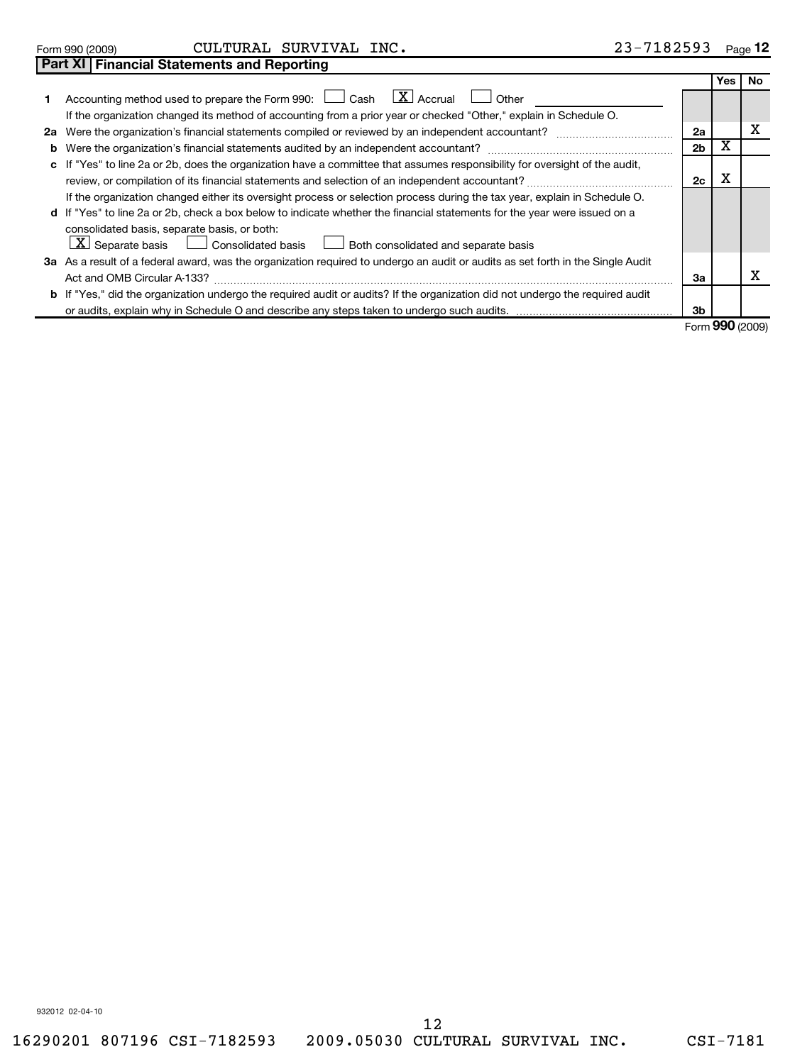|  | Form 990 (2009) |
|--|-----------------|
|  |                 |

**Part XI Financial Statements and Reporting**

|                                                                                                                                                             |                | Yes l                 | No. |
|-------------------------------------------------------------------------------------------------------------------------------------------------------------|----------------|-----------------------|-----|
| $\lfloor \mathbf{X} \rfloor$ Accrual<br>1 Accounting method used to prepare the Form 990: [13] Cash<br>Other                                                |                |                       |     |
| If the organization changed its method of accounting from a prior year or checked "Other," explain in Schedule O.                                           |                |                       |     |
| 2a Were the organization's financial statements compiled or reviewed by an independent accountant?                                                          | 2a             |                       | х   |
|                                                                                                                                                             | 2 <sub>b</sub> | х                     |     |
| c If "Yes" to line 2a or 2b, does the organization have a committee that assumes responsibility for oversight of the audit,                                 |                |                       |     |
| review, or compilation of its financial statements and selection of an independent accountant?                                                              | 2c             | х                     |     |
| If the organization changed either its oversight process or selection process during the tax year, explain in Schedule O.                                   |                |                       |     |
| d If "Yes" to line 2a or 2b, check a box below to indicate whether the financial statements for the year were issued on a                                   |                |                       |     |
| consolidated basis, separate basis, or both:                                                                                                                |                |                       |     |
| $\lfloor \underline{\textbf{X}} \rfloor$ Separate basis $\lfloor \underline{\textbf{X}} \rfloor$ Consolidated basis<br>Both consolidated and separate basis |                |                       |     |
| 3a As a result of a federal award, was the organization required to undergo an audit or audits as set forth in the Single Audit                             |                |                       |     |
| Act and OMB Circular A-133?                                                                                                                                 | За             |                       |     |
| <b>b</b> If "Yes," did the organization undergo the required audit or audits? If the organization did not undergo the required audit                        |                |                       |     |
|                                                                                                                                                             | 3b             |                       |     |
|                                                                                                                                                             |                | $F = \Omega Q \Omega$ |     |

Form **990** (2009)

932012 02-04-10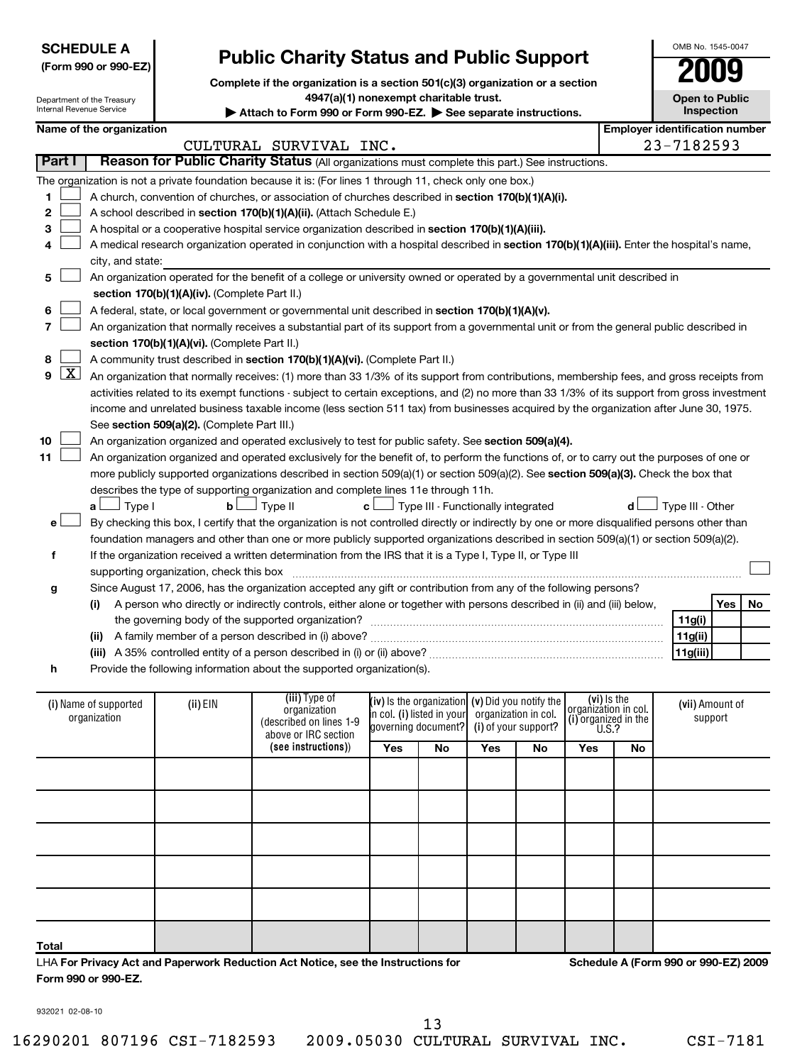| <b>SCHEDULE A</b>    |  |
|----------------------|--|
| (Form 990 or 990-EZ) |  |

 $\sim$  $\sim$  $\sim$  $\sim$ 

|                                                                               | UIVID INU. 1040-004 |
|-------------------------------------------------------------------------------|---------------------|
| <b>Public Charity Status and Public Support</b>                               | 2009                |
| Complete if the organization is a section 501(c)(3) organization or a section |                     |

**4947(a)(1) nonexempt charitable trust.**

A medical research organization operated in conjunction with a hospital described in **section 170(b)(1)(A)(iii).** Enter the hospital's name,

CULTURAL SURVIVAL INC. 23-7182593

Attach to Form 990 or Form 990-EZ. See separate instructions.

A church, convention of churches, or association of churches described in section 170(b)(1)(A)(i).

**Part I** | Reason for Public Charity Status (All organizations must complete this part.) See instructions.

A hospital or a cooperative hospital service organization described in section 170(b)(1)(A)(iii).

A school described in **section 170(b)(1)(A)(ii).** (Attach Schedule E.)

The organization is not a private foundation because it is: (For lines 1 through 11, check only one box.)

**Open to Public Inspection** Name of the organization **Name of the organization** 

OMB No. 1545-0047

|    |                                                             | city, and state:                                                                                                                                     |                  |     |    |  |  |  |  |  |
|----|-------------------------------------------------------------|------------------------------------------------------------------------------------------------------------------------------------------------------|------------------|-----|----|--|--|--|--|--|
| 5  |                                                             | An organization operated for the benefit of a college or university owned or operated by a governmental unit described in                            |                  |     |    |  |  |  |  |  |
|    |                                                             | section 170(b)(1)(A)(iv). (Complete Part II.)                                                                                                        |                  |     |    |  |  |  |  |  |
| 6  |                                                             | A federal, state, or local government or governmental unit described in section 170(b)(1)(A)(v).                                                     |                  |     |    |  |  |  |  |  |
|    |                                                             | An organization that normally receives a substantial part of its support from a governmental unit or from the general public described in            |                  |     |    |  |  |  |  |  |
|    |                                                             | section 170(b)(1)(A)(vi). (Complete Part II.)                                                                                                        |                  |     |    |  |  |  |  |  |
| 8  |                                                             | A community trust described in section 170(b)(1)(A)(vi). (Complete Part II.)                                                                         |                  |     |    |  |  |  |  |  |
|    | $9$ $X$                                                     | An organization that normally receives: (1) more than 33 1/3% of its support from contributions, membership fees, and gross receipts from            |                  |     |    |  |  |  |  |  |
|    |                                                             | activities related to its exempt functions - subject to certain exceptions, and (2) no more than 33 1/3% of its support from gross investment        |                  |     |    |  |  |  |  |  |
|    |                                                             | income and unrelated business taxable income (less section 511 tax) from businesses acquired by the organization after June 30, 1975.                |                  |     |    |  |  |  |  |  |
|    |                                                             | See section 509(a)(2). (Complete Part III.)                                                                                                          |                  |     |    |  |  |  |  |  |
| 10 |                                                             | An organization organized and operated exclusively to test for public safety. See section 509(a)(4).                                                 |                  |     |    |  |  |  |  |  |
| 11 |                                                             | An organization organized and operated exclusively for the benefit of, to perform the functions of, or to carry out the purposes of one or           |                  |     |    |  |  |  |  |  |
|    |                                                             | more publicly supported organizations described in section $509(a)(1)$ or section $509(a)(2)$ . See section $509(a)(3)$ . Check the box that         |                  |     |    |  |  |  |  |  |
|    |                                                             | describes the type of supporting organization and complete lines 11e through 11h.                                                                    |                  |     |    |  |  |  |  |  |
|    |                                                             | $\mathbf{c}$ $\Box$ Type III - Functionally integrated<br>Type I<br>Type II<br>$\mathbf{b}$<br>d l<br>a $\Box$                                       | Type III - Other |     |    |  |  |  |  |  |
| e  |                                                             | By checking this box, I certify that the organization is not controlled directly or indirectly by one or more disqualified persons other than        |                  |     |    |  |  |  |  |  |
|    |                                                             | foundation managers and other than one or more publicly supported organizations described in section 509(a)(1) or section 509(a)(2).                 |                  |     |    |  |  |  |  |  |
| f  |                                                             | If the organization received a written determination from the IRS that it is a Type I, Type II, or Type III                                          |                  |     |    |  |  |  |  |  |
|    |                                                             | supporting organization, check this box                                                                                                              |                  |     |    |  |  |  |  |  |
| g  |                                                             | Since August 17, 2006, has the organization accepted any gift or contribution from any of the following persons?                                     |                  |     |    |  |  |  |  |  |
|    |                                                             | A person who directly or indirectly controls, either alone or together with persons described in (ii) and (iii) below,<br>(i)                        |                  | Yes | No |  |  |  |  |  |
|    | the governing body of the supported organization?<br>11g(i) |                                                                                                                                                      |                  |     |    |  |  |  |  |  |
|    | 11g(ii)<br>(ii)                                             |                                                                                                                                                      |                  |     |    |  |  |  |  |  |
|    | 11g(iii)                                                    |                                                                                                                                                      |                  |     |    |  |  |  |  |  |
| h  |                                                             | Provide the following information about the supported organization(s).                                                                               |                  |     |    |  |  |  |  |  |
|    |                                                             |                                                                                                                                                      |                  |     |    |  |  |  |  |  |
|    |                                                             | (iii) Type of<br>(vi) is the<br>$(iv)$ is the organization $(v)$ Did you notify the<br>(i) Name of supported<br>(ii) EIN                             | (vii) Amount of  |     |    |  |  |  |  |  |
|    |                                                             | organization in col.<br>organization<br>in col. (i) listed in your   organization in col.<br>organization<br>(i) organized in the<br>10 <sub>2</sub> | support          |     |    |  |  |  |  |  |

| (i) Name of supported<br>organization | (ii) EIN | (iii) Type of<br>organization<br>(described on lines 1-9<br>above or IRC section |     | (iv) is the organization $(v)$ Did you notify the<br>in col. (i) listed in your organization in col.<br>governing document? (i) of your support? |            |    | (vi) Is the<br> organization in col.<br>(i) organized in the<br>$\left  \begin{array}{c} 0.1, 0.0000, 0.0000, 0.0000, 0.0000, 0.0000, 0.0000, 0.0000, 0.0000, 0.0000, 0.0000, 0.0000, 0.0000, 0.0000, 0.0000, 0.0000, 0.0000, 0.0000, 0.0000, 0.000$ |    | (vii) Amount of<br>support |
|---------------------------------------|----------|----------------------------------------------------------------------------------|-----|--------------------------------------------------------------------------------------------------------------------------------------------------|------------|----|------------------------------------------------------------------------------------------------------------------------------------------------------------------------------------------------------------------------------------------------------|----|----------------------------|
|                                       |          | (see instructions))                                                              | Yes | No                                                                                                                                               | <b>Yes</b> | No | Yes                                                                                                                                                                                                                                                  | No |                            |
|                                       |          |                                                                                  |     |                                                                                                                                                  |            |    |                                                                                                                                                                                                                                                      |    |                            |
|                                       |          |                                                                                  |     |                                                                                                                                                  |            |    |                                                                                                                                                                                                                                                      |    |                            |
|                                       |          |                                                                                  |     |                                                                                                                                                  |            |    |                                                                                                                                                                                                                                                      |    |                            |
|                                       |          |                                                                                  |     |                                                                                                                                                  |            |    |                                                                                                                                                                                                                                                      |    |                            |
|                                       |          |                                                                                  |     |                                                                                                                                                  |            |    |                                                                                                                                                                                                                                                      |    |                            |
| <b>Total</b>                          |          |                                                                                  |     |                                                                                                                                                  |            |    |                                                                                                                                                                                                                                                      |    |                            |

**For Privacy Act and Paperwork Reduction Act Notice, see the Instructions for** LHA **Form 990 or 990-EZ.**

**Schedule A (Form 990 or 990-EZ) 2009**

932021 02-08-10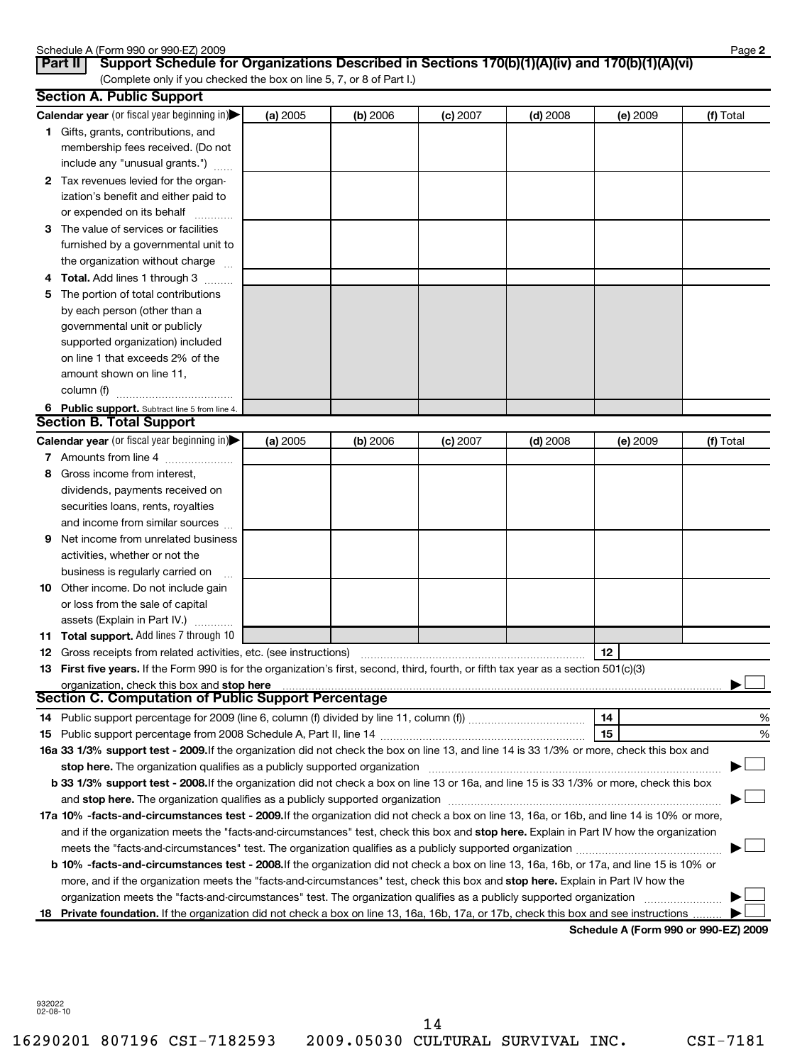|     | Schedule A (Form 990 or 990-EZ) 2009<br>Support Schedule for Organizations Described in Sections 170(b)(1)(A)(iv) and 170(b)(1)(A)(vi)<br>Part II                                                                             |          |          |            |            |                 | Page 2    |
|-----|-------------------------------------------------------------------------------------------------------------------------------------------------------------------------------------------------------------------------------|----------|----------|------------|------------|-----------------|-----------|
|     | (Complete only if you checked the box on line 5, 7, or 8 of Part I.)                                                                                                                                                          |          |          |            |            |                 |           |
|     | <b>Section A. Public Support</b>                                                                                                                                                                                              |          |          |            |            |                 |           |
|     | Calendar year (or fiscal year beginning in)                                                                                                                                                                                   | (a) 2005 | (b) 2006 | $(c)$ 2007 | $(d)$ 2008 | (e) 2009        | (f) Total |
|     | 1 Gifts, grants, contributions, and<br>membership fees received. (Do not                                                                                                                                                      |          |          |            |            |                 |           |
|     | include any "unusual grants.")                                                                                                                                                                                                |          |          |            |            |                 |           |
|     | 2 Tax revenues levied for the organ-                                                                                                                                                                                          |          |          |            |            |                 |           |
|     | ization's benefit and either paid to                                                                                                                                                                                          |          |          |            |            |                 |           |
|     | or expended on its behalf                                                                                                                                                                                                     |          |          |            |            |                 |           |
| 3   | The value of services or facilities                                                                                                                                                                                           |          |          |            |            |                 |           |
|     | furnished by a governmental unit to                                                                                                                                                                                           |          |          |            |            |                 |           |
|     | the organization without charge                                                                                                                                                                                               |          |          |            |            |                 |           |
|     | Total. Add lines 1 through 3                                                                                                                                                                                                  |          |          |            |            |                 |           |
| 5   | The portion of total contributions                                                                                                                                                                                            |          |          |            |            |                 |           |
|     | by each person (other than a                                                                                                                                                                                                  |          |          |            |            |                 |           |
|     | governmental unit or publicly                                                                                                                                                                                                 |          |          |            |            |                 |           |
|     | supported organization) included                                                                                                                                                                                              |          |          |            |            |                 |           |
|     | on line 1 that exceeds 2% of the                                                                                                                                                                                              |          |          |            |            |                 |           |
|     | amount shown on line 11,                                                                                                                                                                                                      |          |          |            |            |                 |           |
|     | column (f)                                                                                                                                                                                                                    |          |          |            |            |                 |           |
|     |                                                                                                                                                                                                                               |          |          |            |            |                 |           |
|     | 6 Public support. Subtract line 5 from line 4.<br><b>Section B. Total Support</b>                                                                                                                                             |          |          |            |            |                 |           |
|     | Calendar year (or fiscal year beginning in)                                                                                                                                                                                   |          |          |            |            |                 |           |
|     |                                                                                                                                                                                                                               | (a) 2005 | (b) 2006 | $(c)$ 2007 | $(d)$ 2008 | <b>(e)</b> 2009 | (f) Total |
|     | 7 Amounts from line 4                                                                                                                                                                                                         |          |          |            |            |                 |           |
| 8   | Gross income from interest,                                                                                                                                                                                                   |          |          |            |            |                 |           |
|     | dividends, payments received on                                                                                                                                                                                               |          |          |            |            |                 |           |
|     | securities loans, rents, royalties                                                                                                                                                                                            |          |          |            |            |                 |           |
|     | and income from similar sources                                                                                                                                                                                               |          |          |            |            |                 |           |
| 9   | Net income from unrelated business                                                                                                                                                                                            |          |          |            |            |                 |           |
|     | activities, whether or not the                                                                                                                                                                                                |          |          |            |            |                 |           |
|     | business is regularly carried on                                                                                                                                                                                              |          |          |            |            |                 |           |
| 10  | Other income. Do not include gain                                                                                                                                                                                             |          |          |            |            |                 |           |
|     | or loss from the sale of capital                                                                                                                                                                                              |          |          |            |            |                 |           |
|     | assets (Explain in Part IV.)                                                                                                                                                                                                  |          |          |            |            |                 |           |
|     | 11 Total support. Add lines 7 through 10                                                                                                                                                                                      |          |          |            |            |                 |           |
|     | Gross receipts from related activities, etc. (see instructions) manufactured contains and contained activities,                                                                                                               |          |          |            |            | 12              |           |
| 13. | First five years. If the Form 990 is for the organization's first, second, third, fourth, or fifth tax year as a section 501(c)(3)                                                                                            |          |          |            |            |                 |           |
|     | organization, check this box and stop here manufactured and announced and an architecture of the state of the<br><b>Section C. Computation of Public Support Percentage</b>                                                   |          |          |            |            |                 |           |
|     |                                                                                                                                                                                                                               |          |          |            |            | 14              |           |
| 14  |                                                                                                                                                                                                                               |          |          |            |            |                 | %         |
| 15  |                                                                                                                                                                                                                               |          |          |            |            | 15              | %         |
|     | 16a 33 1/3% support test - 2009. If the organization did not check the box on line 13, and line 14 is 33 1/3% or more, check this box and                                                                                     |          |          |            |            |                 |           |
|     | stop here. The organization qualifies as a publicly supported organization manufaction manufacture content of the organization manufacture content of the organization of the state of the state of the state of the state of |          |          |            |            |                 |           |
|     | b 33 1/3% support test - 2008. If the organization did not check a box on line 13 or 16a, and line 15 is 33 1/3% or more, check this box                                                                                      |          |          |            |            |                 |           |
|     |                                                                                                                                                                                                                               |          |          |            |            |                 |           |
|     | 17a 10% -facts-and-circumstances test - 2009. If the organization did not check a box on line 13, 16a, or 16b, and line 14 is 10% or more,                                                                                    |          |          |            |            |                 |           |
|     | and if the organization meets the "facts-and-circumstances" test, check this box and stop here. Explain in Part IV how the organization                                                                                       |          |          |            |            |                 |           |
|     |                                                                                                                                                                                                                               |          |          |            |            |                 |           |
|     | b 10% -facts-and-circumstances test - 2008. If the organization did not check a box on line 13, 16a, 16b, or 17a, and line 15 is 10% or                                                                                       |          |          |            |            |                 |           |
|     | more, and if the organization meets the "facts-and-circumstances" test, check this box and stop here. Explain in Part IV how the                                                                                              |          |          |            |            |                 |           |
|     |                                                                                                                                                                                                                               |          |          |            |            |                 |           |
| 18  | Private foundation. If the organization did not check a box on line 13, 16a, 16b, 17a, or 17b, check this box and see instructions                                                                                            |          |          |            |            |                 |           |

**Schedule A (Form 990 or 990-EZ) 2009**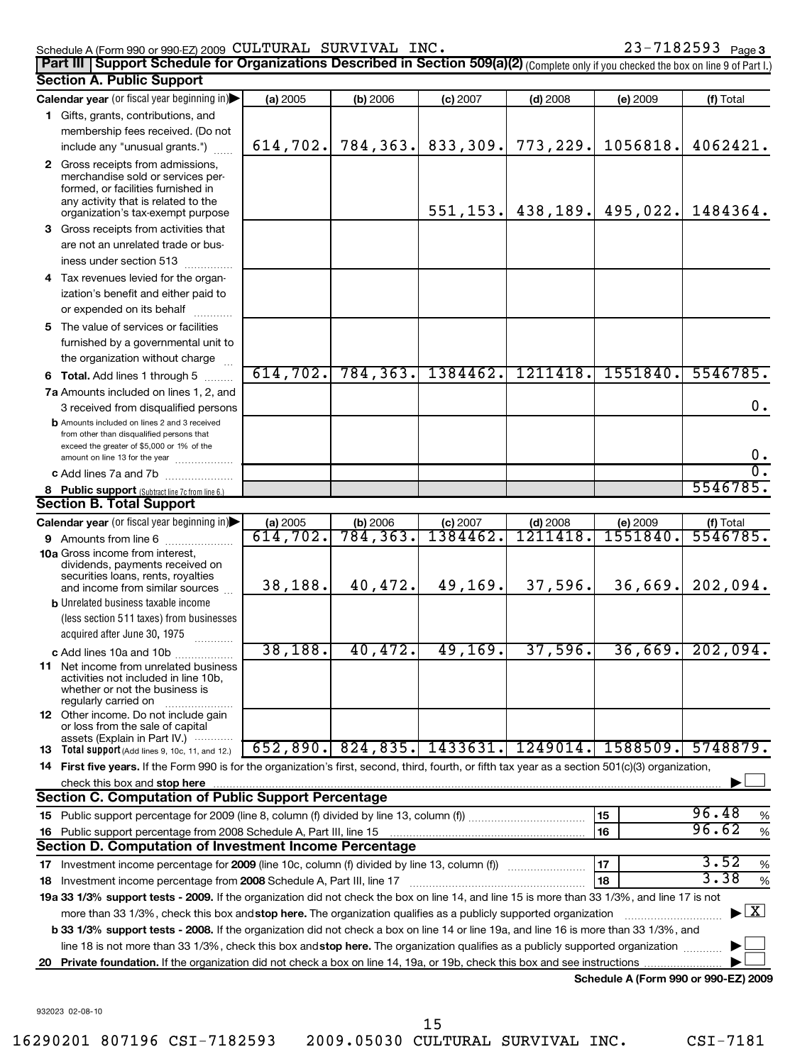### Schedule A (Form 990 or 990-EZ) 2009 Page CULTURAL SURVIVAL INC. 23-7182593

**3**

|    | Part III   Support Schedule for Organizations Described in Section 509(a)(2) (Complete only if you checked the box on line 9 of Part I.)                                                                                |                                |                       |            |            |          |                                           |
|----|-------------------------------------------------------------------------------------------------------------------------------------------------------------------------------------------------------------------------|--------------------------------|-----------------------|------------|------------|----------|-------------------------------------------|
|    | <b>Section A. Public Support</b>                                                                                                                                                                                        |                                |                       |            |            |          |                                           |
|    | Calendar year (or fiscal year beginning in)                                                                                                                                                                             | (a) 2005                       | (b) 2006              | $(c)$ 2007 | $(d)$ 2008 | (e) 2009 | (f) Total                                 |
|    | 1 Gifts, grants, contributions, and                                                                                                                                                                                     |                                |                       |            |            |          |                                           |
|    | membership fees received. (Do not                                                                                                                                                                                       | 614,702.                       | 784,363.              | 833,309.   | 773,229.   | 1056818. | 4062421.                                  |
|    | include any "unusual grants.")                                                                                                                                                                                          |                                |                       |            |            |          |                                           |
|    | 2 Gross receipts from admissions,<br>merchandise sold or services per-<br>formed, or facilities furnished in<br>any activity that is related to the<br>organization's tax-exempt purpose                                |                                |                       | 551, 153.  | 438, 189.  | 495,022. | 1484364.                                  |
|    | 3 Gross receipts from activities that<br>are not an unrelated trade or bus-<br>iness under section 513                                                                                                                  |                                |                       |            |            |          |                                           |
|    | 4 Tax revenues levied for the organ-<br>ization's benefit and either paid to<br>or expended on its behalf                                                                                                               |                                |                       |            |            |          |                                           |
|    | 5 The value of services or facilities<br>furnished by a governmental unit to<br>the organization without charge                                                                                                         |                                |                       |            |            |          |                                           |
|    | 6 Total. Add lines 1 through 5                                                                                                                                                                                          | 614, 702.                      | 784, 363.             | 1384462.   | 1211418.   | 1551840. | 5546785.                                  |
|    | 7a Amounts included on lines 1, 2, and<br>3 received from disqualified persons                                                                                                                                          |                                |                       |            |            |          | 0.                                        |
|    | <b>b</b> Amounts included on lines 2 and 3 received<br>from other than disqualified persons that<br>exceed the greater of \$5,000 or 1% of the<br>amount on line 13 for the year                                        |                                |                       |            |            |          | 0.                                        |
|    | c Add lines 7a and 7b                                                                                                                                                                                                   |                                |                       |            |            |          | $\overline{0}$ .                          |
|    | 8 Public support (Subtract line 7c from line 6.)                                                                                                                                                                        |                                |                       |            |            |          | 5546785.                                  |
|    | <b>Section B. Total Support</b>                                                                                                                                                                                         |                                |                       |            |            |          |                                           |
|    | Calendar year (or fiscal year beginning in)                                                                                                                                                                             | $\frac{$ (a) 2005<br>614, 702. | $\frac{1}{784,363}$   | (c) 2007   | $(d)$ 2008 | (e) 2009 | $(t)$ Total<br>5546785.                   |
|    | 9 Amounts from line 6                                                                                                                                                                                                   |                                |                       | 1384462    | 1211418    | 1551840. |                                           |
|    | <b>10a</b> Gross income from interest,<br>dividends, payments received on<br>securities loans, rents, royalties<br>and income from similar sources                                                                      | 38,188.                        | 40,472.               | 49,169.    | 37,596.    | 36,669.  | 202,094.                                  |
|    | <b>b</b> Unrelated business taxable income<br>(less section 511 taxes) from businesses                                                                                                                                  |                                |                       |            |            |          |                                           |
|    | acquired after June 30, 1975<br>.                                                                                                                                                                                       |                                |                       |            |            |          |                                           |
|    | c Add lines 10a and 10b<br>11 Net income from unrelated business<br>activities not included in line 10b,<br>whether or not the business is<br>regularly carried on                                                      | 38, 188.                       | 40,472.               | 49, 169.   | 37,596.    |          | $36,669.$ 202,094.                        |
|    | <b>12</b> Other income. Do not include gain<br>or loss from the sale of capital<br>assets (Explain in Part IV.)                                                                                                         |                                |                       |            |            |          |                                           |
|    | 13 Total support (Add lines 9, 10c, 11, and 12.)                                                                                                                                                                        |                                | $652, 890.$ 824, 835. | 1433631.   | 1249014.   | 1588509. | 5748879.                                  |
|    | 14 First five years. If the Form 990 is for the organization's first, second, third, fourth, or fifth tax year as a section 501(c)(3) organization,                                                                     |                                |                       |            |            |          |                                           |
|    | check this box and stop here www.communication.communication.com/                                                                                                                                                       |                                |                       |            |            |          |                                           |
|    | <b>Section C. Computation of Public Support Percentage</b>                                                                                                                                                              |                                |                       |            |            |          | 96.48                                     |
|    |                                                                                                                                                                                                                         |                                |                       |            |            | 15       | %<br>96.62                                |
| 16 | Section D. Computation of Investment Income Percentage                                                                                                                                                                  |                                |                       |            |            | 16       | $\%$                                      |
|    |                                                                                                                                                                                                                         |                                |                       |            |            | 17       | 3.52<br>$\%$                              |
|    |                                                                                                                                                                                                                         |                                |                       |            |            | 18       | 3.38<br>$\%$                              |
|    | 18 Investment income percentage from 2008 Schedule A, Part III, line 17<br>19a 33 1/3% support tests - 2009. If the organization did not check the box on line 14, and line 15 is more than 33 1/3%, and line 17 is not |                                |                       |            |            |          |                                           |
|    | more than 33 1/3%, check this box and stop here. The organization qualifies as a publicly supported organization                                                                                                        |                                |                       |            |            |          | $\blacktriangleright$ $\lfloor x \rfloor$ |
|    | b 33 1/3% support tests - 2008. If the organization did not check a box on line 14 or line 19a, and line 16 is more than 33 1/3%, and                                                                                   |                                |                       |            |            |          |                                           |
|    | line 18 is not more than 33 1/3%, check this box and stop here. The organization qualifies as a publicly supported organization                                                                                         |                                |                       |            |            |          |                                           |
| 20 |                                                                                                                                                                                                                         |                                |                       |            |            |          |                                           |

**Schedule A (Form 990 or 990-EZ) 2009**

932023 02-08-10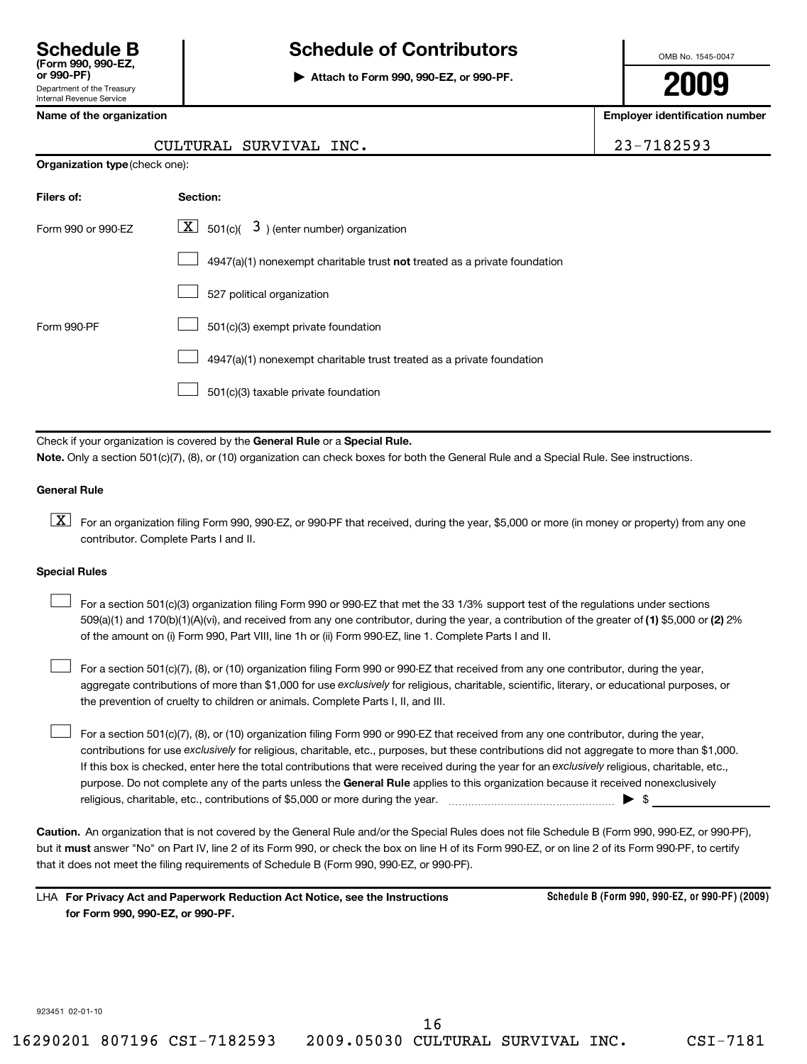## **Schedule B Schedule of Contributors**

**or 990-PF) | Attach to Form 990, 990-EZ, or 990-PF.**

OMB No. 1545-0047

**2009**

**Name of the organization Employer identification number**

| CULTURAL SURVIVAL INC. | 23-7182593 |
|------------------------|------------|
|                        |            |

**Organization type** (check one):

| Filers of:         | Section:                                                                           |
|--------------------|------------------------------------------------------------------------------------|
| Form 990 or 990-EZ | $\lfloor \underline{X} \rfloor$ 501(c)( 3) (enter number) organization             |
|                    | $4947(a)(1)$ nonexempt charitable trust <b>not</b> treated as a private foundation |
|                    | 527 political organization                                                         |
| Form 990-PF        | 501(c)(3) exempt private foundation                                                |
|                    | 4947(a)(1) nonexempt charitable trust treated as a private foundation              |
|                    | 501(c)(3) taxable private foundation                                               |

Check if your organization is covered by the General Rule or a Special Rule. **Note.**  Only a section 501(c)(7), (8), or (10) organization can check boxes for both the General Rule and a Special Rule. See instructions.

## **General Rule**

 $\boxed{\textbf{X}}$  For an organization filing Form 990, 990-EZ, or 990-PF that received, during the year, \$5,000 or more (in money or property) from any one contributor. Complete Parts I and II.

## **Special Rules**

509(a)(1) and 170(b)(1)(A)(vi), and received from any one contributor, during the year, a contribution of the greater of (1) \$5,000 or (2) 2% For a section 501(c)(3) organization filing Form 990 or 990-EZ that met the 33 1/3% support test of the regulations under sections of the amount on (i) Form 990, Part VIII, line 1h or (ii) Form 990-EZ, line 1. Complete Parts I and II.  $\left\vert \cdot\right\vert$ 

aggregate contributions of more than \$1,000 for use exclusively for religious, charitable, scientific, literary, or educational purposes, or For a section 501(c)(7), (8), or (10) organization filing Form 990 or 990-EZ that received from any one contributor, during the year, the prevention of cruelty to children or animals. Complete Parts I, II, and III.  $\left\vert \cdot\right\vert$ 

purpose. Do not complete any of the parts unless the General Rule applies to this organization because it received nonexclusively contributions for use exclusively for religious, charitable, etc., purposes, but these contributions did not aggregate to more than \$1,000. If this box is checked, enter here the total contributions that were received during the year for an exclusively religious, charitable, etc., For a section 501(c)(7), (8), or (10) organization filing Form 990 or 990-EZ that received from any one contributor, during the year, religious, charitable, etc., contributions of \$5,000 or more during the year. ~~~~~~~~~~~~~~~~~ | \$  $\left\vert \cdot\right\vert$ 

**Caution.** An organization that is not covered by the General Rule and/or the Special Rules does not file Schedule B (Form 990, 990-EZ, or 990-PF), but it **must** answer "No" on Part IV, line 2 of its Form 990, or check the box on line H of its Form 990-EZ, or on line 2 of its Form 990-PF, to certify that it does not meet the filing requirements of Schedule B (Form 990, 990-EZ, or 990-PF).

**For Privacy Act and Paperwork Reduction Act Notice, see the Instructions** LHA **for Form 990, 990-EZ, or 990-PF.**

**Schedule B (Form 990, 990-EZ, or 990-PF) (2009)**

923451 02-01-10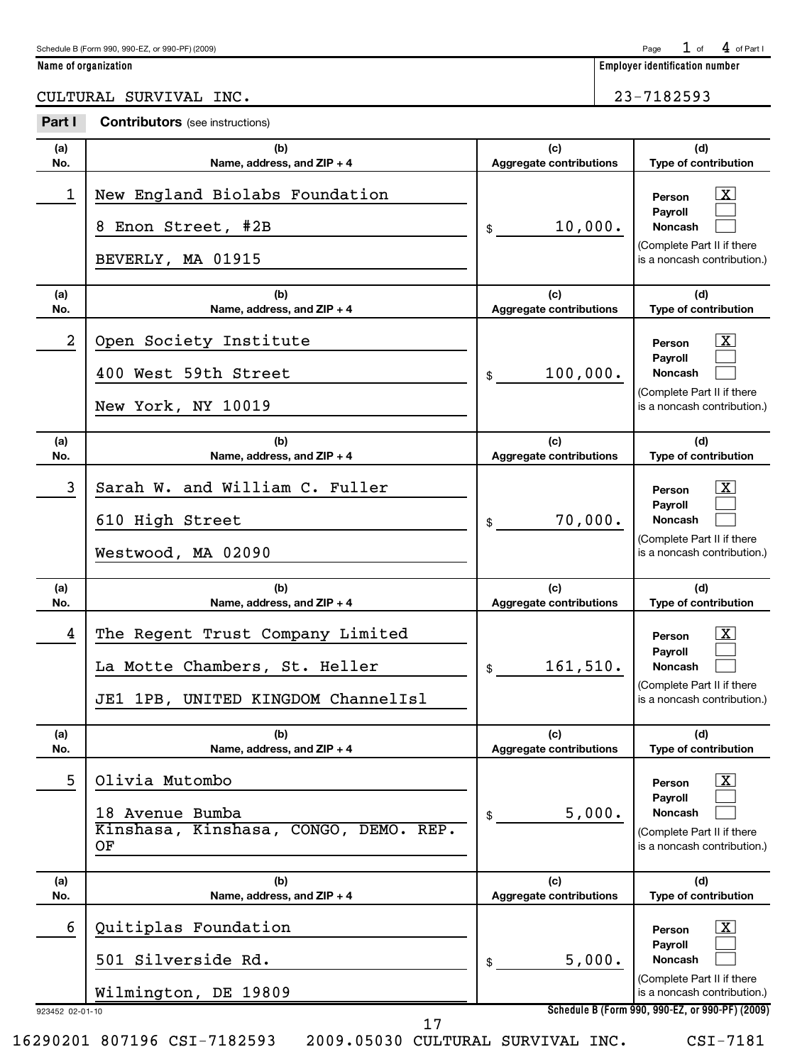$1$  of  $4$  of Part I

**Name of organization Employer identification number**

CULTURAL SURVIVAL INC. 23-7182593

| Part I          | <b>Contributors</b> (see instructions)                                                                     |                                       |                                                                                                                         |
|-----------------|------------------------------------------------------------------------------------------------------------|---------------------------------------|-------------------------------------------------------------------------------------------------------------------------|
| (a)<br>No.      | (b)<br>Name, address, and ZIP + 4                                                                          | (c)<br><b>Aggregate contributions</b> | (d)<br>Type of contribution                                                                                             |
| 1               | New England Biolabs Foundation<br>8 Enon Street, #2B<br>BEVERLY, MA 01915                                  | 10,000.<br>\$                         | $\mathbf{X}$<br>Person<br>Pavroll<br><b>Noncash</b><br>(Complete Part II if there<br>is a noncash contribution.)        |
| (a)<br>No.      | (b)<br>Name, address, and ZIP + 4                                                                          | (c)<br><b>Aggregate contributions</b> | (d)<br>Type of contribution                                                                                             |
| $\overline{a}$  | Open Society Institute<br>400 West 59th Street<br>New York, NY 10019                                       | 100,000.<br>\$                        | $\mathbf{X}$<br>Person<br>Payroll<br><b>Noncash</b><br>(Complete Part II if there<br>is a noncash contribution.)        |
| (a)<br>No.      | (b)<br>Name, address, and ZIP + 4                                                                          | (c)<br>Aggregate contributions        | (d)<br>Type of contribution                                                                                             |
| 3               | Sarah W. and William C. Fuller<br>610 High Street<br>Westwood, MA 02090                                    | 70,000.<br>\$                         | $\mathbf{X}$<br>Person<br>Payroll<br><b>Noncash</b><br>(Complete Part II if there<br>is a noncash contribution.)        |
| (a)<br>No.      | (b)<br>Name, address, and ZIP + 4                                                                          | (c)<br>Aggregate contributions        | (d)<br>Type of contribution                                                                                             |
| 4               | The Regent Trust Company Limited<br>La Motte Chambers, St. Heller<br>1PB, UNITED KINGDOM ChannelIs1<br>JE1 | 161,510.<br>\$                        | $\mathbf{X}$<br>Person<br>Payroll<br><b>Noncash</b><br>(Complete Part II if there<br>is a noncash contribution.)        |
| (a)<br>No.      | (b)<br>Name, address, and ZIP + 4                                                                          | (c)<br><b>Aggregate contributions</b> | (d)<br>Type of contribution                                                                                             |
| 5               | Olivia Mutombo<br>18 Avenue Bumba<br>Kinshasa, Kinshasa, CONGO, DEMO. REP.<br>ΟF                           | 5,000.<br>\$                          | $\lfloor x \rfloor$<br>Person<br>Payroll<br><b>Noncash</b><br>(Complete Part II if there<br>is a noncash contribution.) |
| (a)<br>No.      | (b)<br>Name, address, and ZIP + 4                                                                          | (c)<br><b>Aggregate contributions</b> | (d)<br>Type of contribution                                                                                             |
| 6               | Quitiplas Foundation<br>501 Silverside Rd.<br>Wilmington, DE 19809                                         | 5,000.<br>\$                          | $\lfloor x \rfloor$<br>Person<br>Payroll<br><b>Noncash</b><br>(Complete Part II if there<br>is a noncash contribution.) |
| 923452 02-01-10 | 17                                                                                                         |                                       | Schedule B (Form 990, 990-EZ, or 990-PF) (2009)                                                                         |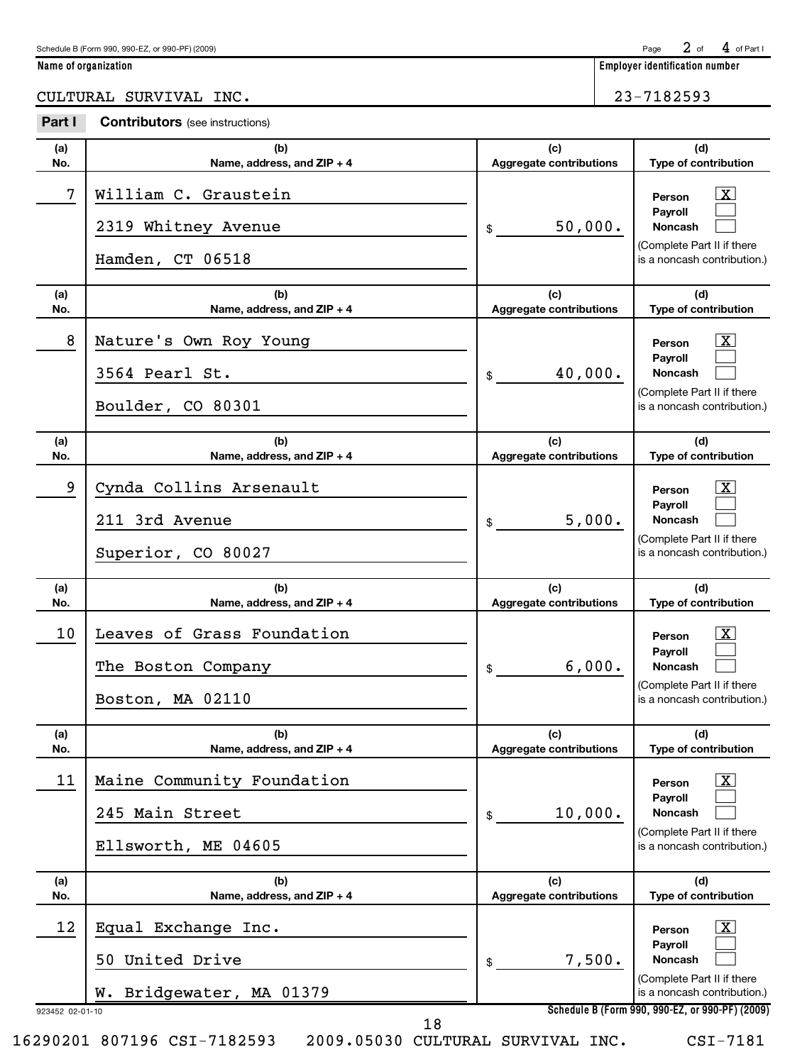$2$  of  $4$  of Part I

**Name of organization Employer identification number**

CULTURAL SURVIVAL INC. 23-7182593

| Part I     | <b>Contributors</b> (see instructions)                                   |                                       |                                                                                                                                                                     |
|------------|--------------------------------------------------------------------------|---------------------------------------|---------------------------------------------------------------------------------------------------------------------------------------------------------------------|
| (a)<br>No. | (b)<br>Name, address, and ZIP + 4                                        | (c)<br><b>Aggregate contributions</b> | (d)<br>Type of contribution                                                                                                                                         |
| 7          | William C. Graustein<br>2319 Whitney Avenue<br>Hamden, CT 06518          | 50,000.<br>\$                         | <u>  x</u><br>Person<br>Payroll<br><b>Noncash</b><br>(Complete Part II if there<br>is a noncash contribution.)                                                      |
| (a)<br>No. | (b)<br>Name, address, and ZIP + 4                                        | (c)<br><b>Aggregate contributions</b> | (d)<br>Type of contribution                                                                                                                                         |
| 8          | Nature's Own Roy Young<br>3564 Pearl St.<br>Boulder, CO 80301            | 40,000.<br>\$                         | <u>  x</u><br>Person<br>Payroll<br><b>Noncash</b><br>(Complete Part II if there<br>is a noncash contribution.)                                                      |
| (a)<br>No. | (b)<br>Name, address, and ZIP + 4                                        | (c)<br><b>Aggregate contributions</b> | (d)<br>Type of contribution                                                                                                                                         |
| 9          | Cynda Collins Arsenault<br>211 3rd Avenue<br>Superior, CO 80027          | 5,000.<br>\$                          | <u>  x</u><br>Person<br>Payroll<br><b>Noncash</b><br>(Complete Part II if there<br>is a noncash contribution.)                                                      |
| (a)<br>No. | (b)<br>Name, address, and ZIP + 4                                        | (c)<br><b>Aggregate contributions</b> | (d)<br>Type of contribution                                                                                                                                         |
| 10         | Leaves of Grass Foundation<br>The Boston Company<br>Boston, MA 02110     | 6,000.<br>\$                          | <u>  x</u><br>Person<br>Payroll<br><b>Noncash</b><br>(Complete Part II if there<br>is a noncash contribution.)                                                      |
| (a)<br>No. | (b)<br>Name, address, and ZIP + 4                                        | (c)<br><b>Aggregate contributions</b> | (d)<br>Type of contribution                                                                                                                                         |
| 11         |                                                                          |                                       |                                                                                                                                                                     |
|            | Maine Community Foundation<br>245 Main Street<br>Ellsworth, ME 04605     | 10,000.<br>\$                         | $\mathbf{X}$<br>Person<br>Payroll<br><b>Noncash</b><br>(Complete Part II if there<br>is a noncash contribution.)                                                    |
| (a)<br>No. | (b)<br>Name, address, and ZIP + 4                                        | (c)<br>Aggregate contributions        | (d)<br>Type of contribution                                                                                                                                         |
| 12         | Equal Exchange Inc.<br>United Drive<br>50<br>Bridgewater, MA 01379<br>w. | 7,500.<br>\$                          | $\lfloor x \rfloor$<br>Person<br>Payroll<br>Noncash<br>(Complete Part II if there<br>is a noncash contribution.)<br>Schedule B (Form 990, 990-EZ, or 990-PF) (2009) |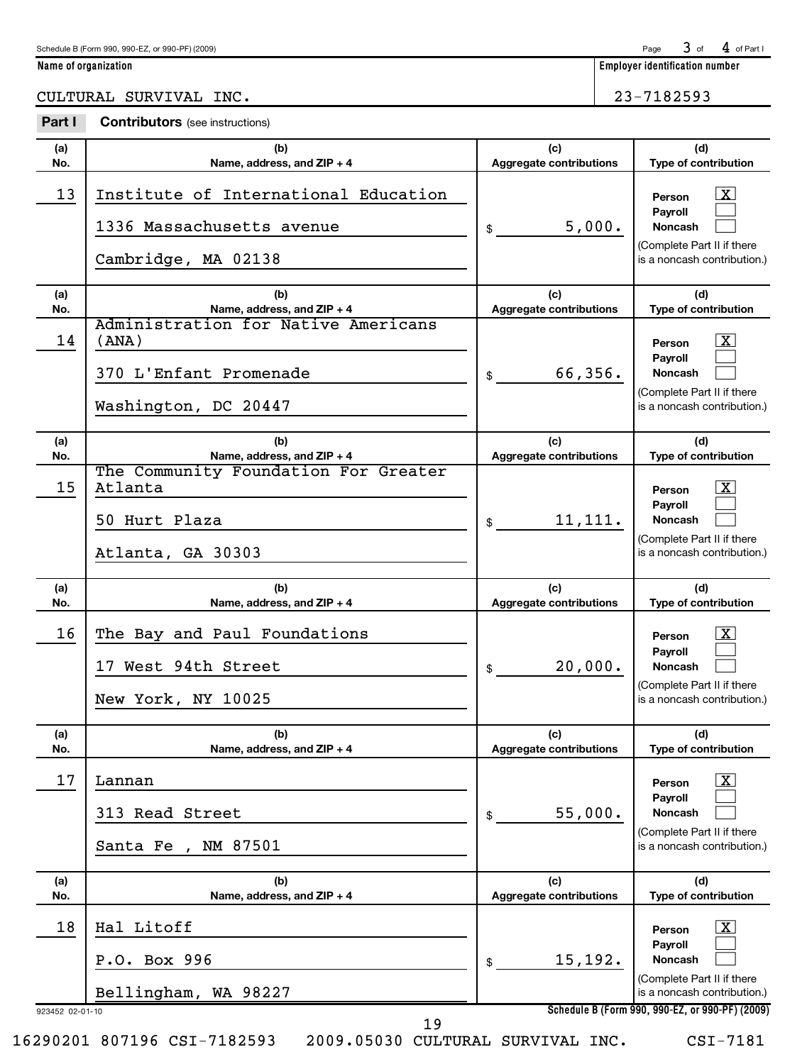Page  $3$  of  $4$  of Part I

**Name of organization Employer identification number**

|  | CULTURAL<br>SURVIVAL | INC. | 7182593<br>∼ |
|--|----------------------|------|--------------|
|--|----------------------|------|--------------|

| Part I     | <b>Contributors</b> (see instructions)                                                         |                                       |                                                                                                                         |
|------------|------------------------------------------------------------------------------------------------|---------------------------------------|-------------------------------------------------------------------------------------------------------------------------|
| (a)<br>No. | (b)<br>Name, address, and ZIP + 4                                                              | (c)<br><b>Aggregate contributions</b> | (d)<br>Type of contribution                                                                                             |
| 13         | Institute of International Education<br>1336 Massachusetts avenue<br>Cambridge, MA 02138       | 5,000.<br>\$                          | $\lfloor x \rfloor$<br>Person<br>Pavroll<br><b>Noncash</b><br>(Complete Part II if there<br>is a noncash contribution.) |
| (a)<br>No. | (b)<br>Name, address, and ZIP + 4                                                              | (c)<br><b>Aggregate contributions</b> | (d)<br>Type of contribution                                                                                             |
| 14         | Administration for Native Americans<br>(ANA)<br>370 L'Enfant Promenade<br>Washington, DC 20447 | 66,356.<br>\$                         | $\boxed{\text{X}}$<br>Person<br>Payroll<br><b>Noncash</b><br>(Complete Part II if there<br>is a noncash contribution.)  |
| (a)<br>No. | (b)<br>Name, address, and ZIP + 4                                                              | (c)<br><b>Aggregate contributions</b> | (d)<br>Type of contribution                                                                                             |
| 15         | The Community Foundation For Greater<br>Atlanta<br>50 Hurt Plaza<br>Atlanta, GA 30303          | 11,111.<br>\$                         | $\boxed{\text{X}}$<br>Person<br>Payroll<br><b>Noncash</b><br>(Complete Part II if there<br>is a noncash contribution.)  |
|            |                                                                                                |                                       |                                                                                                                         |
| (a)<br>No. | (b)<br>Name, address, and ZIP + 4                                                              | (c)<br><b>Aggregate contributions</b> | (d)<br>Type of contribution                                                                                             |
| 16         | The Bay and Paul Foundations<br>17 West 94th Street<br>New York, NY 10025                      | 20,000.<br>\$                         | $\boxed{\text{X}}$<br>Person<br>Payroll<br><b>Noncash</b><br>(Complete Part II if there<br>is a noncash contribution.)  |
| (a)<br>No. | (b)<br>Name, address, and ZIP + 4                                                              | (c)<br><b>Aggregate contributions</b> | (d)<br>Type of contribution                                                                                             |
| 17         | Lannan                                                                                         |                                       | $\boxed{\text{X}}$<br>Person                                                                                            |
|            | 313 Read Street<br>NM 87501<br>Santa Fe,                                                       | 55,000.<br>\$                         | Payroll<br><b>Noncash</b><br>(Complete Part II if there<br>is a noncash contribution.)                                  |
| (a)<br>No. | (b)<br>Name, address, and ZIP + 4                                                              | (c)<br><b>Aggregate contributions</b> | (d)<br>Type of contribution                                                                                             |
| 18         | Hal Litoff                                                                                     |                                       | $\mathbf{X}$<br>Person                                                                                                  |
|            | P.O. Box 996<br>Bellingham, WA 98227                                                           | 15,192.<br>\$                         | Payroll<br>Noncash<br>(Complete Part II if there<br>is a noncash contribution.)                                         |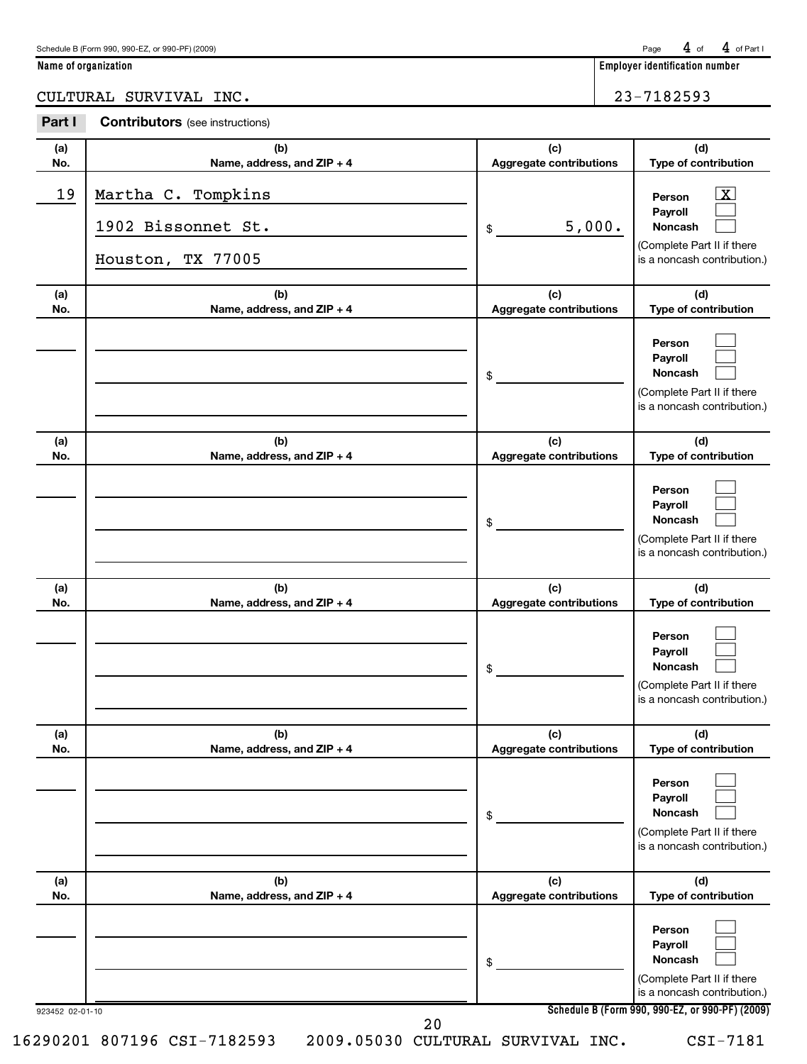| Schedule B (Form 990, 990-EZ, or 990-PF) (2009) | Page $4$ of $4$ of Part |  |  |  |
|-------------------------------------------------|-------------------------|--|--|--|
|-------------------------------------------------|-------------------------|--|--|--|

**Name of organization Employer identification number**

CULTURAL SURVIVAL INC. 23-7182593

| Part I     | <b>Contributors</b> (see instructions)                        |                                |                                                                                                                  |
|------------|---------------------------------------------------------------|--------------------------------|------------------------------------------------------------------------------------------------------------------|
| (a)<br>No. | (b)<br>Name, address, and ZIP + 4                             | (c)<br>Aggregate contributions | (d)<br>Type of contribution                                                                                      |
| 19         | Martha C. Tompkins<br>1902 Bissonnet St.<br>Houston, TX 77005 | 5,000.<br>\$                   | $\lfloor x \rfloor$<br>Person<br>Payroll<br>Noncash<br>(Complete Part II if there<br>is a noncash contribution.) |
| (a)<br>No. | (b)<br>Name, address, and ZIP + 4                             | (c)<br>Aggregate contributions | (d)<br>Type of contribution                                                                                      |
|            |                                                               | \$                             | Person<br>Payroll<br><b>Noncash</b><br>(Complete Part II if there<br>is a noncash contribution.)                 |
| (a)<br>No. | (b)<br>Name, address, and ZIP + 4                             | (c)<br>Aggregate contributions | (d)<br>Type of contribution                                                                                      |
|            |                                                               | \$                             | Person<br>Payroll<br><b>Noncash</b><br>(Complete Part II if there<br>is a noncash contribution.)                 |
| (a)<br>No. | (b)<br>Name, address, and ZIP + 4                             | (c)<br>Aggregate contributions | (d)<br>Type of contribution                                                                                      |
|            |                                                               | \$                             | Person<br>Payroll<br><b>Noncash</b><br>(Complete Part II if there<br>is a noncash contribution.)                 |
| (a)<br>No. | (b)<br>Name, address, and ZIP + 4                             | (c)<br>Aggregate contributions | (d)<br>Type of contribution                                                                                      |
|            |                                                               | \$                             | Person<br>Payroll<br><b>Noncash</b><br>(Complete Part II if there<br>is a noncash contribution.)                 |
| (a)<br>No. | (b)<br>Name, address, and ZIP + 4                             | (c)<br>Aggregate contributions | (d)<br>Type of contribution                                                                                      |
|            |                                                               | \$                             | Person<br>Payroll<br><b>Noncash</b><br>(Complete Part II if there<br>is a noncash contribution.)                 |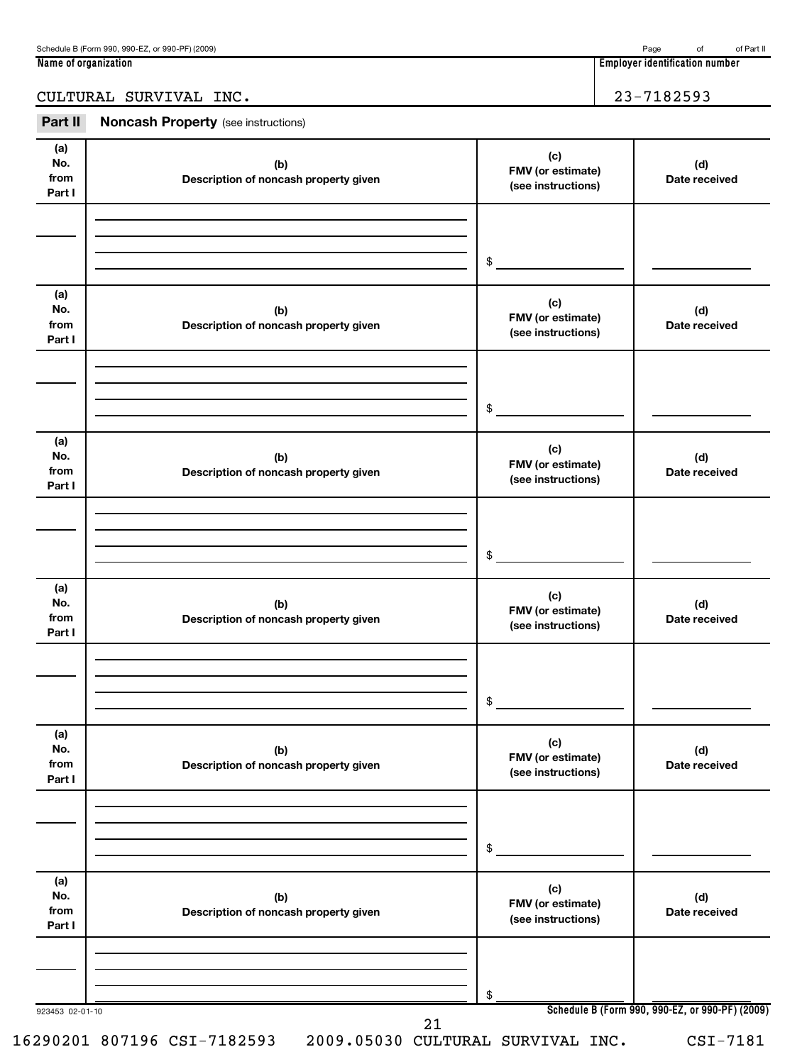**Name of organization Employer identification number**

## CULTURAL SURVIVAL INC. 23-7182593

| Part II                      | <b>Noncash Property</b> (see instructions)   |                                                |                                                 |
|------------------------------|----------------------------------------------|------------------------------------------------|-------------------------------------------------|
| (a)<br>No.<br>from<br>Part I | (b)<br>Description of noncash property given | (c)<br>FMV (or estimate)<br>(see instructions) | (d)<br>Date received                            |
|                              |                                              |                                                |                                                 |
|                              |                                              | \$                                             |                                                 |
| (a)<br>No.<br>from<br>Part I | (b)<br>Description of noncash property given | (c)<br>FMV (or estimate)<br>(see instructions) | (d)<br>Date received                            |
|                              |                                              |                                                |                                                 |
|                              |                                              | \$                                             |                                                 |
| (a)<br>No.<br>from<br>Part I | (b)<br>Description of noncash property given | (c)<br>FMV (or estimate)<br>(see instructions) | (d)<br>Date received                            |
|                              |                                              |                                                |                                                 |
|                              |                                              | \$                                             |                                                 |
| (a)<br>No.<br>from<br>Part I | (b)<br>Description of noncash property given | (c)<br>FMV (or estimate)<br>(see instructions) | (d)<br>Date received                            |
|                              |                                              |                                                |                                                 |
|                              |                                              | \$                                             |                                                 |
| (a)<br>No.<br>from<br>Part I | (b)<br>Description of noncash property given | (c)<br>FMV (or estimate)<br>(see instructions) | (d)<br>Date received                            |
|                              |                                              |                                                |                                                 |
|                              |                                              | \$                                             |                                                 |
| (a)<br>No.<br>from<br>Part I | (b)<br>Description of noncash property given | (c)<br>FMV (or estimate)<br>(see instructions) | (d)<br>Date received                            |
|                              |                                              |                                                |                                                 |
|                              |                                              | \$                                             | Schedule B (Form 990, 990-EZ, or 990-PF) (2009) |
| 923453 02-01-10              | າ 1                                          |                                                |                                                 |

16290201 807196 CSI-7182593 2009.05030 CULTURAL SURVIVAL INC. CSI-7181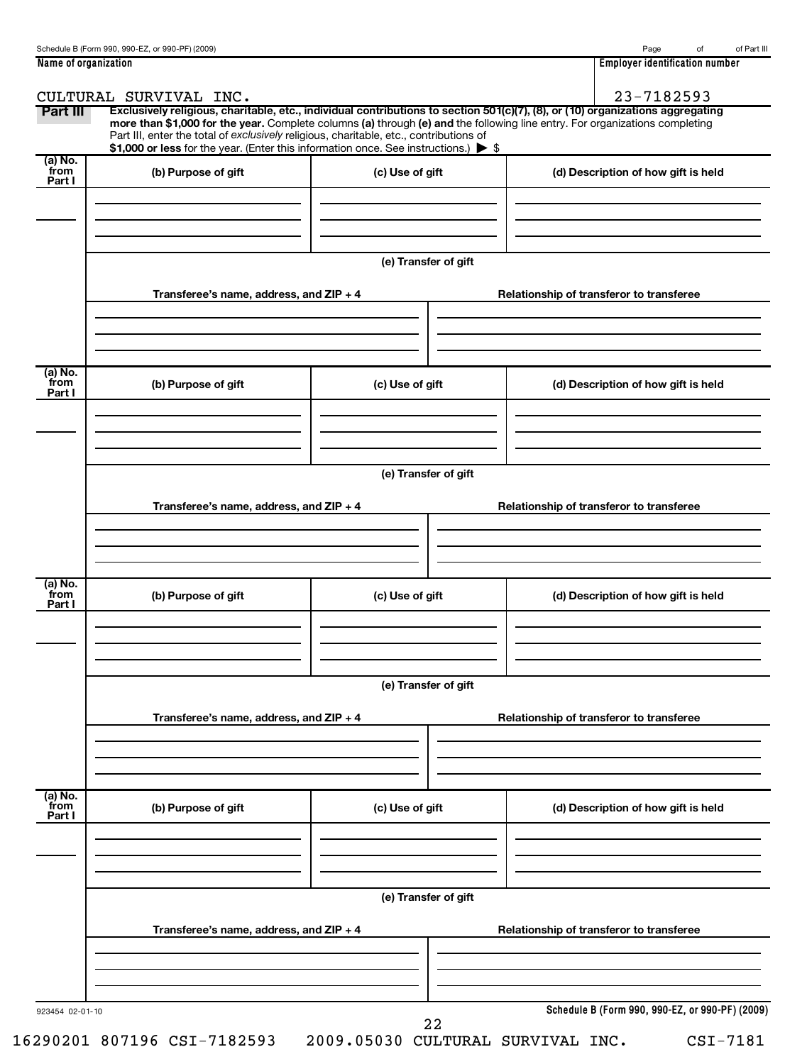| Name of organization      |                                                                                        |                      | <b>Employer identification number</b>                                                                                                                                                                                                                         |
|---------------------------|----------------------------------------------------------------------------------------|----------------------|---------------------------------------------------------------------------------------------------------------------------------------------------------------------------------------------------------------------------------------------------------------|
|                           | CULTURAL SURVIVAL INC.                                                                 |                      | 23-7182593                                                                                                                                                                                                                                                    |
| Part III                  | Part III, enter the total of exclusively religious, charitable, etc., contributions of |                      | Exclusively religious, charitable, etc., individual contributions to section 501(c)(7), (8), or (10) organizations aggregating<br>more than \$1,000 for the year. Complete columns (a) through (e) and the following line entry. For organizations completing |
|                           | \$1,000 or less for the year. (Enter this information once. See instructions.) > \$    |                      |                                                                                                                                                                                                                                                               |
| (a) No.<br>from<br>Part I | (b) Purpose of gift                                                                    | (c) Use of gift      | (d) Description of how gift is held                                                                                                                                                                                                                           |
|                           |                                                                                        |                      |                                                                                                                                                                                                                                                               |
|                           |                                                                                        |                      |                                                                                                                                                                                                                                                               |
|                           |                                                                                        |                      |                                                                                                                                                                                                                                                               |
|                           |                                                                                        | (e) Transfer of gift |                                                                                                                                                                                                                                                               |
|                           |                                                                                        |                      |                                                                                                                                                                                                                                                               |
|                           | Transferee's name, address, and $ZIP + 4$                                              |                      | Relationship of transferor to transferee                                                                                                                                                                                                                      |
|                           |                                                                                        |                      |                                                                                                                                                                                                                                                               |
|                           |                                                                                        |                      |                                                                                                                                                                                                                                                               |
| (a) No.                   |                                                                                        |                      |                                                                                                                                                                                                                                                               |
| from<br>Part I            | (b) Purpose of gift                                                                    | (c) Use of gift      | (d) Description of how gift is held                                                                                                                                                                                                                           |
|                           |                                                                                        |                      |                                                                                                                                                                                                                                                               |
|                           |                                                                                        |                      |                                                                                                                                                                                                                                                               |
|                           |                                                                                        |                      |                                                                                                                                                                                                                                                               |
|                           |                                                                                        | (e) Transfer of gift |                                                                                                                                                                                                                                                               |
|                           | Transferee's name, address, and ZIP + 4                                                |                      | Relationship of transferor to transferee                                                                                                                                                                                                                      |
|                           |                                                                                        |                      |                                                                                                                                                                                                                                                               |
|                           |                                                                                        |                      |                                                                                                                                                                                                                                                               |
|                           |                                                                                        |                      |                                                                                                                                                                                                                                                               |
| (a) No.<br>from           | (b) Purpose of gift                                                                    | (c) Use of gift      | (d) Description of how gift is held                                                                                                                                                                                                                           |
| Part I                    |                                                                                        |                      |                                                                                                                                                                                                                                                               |
|                           |                                                                                        |                      |                                                                                                                                                                                                                                                               |
|                           |                                                                                        |                      |                                                                                                                                                                                                                                                               |
|                           |                                                                                        | (e) Transfer of gift |                                                                                                                                                                                                                                                               |
|                           |                                                                                        |                      |                                                                                                                                                                                                                                                               |
|                           | Transferee's name, address, and ZIP + 4                                                |                      | Relationship of transferor to transferee                                                                                                                                                                                                                      |
|                           |                                                                                        |                      |                                                                                                                                                                                                                                                               |
|                           |                                                                                        |                      |                                                                                                                                                                                                                                                               |
|                           |                                                                                        |                      |                                                                                                                                                                                                                                                               |
| (a) No.<br>from           | (b) Purpose of gift                                                                    | (c) Use of gift      | (d) Description of how gift is held                                                                                                                                                                                                                           |
| Part I                    |                                                                                        |                      |                                                                                                                                                                                                                                                               |
|                           |                                                                                        |                      |                                                                                                                                                                                                                                                               |
|                           |                                                                                        |                      |                                                                                                                                                                                                                                                               |
|                           |                                                                                        | (e) Transfer of gift |                                                                                                                                                                                                                                                               |
|                           |                                                                                        |                      |                                                                                                                                                                                                                                                               |
|                           | Transferee's name, address, and ZIP + 4                                                |                      | Relationship of transferor to transferee                                                                                                                                                                                                                      |
|                           |                                                                                        |                      |                                                                                                                                                                                                                                                               |
|                           |                                                                                        |                      |                                                                                                                                                                                                                                                               |
|                           |                                                                                        |                      |                                                                                                                                                                                                                                                               |
| 923454 02-01-10           |                                                                                        |                      | Schedule B (Form 990, 990-EZ, or 990-PF) (2009)                                                                                                                                                                                                               |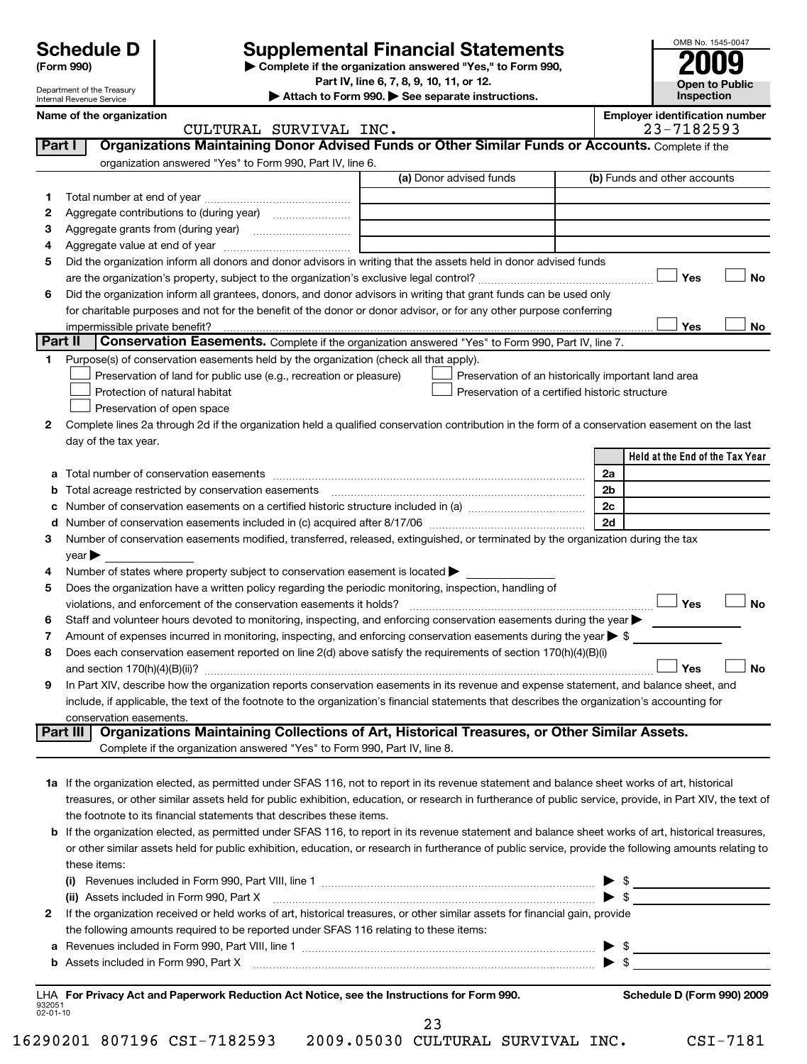## **Supplemental Financial Statements**

**(Form 990) | Complete if the organization answered "Yes," to Form 990,**

**Part IV, line 6, 7, 8, 9, 10, 11, or 12.**

**| Attach to Form 990. | See separate instructions.**

| OMB No. 1545-0047     |
|-----------------------|
|                       |
| 2009                  |
|                       |
| <b>Open to Public</b> |
| Inspection            |

|         | Name of the organization<br>CULTURAL SURVIVAL INC.                                                                                                          |                                                                                 | <b>Employer identification number</b><br>23-7182593 |
|---------|-------------------------------------------------------------------------------------------------------------------------------------------------------------|---------------------------------------------------------------------------------|-----------------------------------------------------|
| Part I  | Organizations Maintaining Donor Advised Funds or Other Similar Funds or Accounts. Complete if the                                                           |                                                                                 |                                                     |
|         | organization answered "Yes" to Form 990, Part IV, line 6.                                                                                                   |                                                                                 |                                                     |
|         |                                                                                                                                                             | (a) Donor advised funds                                                         | (b) Funds and other accounts                        |
| 1.      |                                                                                                                                                             |                                                                                 |                                                     |
| 2       |                                                                                                                                                             |                                                                                 |                                                     |
| з       |                                                                                                                                                             | the contract of the contract of the contract of the contract of the contract of |                                                     |
| 4       |                                                                                                                                                             |                                                                                 |                                                     |
| 5       | Did the organization inform all donors and donor advisors in writing that the assets held in donor advised funds                                            |                                                                                 |                                                     |
|         |                                                                                                                                                             |                                                                                 | <b>No</b><br>Yes                                    |
| 6       | Did the organization inform all grantees, donors, and donor advisors in writing that grant funds can be used only                                           |                                                                                 |                                                     |
|         | for charitable purposes and not for the benefit of the donor or donor advisor, or for any other purpose conferring                                          |                                                                                 |                                                     |
|         |                                                                                                                                                             |                                                                                 | Yes<br>No                                           |
| Part II | Conservation Easements. Complete if the organization answered "Yes" to Form 990, Part IV, line 7.                                                           |                                                                                 |                                                     |
| 1.      | Purpose(s) of conservation easements held by the organization (check all that apply).                                                                       |                                                                                 |                                                     |
|         | Preservation of land for public use (e.g., recreation or pleasure)                                                                                          |                                                                                 | Preservation of an historically important land area |
|         | Protection of natural habitat                                                                                                                               |                                                                                 | Preservation of a certified historic structure      |
|         | Preservation of open space                                                                                                                                  |                                                                                 |                                                     |
| 2       | Complete lines 2a through 2d if the organization held a qualified conservation contribution in the form of a conservation easement on the last              |                                                                                 |                                                     |
|         | day of the tax year.                                                                                                                                        |                                                                                 |                                                     |
|         |                                                                                                                                                             |                                                                                 | Held at the End of the Tax Year                     |
|         |                                                                                                                                                             |                                                                                 | 2a                                                  |
| b       |                                                                                                                                                             |                                                                                 | 2b                                                  |
| с       |                                                                                                                                                             |                                                                                 | 2c                                                  |
| d       |                                                                                                                                                             |                                                                                 | 2d                                                  |
| 3       | Number of conservation easements modified, transferred, released, extinguished, or terminated by the organization during the tax                            |                                                                                 |                                                     |
|         | $year \blacktriangleright$                                                                                                                                  |                                                                                 |                                                     |
| 4       | Number of states where property subject to conservation easement is located >                                                                               |                                                                                 |                                                     |
| 5       | Does the organization have a written policy regarding the periodic monitoring, inspection, handling of                                                      |                                                                                 |                                                     |
|         | violations, and enforcement of the conservation easements it holds?                                                                                         |                                                                                 | Yes<br><b>No</b>                                    |
| 6       | Staff and volunteer hours devoted to monitoring, inspecting, and enforcing conservation easements during the year                                           |                                                                                 |                                                     |
| 7       | Amount of expenses incurred in monitoring, inspecting, and enforcing conservation easements during the year $\triangleright$ \$                             |                                                                                 |                                                     |
| 8       | Does each conservation easement reported on line 2(d) above satisfy the requirements of section 170(h)(4)(B)(i)                                             |                                                                                 |                                                     |
|         |                                                                                                                                                             |                                                                                 | <b>No</b><br>Yes                                    |
| 9       | In Part XIV, describe how the organization reports conservation easements in its revenue and expense statement, and balance sheet, and                      |                                                                                 |                                                     |
|         | include, if applicable, the text of the footnote to the organization's financial statements that describes the organization's accounting for                |                                                                                 |                                                     |
|         | conservation easements.                                                                                                                                     |                                                                                 |                                                     |
|         | Organizations Maintaining Collections of Art, Historical Treasures, or Other Similar Assets.<br>Part III                                                    |                                                                                 |                                                     |
|         | Complete if the organization answered "Yes" to Form 990, Part IV, line 8.                                                                                   |                                                                                 |                                                     |
|         |                                                                                                                                                             |                                                                                 |                                                     |
|         | 1a If the organization elected, as permitted under SFAS 116, not to report in its revenue statement and balance sheet works of art, historical              |                                                                                 |                                                     |
|         | treasures, or other similar assets held for public exhibition, education, or research in furtherance of public service, provide, in Part XIV, the text of   |                                                                                 |                                                     |
|         | the footnote to its financial statements that describes these items.                                                                                        |                                                                                 |                                                     |
|         | <b>b</b> If the organization elected, as permitted under SFAS 116, to report in its revenue statement and balance sheet works of art, historical treasures, |                                                                                 |                                                     |
|         | or other similar assets held for public exhibition, education, or research in furtherance of public service, provide the following amounts relating to      |                                                                                 |                                                     |
|         | these items:                                                                                                                                                |                                                                                 |                                                     |
|         |                                                                                                                                                             |                                                                                 | - \$<br>▶                                           |
|         | (ii) Assets included in Form 990, Part X                                                                                                                    |                                                                                 | $\blacktriangleright$ \$                            |
| 2       | If the organization received or held works of art, historical treasures, or other similar assets for financial gain, provide                                |                                                                                 |                                                     |
|         | the following amounts required to be reported under SFAS 116 relating to these items:                                                                       |                                                                                 |                                                     |
|         | a Revenues included in Form 990, Part VIII, line 1                                                                                                          |                                                                                 | $\blacktriangleright$ \$                            |

**b** Assets included in Form 990, Part X ~~~~~~~~~~~~~~~~~~~~~~~~~~~~~~~~~~~ | \$

932051 02-01-10 **For Privacy Act and Paperwork Reduction Act Notice, see the Instructions for Form 990. Schedule D (Form 990) 2009** LHA

23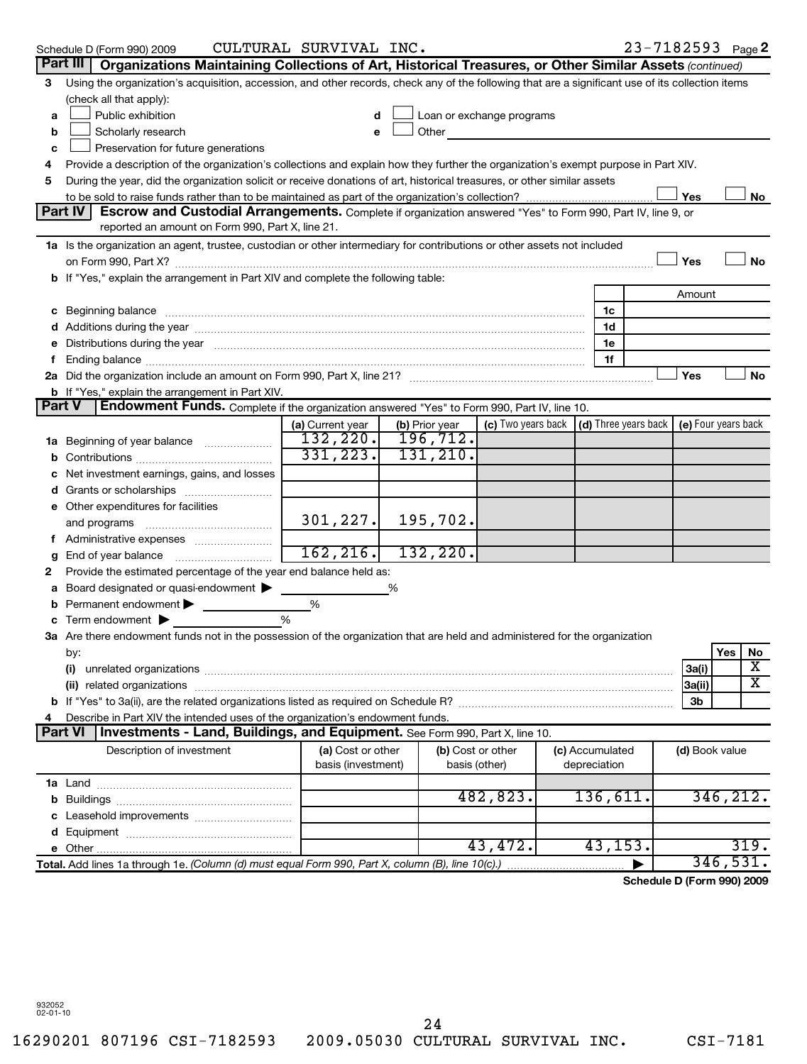|        | Schedule D (Form 990) 2009                                                                                                                                                                                                     | CULTURAL SURVIVAL INC. |   |                |                                                                             |                 |                | $23 - 7182593$ Page 2      |
|--------|--------------------------------------------------------------------------------------------------------------------------------------------------------------------------------------------------------------------------------|------------------------|---|----------------|-----------------------------------------------------------------------------|-----------------|----------------|----------------------------|
|        | Part III<br>Organizations Maintaining Collections of Art, Historical Treasures, or Other Similar Assets (continued)                                                                                                            |                        |   |                |                                                                             |                 |                |                            |
| 3      | Using the organization's acquisition, accession, and other records, check any of the following that are a significant use of its collection items                                                                              |                        |   |                |                                                                             |                 |                |                            |
|        | (check all that apply):                                                                                                                                                                                                        |                        |   |                |                                                                             |                 |                |                            |
| a      | Public exhibition                                                                                                                                                                                                              | d                      |   |                | Loan or exchange programs                                                   |                 |                |                            |
| b      | Scholarly research                                                                                                                                                                                                             |                        |   | Other          | <u>and the state of the sta</u>                                             |                 |                |                            |
| c      | Preservation for future generations                                                                                                                                                                                            |                        |   |                |                                                                             |                 |                |                            |
| 4      | Provide a description of the organization's collections and explain how they further the organization's exempt purpose in Part XIV.                                                                                            |                        |   |                |                                                                             |                 |                |                            |
| 5      | During the year, did the organization solicit or receive donations of art, historical treasures, or other similar assets                                                                                                       |                        |   |                |                                                                             |                 |                |                            |
|        | to be sold to raise funds rather than to be maintained as part of the organization's collection?                                                                                                                               |                        |   |                |                                                                             |                 | Yes            | No                         |
|        | Part IV<br>Escrow and Custodial Arrangements. Complete if organization answered "Yes" to Form 990, Part IV, line 9, or                                                                                                         |                        |   |                |                                                                             |                 |                |                            |
|        | reported an amount on Form 990, Part X, line 21.                                                                                                                                                                               |                        |   |                |                                                                             |                 |                |                            |
|        | 1a Is the organization an agent, trustee, custodian or other intermediary for contributions or other assets not included                                                                                                       |                        |   |                |                                                                             |                 |                |                            |
|        |                                                                                                                                                                                                                                |                        |   |                |                                                                             |                 | Yes            | No                         |
|        | b If "Yes," explain the arrangement in Part XIV and complete the following table:                                                                                                                                              |                        |   |                |                                                                             |                 |                |                            |
|        |                                                                                                                                                                                                                                |                        |   |                |                                                                             |                 | Amount         |                            |
| с      | Beginning balance manufactured and contain an account of the state of the state of the state of the state of the state of the state of the state of the state of the state of the state of the state of the state of the state |                        |   |                |                                                                             | 1c              |                |                            |
|        |                                                                                                                                                                                                                                |                        |   |                |                                                                             | 1d              |                |                            |
|        | Distributions during the year manufactured and an account of the state of the state of the state of the state of the state of the state of the state of the state of the state of the state of the state of the state of the s |                        |   |                |                                                                             | 1e              |                |                            |
| f.     |                                                                                                                                                                                                                                |                        |   |                |                                                                             | 1f              |                |                            |
|        |                                                                                                                                                                                                                                |                        |   |                |                                                                             |                 | Yes            | No                         |
|        | <b>b</b> If "Yes," explain the arrangement in Part XIV.                                                                                                                                                                        |                        |   |                |                                                                             |                 |                |                            |
| Part V | <b>Endowment Funds.</b> Complete if the organization answered "Yes" to Form 990, Part IV, line 10.                                                                                                                             |                        |   |                |                                                                             |                 |                |                            |
|        |                                                                                                                                                                                                                                | (a) Current year       |   | (b) Prior year | (c) Two years back $\vert$ (d) Three years back $\vert$ (e) Four years back |                 |                |                            |
| 1a     | Beginning of year balance                                                                                                                                                                                                      | 132, 220.              |   | 196,712.       |                                                                             |                 |                |                            |
| b      |                                                                                                                                                                                                                                | 331, 223.              |   | 131, 210.      |                                                                             |                 |                |                            |
|        | Net investment earnings, gains, and losses                                                                                                                                                                                     |                        |   |                |                                                                             |                 |                |                            |
| d      |                                                                                                                                                                                                                                |                        |   |                |                                                                             |                 |                |                            |
|        | e Other expenditures for facilities                                                                                                                                                                                            |                        |   |                |                                                                             |                 |                |                            |
|        | and programs                                                                                                                                                                                                                   | 301, 227.              |   | 195,702.       |                                                                             |                 |                |                            |
|        |                                                                                                                                                                                                                                |                        |   |                |                                                                             |                 |                |                            |
|        |                                                                                                                                                                                                                                | 162, 216.              |   | 132,220.       |                                                                             |                 |                |                            |
| 2      | Provide the estimated percentage of the year end balance held as:                                                                                                                                                              |                        |   |                |                                                                             |                 |                |                            |
|        | Board designated or quasi-endowment                                                                                                                                                                                            |                        | % |                |                                                                             |                 |                |                            |
|        | Permanent endowment                                                                                                                                                                                                            | %                      |   |                |                                                                             |                 |                |                            |
|        | Term endowment $\blacktriangleright$                                                                                                                                                                                           | %                      |   |                |                                                                             |                 |                |                            |
|        | 3a Are there endowment funds not in the possession of the organization that are held and administered for the organization                                                                                                     |                        |   |                |                                                                             |                 |                |                            |
|        | by:                                                                                                                                                                                                                            |                        |   |                |                                                                             |                 |                | Yes<br>No                  |
|        | (i)                                                                                                                                                                                                                            |                        |   |                |                                                                             |                 | 3a(i)          | X                          |
|        | (ii) related organizations                                                                                                                                                                                                     |                        |   |                |                                                                             |                 | 3a(ii)         | х                          |
|        |                                                                                                                                                                                                                                |                        |   |                |                                                                             |                 | 3b             |                            |
|        | Describe in Part XIV the intended uses of the organization's endowment funds.                                                                                                                                                  |                        |   |                |                                                                             |                 |                |                            |
|        | Investments - Land, Buildings, and Equipment. See Form 990, Part X, line 10.<br>Part VI                                                                                                                                        |                        |   |                |                                                                             |                 |                |                            |
|        | Description of investment                                                                                                                                                                                                      | (a) Cost or other      |   |                | (b) Cost or other                                                           | (c) Accumulated | (d) Book value |                            |
|        |                                                                                                                                                                                                                                | basis (investment)     |   |                | basis (other)                                                               | depreciation    |                |                            |
|        |                                                                                                                                                                                                                                |                        |   |                | 482,823.                                                                    | 136,611.        |                | 346,212.                   |
| b      |                                                                                                                                                                                                                                |                        |   |                |                                                                             |                 |                |                            |
|        |                                                                                                                                                                                                                                |                        |   |                |                                                                             |                 |                |                            |
| d      |                                                                                                                                                                                                                                |                        |   |                | 43,472.                                                                     | 43,153.         |                | 319.                       |
| е      | Total. Add lines 1a through 1e. (Column (d) must equal Form 990, Part X, column (B), line 10(c).)                                                                                                                              |                        |   |                |                                                                             |                 |                | 346,531.                   |
|        |                                                                                                                                                                                                                                |                        |   |                |                                                                             |                 |                | Schedule D (Form 990) 2009 |

932052 02-01-10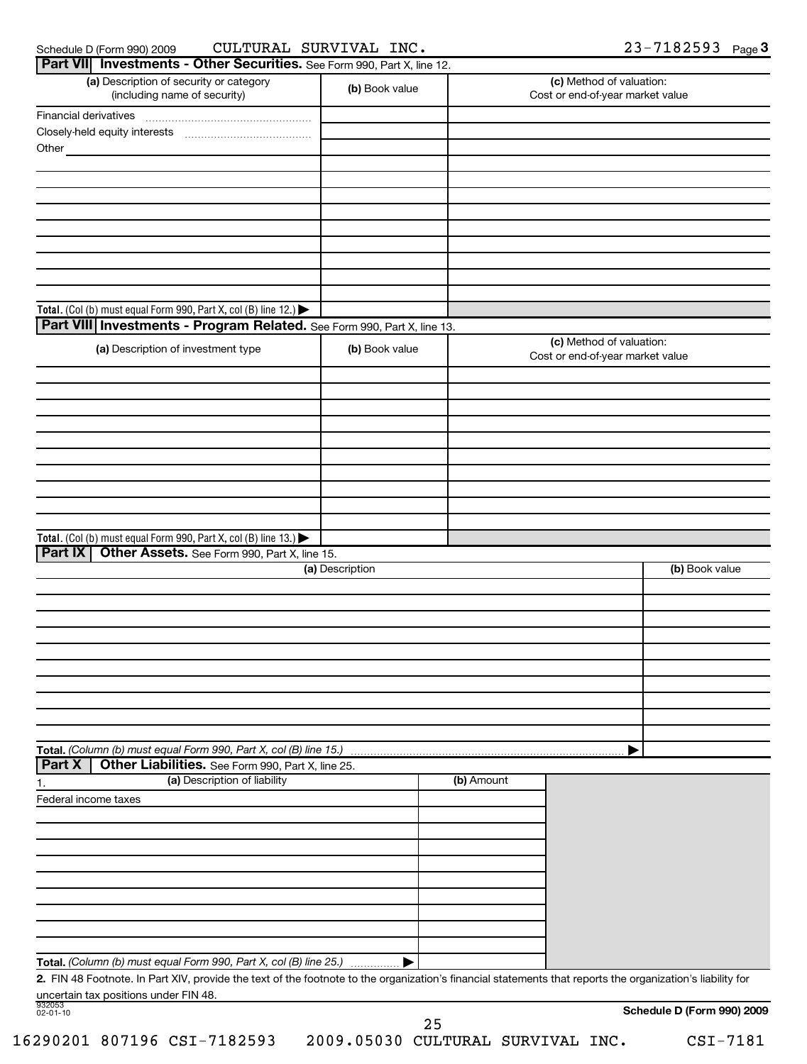### Schedule D (Form 990) 2009  ${\tt CULTURAL}$   ${\tt SURVIVAL}$   ${\tt INC.}$   ${\tt 23-7182593}$   ${\tt Page}$ CULTURAL SURVIVAL INC. 23-7182593

| Part VII Investments - Other Securities. See Form 990, Part X, line 12.<br>(a) Description of security or category<br>(including name of security)         | (b) Book value  |            | (c) Method of valuation:<br>Cost or end-of-year market value |
|------------------------------------------------------------------------------------------------------------------------------------------------------------|-----------------|------------|--------------------------------------------------------------|
| Financial derivatives                                                                                                                                      |                 |            |                                                              |
|                                                                                                                                                            |                 |            |                                                              |
| Other_                                                                                                                                                     |                 |            |                                                              |
|                                                                                                                                                            |                 |            |                                                              |
|                                                                                                                                                            |                 |            |                                                              |
|                                                                                                                                                            |                 |            |                                                              |
|                                                                                                                                                            |                 |            |                                                              |
|                                                                                                                                                            |                 |            |                                                              |
|                                                                                                                                                            |                 |            |                                                              |
|                                                                                                                                                            |                 |            |                                                              |
|                                                                                                                                                            |                 |            |                                                              |
|                                                                                                                                                            |                 |            |                                                              |
| Total. (Col (b) must equal Form 990, Part X, col (B) line 12.) $\blacktriangleright$                                                                       |                 |            |                                                              |
| Part VIII Investments - Program Related. See Form 990, Part X, line 13.                                                                                    |                 |            |                                                              |
| (a) Description of investment type                                                                                                                         | (b) Book value  |            | (c) Method of valuation:<br>Cost or end-of-year market value |
|                                                                                                                                                            |                 |            |                                                              |
|                                                                                                                                                            |                 |            |                                                              |
|                                                                                                                                                            |                 |            |                                                              |
|                                                                                                                                                            |                 |            |                                                              |
|                                                                                                                                                            |                 |            |                                                              |
|                                                                                                                                                            |                 |            |                                                              |
|                                                                                                                                                            |                 |            |                                                              |
|                                                                                                                                                            |                 |            |                                                              |
|                                                                                                                                                            |                 |            |                                                              |
| Total. (Col (b) must equal Form 990, Part X, col (B) line 13.)                                                                                             |                 |            |                                                              |
| Part IX<br>Other Assets. See Form 990, Part X, line 15.                                                                                                    |                 |            |                                                              |
|                                                                                                                                                            | (a) Description |            | (b) Book value                                               |
|                                                                                                                                                            |                 |            |                                                              |
|                                                                                                                                                            |                 |            |                                                              |
|                                                                                                                                                            |                 |            |                                                              |
|                                                                                                                                                            |                 |            |                                                              |
|                                                                                                                                                            |                 |            |                                                              |
|                                                                                                                                                            |                 |            |                                                              |
|                                                                                                                                                            |                 |            |                                                              |
|                                                                                                                                                            |                 |            |                                                              |
|                                                                                                                                                            |                 |            |                                                              |
|                                                                                                                                                            |                 |            |                                                              |
| Total. (Column (b) must equal Form 990, Part X, col (B) line 15.)                                                                                          |                 |            |                                                              |
| Other Liabilities. See Form 990, Part X, line 25.<br><b>Part X</b>                                                                                         |                 |            |                                                              |
| (a) Description of liability<br>1.                                                                                                                         |                 | (b) Amount |                                                              |
| Federal income taxes                                                                                                                                       |                 |            |                                                              |
|                                                                                                                                                            |                 |            |                                                              |
|                                                                                                                                                            |                 |            |                                                              |
|                                                                                                                                                            |                 |            |                                                              |
|                                                                                                                                                            |                 |            |                                                              |
|                                                                                                                                                            |                 |            |                                                              |
|                                                                                                                                                            |                 |            |                                                              |
|                                                                                                                                                            |                 |            |                                                              |
|                                                                                                                                                            |                 |            |                                                              |
|                                                                                                                                                            |                 |            |                                                              |
| Total. (Column (b) must equal Form 990, Part X, col (B) line 25.)                                                                                          |                 |            |                                                              |
| 2. FIN 48 Footnote. In Part XIV, provide the text of the footnote to the organization's financial statements that reports the organization's liability for |                 |            |                                                              |
| uncertain tax positions under FIN 48.                                                                                                                      |                 |            |                                                              |

16290201 807196 CSI-7182593 2009.05030 CULTURAL SURVIVAL INC. CSI-7181

**Schedule D (Form 990) 2**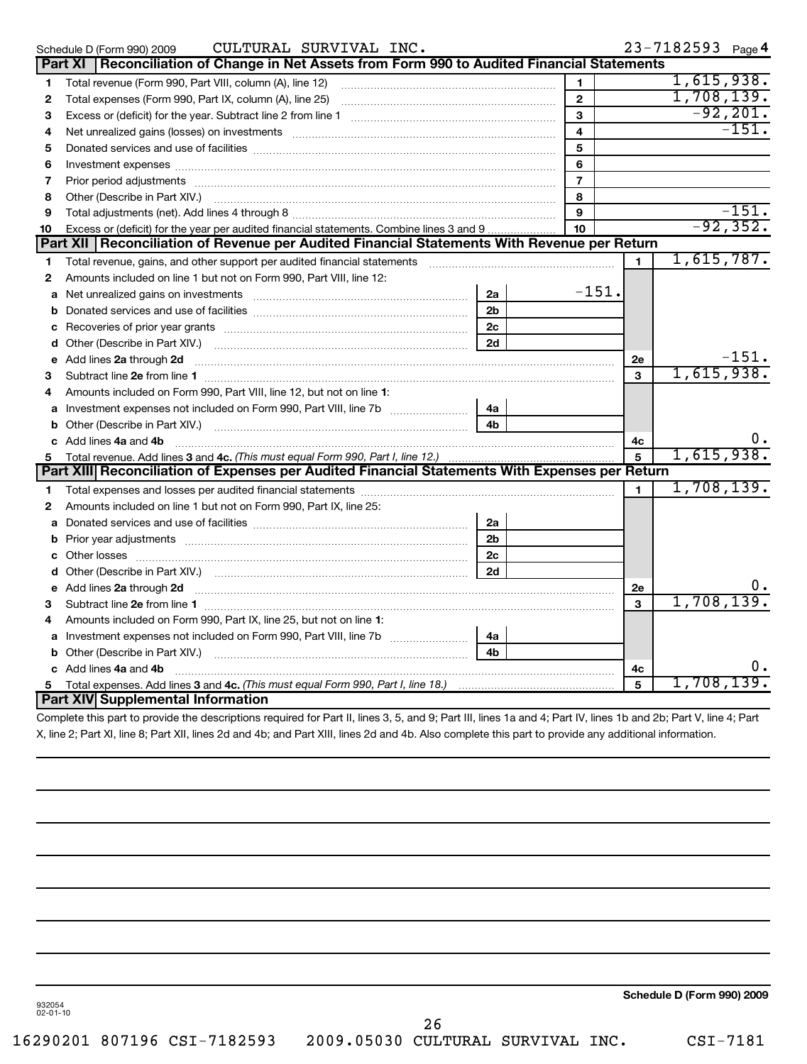|              | CULTURAL SURVIVAL INC.<br>Schedule D (Form 990) 2009                                                                                                                                                                                 |                |                  |                | 23-7182593 Page 4 |             |
|--------------|--------------------------------------------------------------------------------------------------------------------------------------------------------------------------------------------------------------------------------------|----------------|------------------|----------------|-------------------|-------------|
|              | Reconciliation of Change in Net Assets from Form 990 to Audited Financial Statements<br>Part XI                                                                                                                                      |                |                  |                |                   |             |
| 1            | Total revenue (Form 990, Part VIII, column (A), line 12)                                                                                                                                                                             |                | 1                |                | 1,615,938.        |             |
| 2            |                                                                                                                                                                                                                                      |                | $\mathbf{2}$     |                | 1,708,139.        |             |
| З            |                                                                                                                                                                                                                                      |                | 3                |                |                   | $-92, 201.$ |
| 4            | Net unrealized gains (losses) on investments [11] matter continuum matter of the state of the state of the state of the state of the state of the state of the state of the state of the state of the state of the state of th       |                | 4                |                |                   | $-151.$     |
| 5            |                                                                                                                                                                                                                                      |                | 5                |                |                   |             |
| 6            |                                                                                                                                                                                                                                      |                | 6                |                |                   |             |
| 7            |                                                                                                                                                                                                                                      |                | $\overline{7}$   |                |                   |             |
| 8            | Other (Describe in Part XIV.) <b>Process and Container and Container and Container and Container and Container and Container and Container and Container and Container and Container and Container and Container and Container a</b> |                | 8                |                |                   |             |
| 9            |                                                                                                                                                                                                                                      |                | 9                |                |                   | $-151.$     |
| 10           | Excess or (deficit) for the year per audited financial statements. Combine lines 3 and 9                                                                                                                                             |                | 10 <sup>10</sup> |                |                   | $-92, 352.$ |
|              | Part XII   Reconciliation of Revenue per Audited Financial Statements With Revenue per Return                                                                                                                                        |                |                  |                |                   |             |
| 1            |                                                                                                                                                                                                                                      |                |                  | $\blacksquare$ | 1,615,787.        |             |
| 2            | Amounts included on line 1 but not on Form 990, Part VIII, line 12:                                                                                                                                                                  |                |                  |                |                   |             |
| a            | Net unrealized gains on investments [11] matter contracts and the unrealized gains on investments [11] matter                                                                                                                        | 2a             | $-151.$          |                |                   |             |
| b            |                                                                                                                                                                                                                                      | 2 <sub>b</sub> |                  |                |                   |             |
| c            |                                                                                                                                                                                                                                      | 2 <sub>c</sub> |                  |                |                   |             |
|              |                                                                                                                                                                                                                                      | 2d             |                  |                |                   |             |
|              | e Add lines 2a through 2d <b>[10]</b> [10] <b>All and Provide Add lines 2a</b> through 2d <b>[10] All and Provide Add lines 2a</b> through 2d                                                                                        |                |                  | <b>2e</b>      |                   | $-151.$     |
| З            |                                                                                                                                                                                                                                      |                |                  | 3              | 1,615,938.        |             |
| 4            | Amounts included on Form 990, Part VIII, line 12, but not on line 1:                                                                                                                                                                 |                |                  |                |                   |             |
|              | a Investment expenses not included on Form 990, Part VIII, line 7b [11, 11, 11, 11, 11]                                                                                                                                              | 4a             |                  |                |                   |             |
|              |                                                                                                                                                                                                                                      | 4 <sub>b</sub> |                  |                |                   |             |
|              | c Add lines 4a and 4b                                                                                                                                                                                                                |                |                  | 4с             |                   | υ.          |
| 5            | Total revenue. Add lines 3 and 4c. (This must equal Form 990, Part I, line 12.)                                                                                                                                                      |                |                  | $\overline{5}$ | 1,615,938.        |             |
|              | Part XIII Reconciliation of Expenses per Audited Financial Statements With Expenses per Return                                                                                                                                       |                |                  |                |                   |             |
| 1.           |                                                                                                                                                                                                                                      |                |                  | $\mathbf{1}$   | 1,708,139.        |             |
| $\mathbf{2}$ | Amounts included on line 1 but not on Form 990, Part IX, line 25:                                                                                                                                                                    |                |                  |                |                   |             |
|              |                                                                                                                                                                                                                                      | 2a             |                  |                |                   |             |
|              |                                                                                                                                                                                                                                      | 2 <sub>b</sub> |                  |                |                   |             |
|              |                                                                                                                                                                                                                                      | 2 <sub>c</sub> |                  |                |                   |             |
|              |                                                                                                                                                                                                                                      | 2d             |                  |                |                   |             |
|              | e Add lines 2a through 2d 20 20 20 20 20 20 20 20 30 31 32 33 34 35 36 37 38 38 39 39 30 31 32 33 34 35 36 37 37 38 39 39 30 31 32 33 4 34 35 36 37 38 39 39 39 30 31 32 33 43 59 30 31 32 33 43 59 30 31 32 33 43 59 30 31 32       |                |                  | 2e             |                   |             |
| 3            |                                                                                                                                                                                                                                      |                |                  | 3              | 1,708,139         |             |
| 4            | Amounts included on Form 990, Part IX, line 25, but not on line 1:                                                                                                                                                                   |                |                  |                |                   |             |
|              | a Investment expenses not included on Form 990, Part VIII, line 7b                                                                                                                                                                   | 4a             |                  |                |                   |             |
|              |                                                                                                                                                                                                                                      | 4 <sub>b</sub> |                  |                |                   |             |
|              | c Add lines 4a and 4b                                                                                                                                                                                                                |                |                  | 4с             |                   |             |
| 5            |                                                                                                                                                                                                                                      |                |                  | 5              | 1,708,139.        |             |
|              | Part XIV Supplemental Information                                                                                                                                                                                                    |                |                  |                |                   |             |

Complete this part to provide the descriptions required for Part II, lines 3, 5, and 9; Part III, lines 1a and 4; Part IV, lines 1b and 2b; Part V, line 4; Part X, line 2; Part XI, line 8; Part XII, lines 2d and 4b; and Part XIII, lines 2d and 4b. Also complete this part to provide any additional information.

**Schedule D (Form 990) 2009**

932054 02-01-10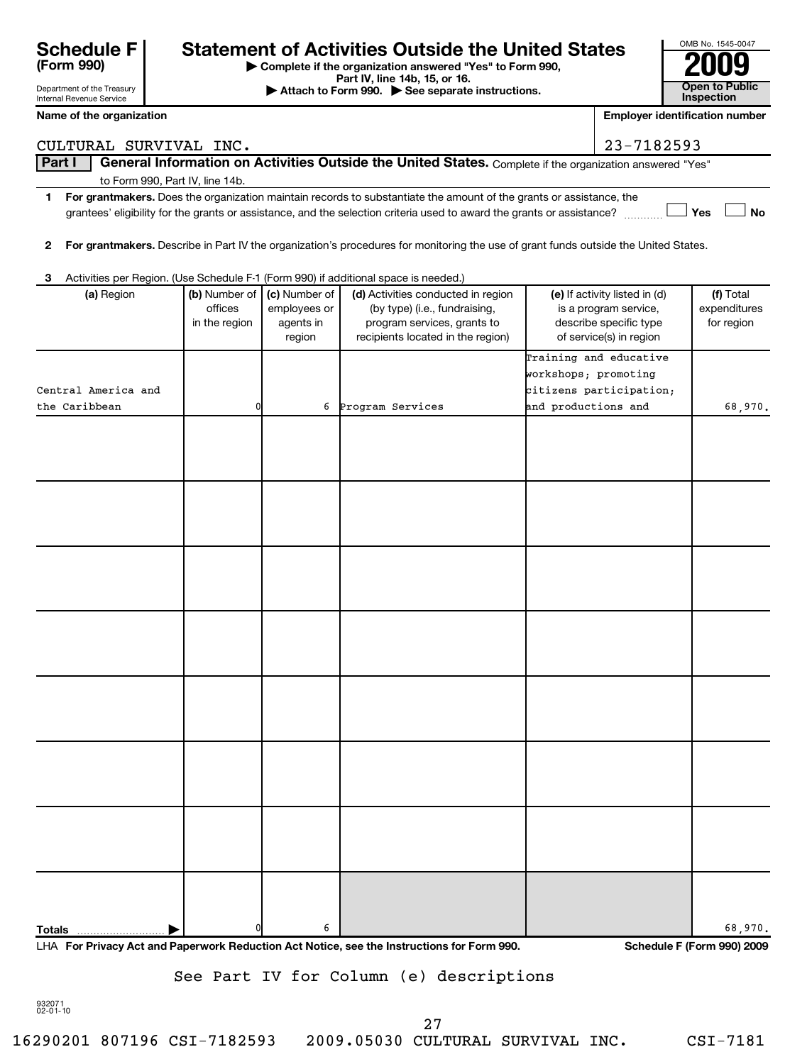| Department of the Treasury<br>Internal Revenue Service |                                 |                                           |                                                      | Part IV, line 14b, 15, or 16.<br>Attach to Form 990. See separate instructions.                                                                                                                                                               |                      |                                                                                                             | <b>Open to Public</b><br>Inspection     |
|--------------------------------------------------------|---------------------------------|-------------------------------------------|------------------------------------------------------|-----------------------------------------------------------------------------------------------------------------------------------------------------------------------------------------------------------------------------------------------|----------------------|-------------------------------------------------------------------------------------------------------------|-----------------------------------------|
| Name of the organization                               |                                 |                                           |                                                      |                                                                                                                                                                                                                                               |                      |                                                                                                             | <b>Employer identification number</b>   |
|                                                        | CULTURAL SURVIVAL INC.          |                                           |                                                      |                                                                                                                                                                                                                                               |                      | 23-7182593                                                                                                  |                                         |
| Part I                                                 |                                 |                                           |                                                      | General Information on Activities Outside the United States. Complete if the organization answered "Yes"                                                                                                                                      |                      |                                                                                                             |                                         |
|                                                        | to Form 990, Part IV, line 14b. |                                           |                                                      |                                                                                                                                                                                                                                               |                      |                                                                                                             |                                         |
| 1                                                      |                                 |                                           |                                                      | For grantmakers. Does the organization maintain records to substantiate the amount of the grants or assistance, the<br>grantees' eligibility for the grants or assistance, and the selection criteria used to award the grants or assistance? |                      |                                                                                                             | Yes<br>No                               |
| $\mathbf{2}$                                           |                                 |                                           |                                                      | For grantmakers. Describe in Part IV the organization's procedures for monitoring the use of grant funds outside the United States.                                                                                                           |                      |                                                                                                             |                                         |
| 3                                                      |                                 |                                           |                                                      | Activities per Region. (Use Schedule F-1 (Form 990) if additional space is needed.)                                                                                                                                                           |                      |                                                                                                             |                                         |
|                                                        | (a) Region                      | (b) Number of<br>offices<br>in the region | (c) Number of<br>employees or<br>agents in<br>region | (d) Activities conducted in region<br>(by type) (i.e., fundraising,<br>program services, grants to<br>recipients located in the region)                                                                                                       |                      | (e) If activity listed in (d)<br>is a program service,<br>describe specific type<br>of service(s) in region | (f) Total<br>expenditures<br>for region |
|                                                        |                                 |                                           |                                                      |                                                                                                                                                                                                                                               |                      | Training and educative                                                                                      |                                         |
|                                                        |                                 |                                           |                                                      |                                                                                                                                                                                                                                               | workshops; promoting |                                                                                                             |                                         |
| Central America and<br>the Caribbean                   |                                 |                                           | 6                                                    | Program Services                                                                                                                                                                                                                              | and productions and  | citizens participation;                                                                                     | 68,970.                                 |
|                                                        |                                 |                                           |                                                      |                                                                                                                                                                                                                                               |                      |                                                                                                             |                                         |
|                                                        |                                 |                                           |                                                      |                                                                                                                                                                                                                                               |                      |                                                                                                             |                                         |
|                                                        |                                 |                                           |                                                      |                                                                                                                                                                                                                                               |                      |                                                                                                             |                                         |
|                                                        |                                 |                                           |                                                      |                                                                                                                                                                                                                                               |                      |                                                                                                             |                                         |
|                                                        |                                 |                                           |                                                      |                                                                                                                                                                                                                                               |                      |                                                                                                             |                                         |
|                                                        |                                 |                                           |                                                      |                                                                                                                                                                                                                                               |                      |                                                                                                             |                                         |
|                                                        |                                 |                                           |                                                      |                                                                                                                                                                                                                                               |                      |                                                                                                             |                                         |
|                                                        |                                 |                                           |                                                      |                                                                                                                                                                                                                                               |                      |                                                                                                             |                                         |
|                                                        |                                 |                                           |                                                      |                                                                                                                                                                                                                                               |                      |                                                                                                             |                                         |
|                                                        |                                 |                                           |                                                      |                                                                                                                                                                                                                                               |                      |                                                                                                             |                                         |
|                                                        |                                 |                                           |                                                      |                                                                                                                                                                                                                                               |                      |                                                                                                             |                                         |
|                                                        |                                 |                                           |                                                      |                                                                                                                                                                                                                                               |                      |                                                                                                             |                                         |
|                                                        |                                 |                                           |                                                      |                                                                                                                                                                                                                                               |                      |                                                                                                             |                                         |
|                                                        |                                 |                                           |                                                      |                                                                                                                                                                                                                                               |                      |                                                                                                             |                                         |
|                                                        |                                 |                                           |                                                      |                                                                                                                                                                                                                                               |                      |                                                                                                             |                                         |
|                                                        |                                 |                                           |                                                      |                                                                                                                                                                                                                                               |                      |                                                                                                             |                                         |
| <b>Totals</b>                                          |                                 |                                           | 6                                                    |                                                                                                                                                                                                                                               |                      |                                                                                                             | 68,970.                                 |

**| Complete if the organization answered "Yes" to Form 990,**

Schedule F<br> **Statement of Activities Outside the United States**<br>
Part IV, line 14b, 15, or 16.<br>
Part IV, line 14b, 15, or 16.

OMB No. 1545-0047

See Part IV for Column (e) descriptions

932071 02-01-10

**(Form 990)**

27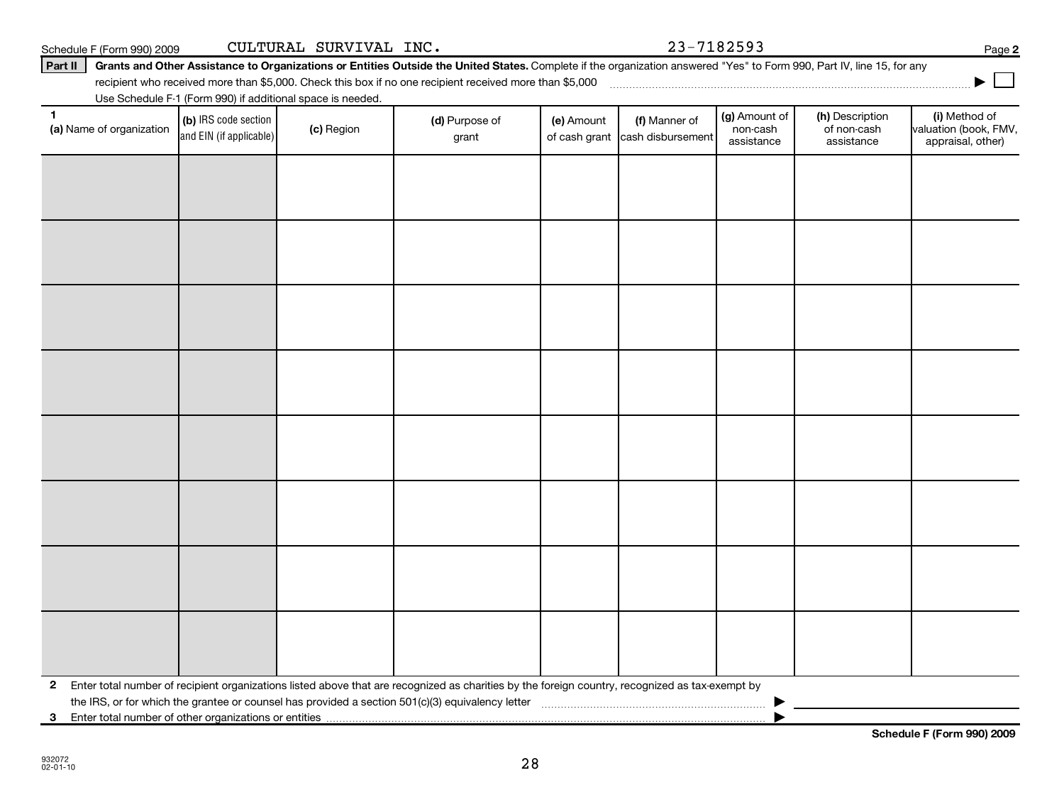**2**

| 2 Enter total number of recipient organizations listed above that are recognized as charities by the foreign country, recognized as tax-exempt by |  |  |  |  |  |  |  |  |  |
|---------------------------------------------------------------------------------------------------------------------------------------------------|--|--|--|--|--|--|--|--|--|

28

Part II | Grants and Other Assistance to Organizations or Entities Outside the United States. Complete if the organization answered "Yes" to Form 990, Part IV, line 15, for any Schedule F (Form 990) 2009 Page CULTURAL SURVIVAL INC. 23-7182593

recipient who received more than \$5,000. Check this box if no one recipient received more than \$5,000 ~~~~~~~~~~~~~~~~~~~~~~~~~~~~~~~~~~~~~

|                                |                                                 | Use Schedule F-1 (Form 990) if additional space is needed. |                         |            |                                                  |                                         |                                              |                                                             |
|--------------------------------|-------------------------------------------------|------------------------------------------------------------|-------------------------|------------|--------------------------------------------------|-----------------------------------------|----------------------------------------------|-------------------------------------------------------------|
| 1.<br>(a) Name of organization | (b) IRS code section<br>and EIN (if applicable) | (c) Region                                                 | (d) Purpose of<br>grant | (e) Amount | (f) Manner of<br>of cash grant cash disbursement | (g) Amount of<br>non-cash<br>assistance | (h) Description<br>of non-cash<br>assistance | (i) Method of<br>valuation (book, FMV,<br>appraisal, other) |
|                                |                                                 |                                                            |                         |            |                                                  |                                         |                                              |                                                             |
|                                |                                                 |                                                            |                         |            |                                                  |                                         |                                              |                                                             |
|                                |                                                 |                                                            |                         |            |                                                  |                                         |                                              |                                                             |
|                                |                                                 |                                                            |                         |            |                                                  |                                         |                                              |                                                             |
|                                |                                                 |                                                            |                         |            |                                                  |                                         |                                              |                                                             |
|                                |                                                 |                                                            |                         |            |                                                  |                                         |                                              |                                                             |
|                                |                                                 |                                                            |                         |            |                                                  |                                         |                                              |                                                             |
|                                |                                                 |                                                            |                         |            |                                                  |                                         |                                              |                                                             |
|                                |                                                 |                                                            |                         |            |                                                  |                                         |                                              |                                                             |

**Schedule F (Form 990) 2009**

**2**

**|**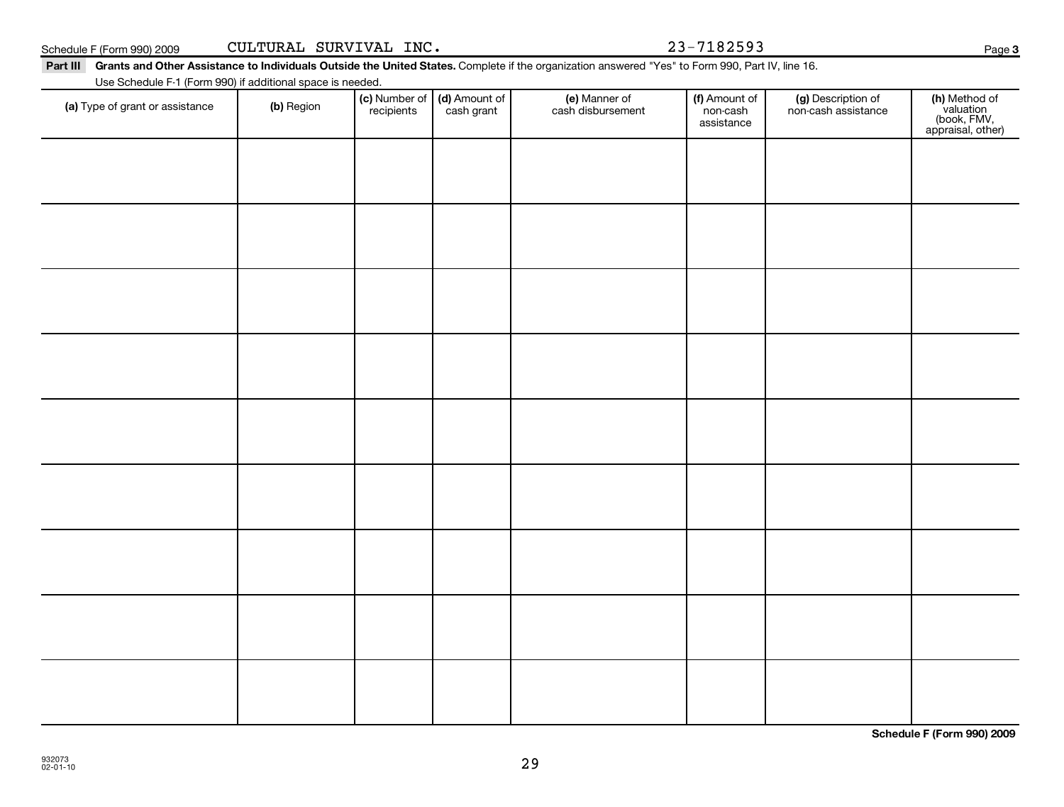**Schedule F (Form 990) 2009**

| e F (Form 990) 2009 | CUI |
|---------------------|-----|

Schedule F (Form 990) 2009 Page CULTURAL SURVIVAL INC. 23-7182593

### Part III Grants and Other Assistance to Individuals Outside the United States. Complete if the organization answered "Yes" to Form 990, Part IV, line 16.

Use Schedule F-1 (Form 990) if additional space is needed.

| Use Schedule F-1 (Form 990) if additional space is needed. |            |                                                      |                                    |                                         |                                           |                                                                |
|------------------------------------------------------------|------------|------------------------------------------------------|------------------------------------|-----------------------------------------|-------------------------------------------|----------------------------------------------------------------|
| (a) Type of grant or assistance                            | (b) Region | (c) Number of (d) Amount of<br>recipients cash grant | (e) Manner of<br>cash disbursement | (f) Amount of<br>non-cash<br>assistance | (g) Description of<br>non-cash assistance | (h) Method of<br>valuation<br>(book, FMV,<br>appraisal, other) |
|                                                            |            |                                                      |                                    |                                         |                                           |                                                                |
|                                                            |            |                                                      |                                    |                                         |                                           |                                                                |
|                                                            |            |                                                      |                                    |                                         |                                           |                                                                |
|                                                            |            |                                                      |                                    |                                         |                                           |                                                                |
|                                                            |            |                                                      |                                    |                                         |                                           |                                                                |
|                                                            |            |                                                      |                                    |                                         |                                           |                                                                |
|                                                            |            |                                                      |                                    |                                         |                                           |                                                                |
|                                                            |            |                                                      |                                    |                                         |                                           |                                                                |
|                                                            |            |                                                      |                                    |                                         |                                           |                                                                |
|                                                            |            |                                                      |                                    |                                         |                                           |                                                                |
|                                                            |            |                                                      |                                    |                                         |                                           |                                                                |
|                                                            |            |                                                      |                                    |                                         |                                           |                                                                |
|                                                            |            |                                                      |                                    |                                         |                                           |                                                                |
|                                                            |            |                                                      |                                    |                                         |                                           |                                                                |
|                                                            |            |                                                      |                                    |                                         |                                           |                                                                |
|                                                            |            |                                                      |                                    |                                         |                                           |                                                                |

29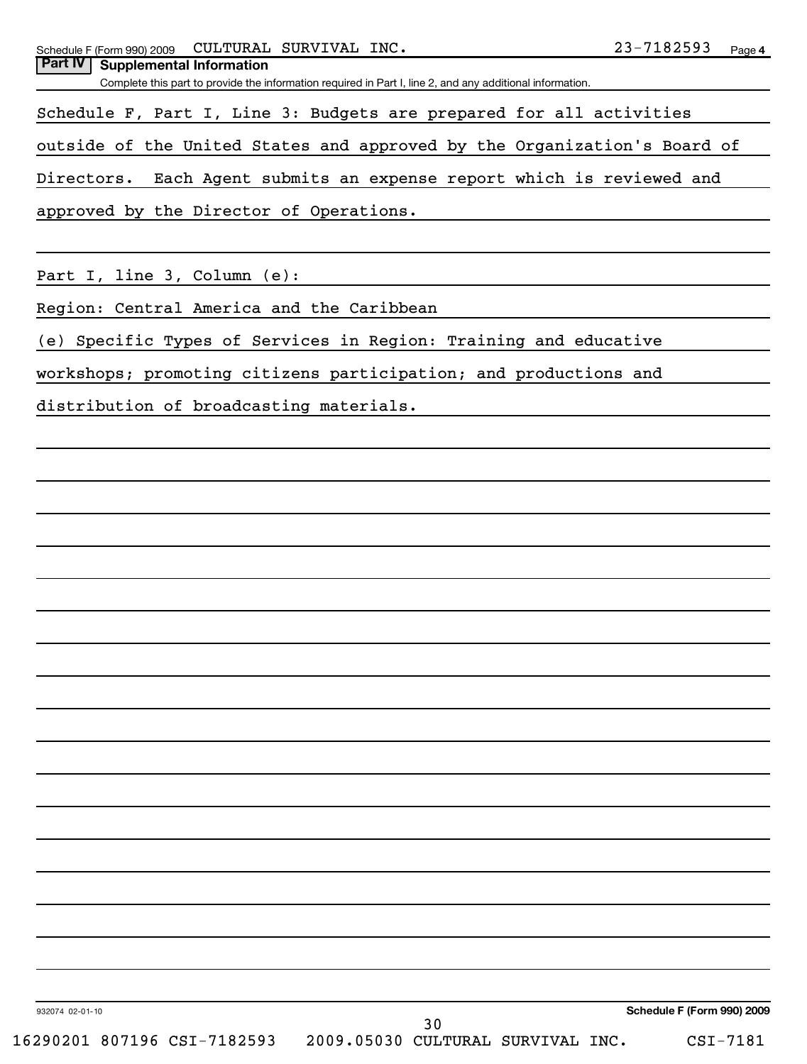| 23-7182593<br>CULTURAL SURVIVAL INC.<br>Schedule F (Form 990) 2009                                        | Page 4 |
|-----------------------------------------------------------------------------------------------------------|--------|
| <b>Part IV</b><br><b>Supplemental Information</b>                                                         |        |
| Complete this part to provide the information required in Part I, line 2, and any additional information. |        |
| Schedule F, Part I, Line 3: Budgets are prepared for all activities                                       |        |
| outside of the United States and approved by the Organization's Board of                                  |        |
| Each Agent submits an expense report which is reviewed and<br>Directors.                                  |        |
| approved by the Director of Operations.                                                                   |        |
|                                                                                                           |        |
| Part I, line 3, Column (e):                                                                               |        |
| Region: Central America and the Caribbean                                                                 |        |
| (e) Specific Types of Services in Region: Training and educative                                          |        |
| workshops; promoting citizens participation; and productions and                                          |        |
| distribution of broadcasting materials.                                                                   |        |
|                                                                                                           |        |
|                                                                                                           |        |
|                                                                                                           |        |
|                                                                                                           |        |
|                                                                                                           |        |
|                                                                                                           |        |
|                                                                                                           |        |
|                                                                                                           |        |
|                                                                                                           |        |
|                                                                                                           |        |
|                                                                                                           |        |
|                                                                                                           |        |
|                                                                                                           |        |
|                                                                                                           |        |
|                                                                                                           |        |
|                                                                                                           |        |
|                                                                                                           |        |
|                                                                                                           |        |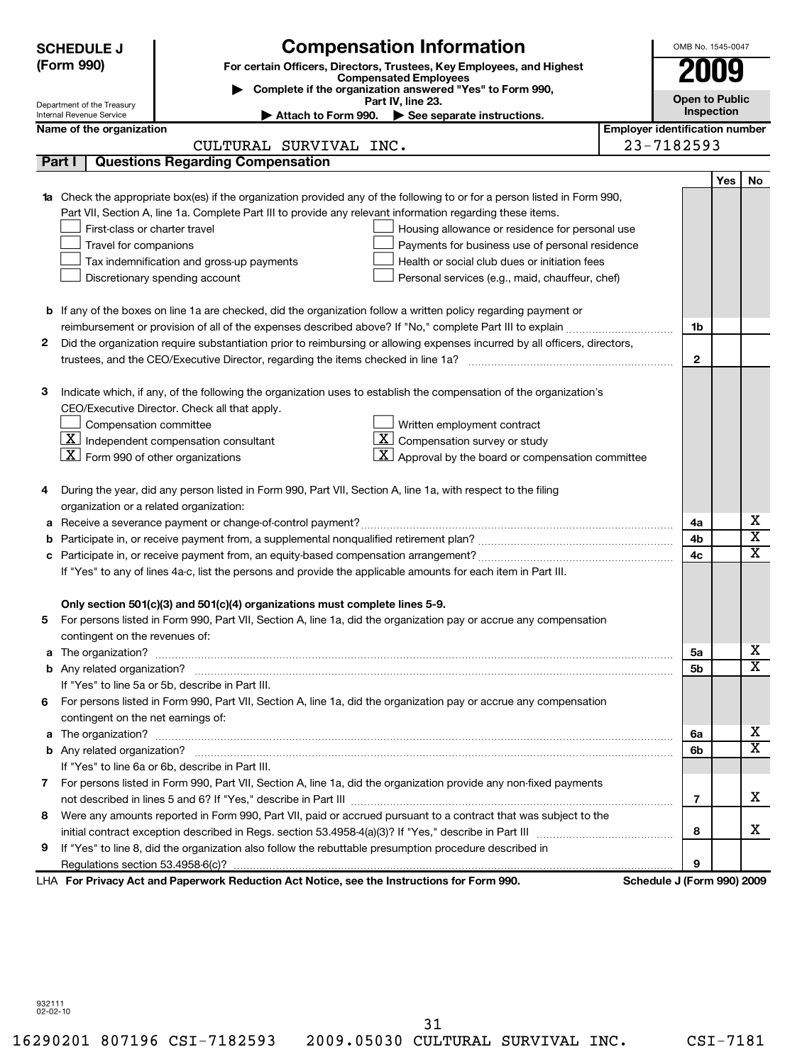| Part I | Department of the Treasury<br>Internal Revenue Service                                                             |                                                                                                              |                                                                                                                                  |                                       |                                 |     |                         |  |  |
|--------|--------------------------------------------------------------------------------------------------------------------|--------------------------------------------------------------------------------------------------------------|----------------------------------------------------------------------------------------------------------------------------------|---------------------------------------|---------------------------------|-----|-------------------------|--|--|
|        |                                                                                                                    |                                                                                                              | (Form 990)<br>For certain Officers, Directors, Trustees, Key Employees, and Highest<br><b>Compensated Employees</b>              |                                       |                                 |     |                         |  |  |
|        |                                                                                                                    | Complete if the organization answered "Yes" to Form 990,                                                     |                                                                                                                                  |                                       |                                 |     |                         |  |  |
|        |                                                                                                                    |                                                                                                              | Part IV, line 23.                                                                                                                |                                       | <b>Open to Public</b>           |     |                         |  |  |
|        |                                                                                                                    |                                                                                                              | Attach to Form 990. See separate instructions.                                                                                   |                                       | <b>Inspection</b>               |     |                         |  |  |
|        | Name of the organization                                                                                           |                                                                                                              |                                                                                                                                  | <b>Employer identification number</b> |                                 |     |                         |  |  |
|        |                                                                                                                    | CULTURAL SURVIVAL INC.                                                                                       |                                                                                                                                  |                                       | 23-7182593                      |     |                         |  |  |
|        |                                                                                                                    | <b>Questions Regarding Compensation</b>                                                                      |                                                                                                                                  |                                       |                                 |     |                         |  |  |
|        |                                                                                                                    |                                                                                                              |                                                                                                                                  |                                       |                                 | Yes | No                      |  |  |
|        |                                                                                                                    |                                                                                                              | <b>1a</b> Check the appropriate box(es) if the organization provided any of the following to or for a person listed in Form 990, |                                       |                                 |     |                         |  |  |
|        |                                                                                                                    | Part VII, Section A, line 1a. Complete Part III to provide any relevant information regarding these items.   |                                                                                                                                  |                                       |                                 |     |                         |  |  |
|        | First-class or charter travel                                                                                      |                                                                                                              | Housing allowance or residence for personal use                                                                                  |                                       |                                 |     |                         |  |  |
|        | Travel for companions                                                                                              |                                                                                                              | Payments for business use of personal residence                                                                                  |                                       |                                 |     |                         |  |  |
|        |                                                                                                                    | Tax indemnification and gross-up payments                                                                    | Health or social club dues or initiation fees                                                                                    |                                       |                                 |     |                         |  |  |
|        |                                                                                                                    | Discretionary spending account                                                                               | Personal services (e.g., maid, chauffeur, chef)                                                                                  |                                       |                                 |     |                         |  |  |
|        |                                                                                                                    |                                                                                                              |                                                                                                                                  |                                       |                                 |     |                         |  |  |
|        |                                                                                                                    |                                                                                                              | <b>b</b> If any of the boxes on line 1a are checked, did the organization follow a written policy regarding payment or           |                                       |                                 |     |                         |  |  |
|        |                                                                                                                    |                                                                                                              |                                                                                                                                  |                                       | 1b                              |     |                         |  |  |
| 2      |                                                                                                                    |                                                                                                              | Did the organization require substantiation prior to reimbursing or allowing expenses incurred by all officers, directors,       |                                       |                                 |     |                         |  |  |
|        |                                                                                                                    |                                                                                                              |                                                                                                                                  |                                       | $\mathbf{2}$                    |     |                         |  |  |
|        |                                                                                                                    |                                                                                                              |                                                                                                                                  |                                       |                                 |     |                         |  |  |
| з      |                                                                                                                    |                                                                                                              | Indicate which, if any, of the following the organization uses to establish the compensation of the organization's               |                                       |                                 |     |                         |  |  |
|        |                                                                                                                    | CEO/Executive Director. Check all that apply.                                                                |                                                                                                                                  |                                       |                                 |     |                         |  |  |
|        | Compensation committee                                                                                             |                                                                                                              | Written employment contract                                                                                                      |                                       |                                 |     |                         |  |  |
|        |                                                                                                                    | $\mathbf{X}$ Independent compensation consultant                                                             | $\boxed{\mathbf{X}}$ Compensation survey or study                                                                                |                                       |                                 |     |                         |  |  |
|        | $ \mathbf{X} $ Form 990 of other organizations                                                                     |                                                                                                              | $\lfloor \underline{X} \rfloor$ Approval by the board or compensation committee                                                  |                                       |                                 |     |                         |  |  |
|        |                                                                                                                    |                                                                                                              |                                                                                                                                  |                                       |                                 |     |                         |  |  |
| 4      |                                                                                                                    | During the year, did any person listed in Form 990, Part VII, Section A, line 1a, with respect to the filing |                                                                                                                                  |                                       |                                 |     |                         |  |  |
|        |                                                                                                                    | organization or a related organization:                                                                      |                                                                                                                                  |                                       |                                 |     |                         |  |  |
| а      |                                                                                                                    |                                                                                                              |                                                                                                                                  |                                       | 4a                              |     | х                       |  |  |
|        |                                                                                                                    |                                                                                                              |                                                                                                                                  |                                       | 4b                              |     | $\overline{\textbf{x}}$ |  |  |
|        |                                                                                                                    |                                                                                                              |                                                                                                                                  |                                       | 4c                              |     | $\overline{\texttt{x}}$ |  |  |
|        | с<br>If "Yes" to any of lines 4a-c, list the persons and provide the applicable amounts for each item in Part III. |                                                                                                              |                                                                                                                                  |                                       |                                 |     |                         |  |  |
|        |                                                                                                                    |                                                                                                              |                                                                                                                                  |                                       |                                 |     |                         |  |  |
|        |                                                                                                                    | Only section 501(c)(3) and 501(c)(4) organizations must complete lines 5-9.                                  |                                                                                                                                  |                                       |                                 |     |                         |  |  |
| 5      |                                                                                                                    |                                                                                                              | For persons listed in Form 990, Part VII, Section A, line 1a, did the organization pay or accrue any compensation                |                                       |                                 |     |                         |  |  |
|        | contingent on the revenues of:                                                                                     |                                                                                                              |                                                                                                                                  |                                       |                                 |     |                         |  |  |
|        |                                                                                                                    |                                                                                                              |                                                                                                                                  |                                       | 5a                              |     | х                       |  |  |
|        |                                                                                                                    |                                                                                                              |                                                                                                                                  |                                       | 5b                              |     | $\overline{\mathbf{x}}$ |  |  |
|        |                                                                                                                    | If "Yes" to line 5a or 5b, describe in Part III.                                                             |                                                                                                                                  |                                       |                                 |     |                         |  |  |
|        |                                                                                                                    |                                                                                                              | 6 For persons listed in Form 990, Part VII, Section A, line 1a, did the organization pay or accrue any compensation              |                                       |                                 |     |                         |  |  |
|        | contingent on the net earnings of:                                                                                 |                                                                                                              |                                                                                                                                  |                                       |                                 |     |                         |  |  |
| a      |                                                                                                                    |                                                                                                              |                                                                                                                                  |                                       | 6a                              |     | х                       |  |  |
|        |                                                                                                                    |                                                                                                              |                                                                                                                                  |                                       | 6b                              |     | $\overline{\texttt{x}}$ |  |  |
|        |                                                                                                                    | If "Yes" to line 6a or 6b, describe in Part III.                                                             |                                                                                                                                  |                                       |                                 |     |                         |  |  |
|        |                                                                                                                    |                                                                                                              |                                                                                                                                  |                                       |                                 |     |                         |  |  |
|        |                                                                                                                    |                                                                                                              | 7 For persons listed in Form 990, Part VII, Section A, line 1a, did the organization provide any non-fixed payments              |                                       | 7                               |     | x                       |  |  |
|        |                                                                                                                    |                                                                                                              |                                                                                                                                  |                                       |                                 |     |                         |  |  |
| 8      |                                                                                                                    |                                                                                                              | Were any amounts reported in Form 990, Part VII, paid or accrued pursuant to a contract that was subject to the                  |                                       |                                 |     | x                       |  |  |
|        |                                                                                                                    |                                                                                                              |                                                                                                                                  |                                       | 8                               |     |                         |  |  |
| 9      |                                                                                                                    | If "Yes" to line 8, did the organization also follow the rebuttable presumption procedure described in       |                                                                                                                                  |                                       |                                 |     |                         |  |  |
|        |                                                                                                                    | LHA For Privacy Act and Paperwork Reduction Act Notice, see the Instructions for Form 990.                   |                                                                                                                                  |                                       | 9<br>Schedule J (Form 990) 2009 |     |                         |  |  |

932111 02-02-10

31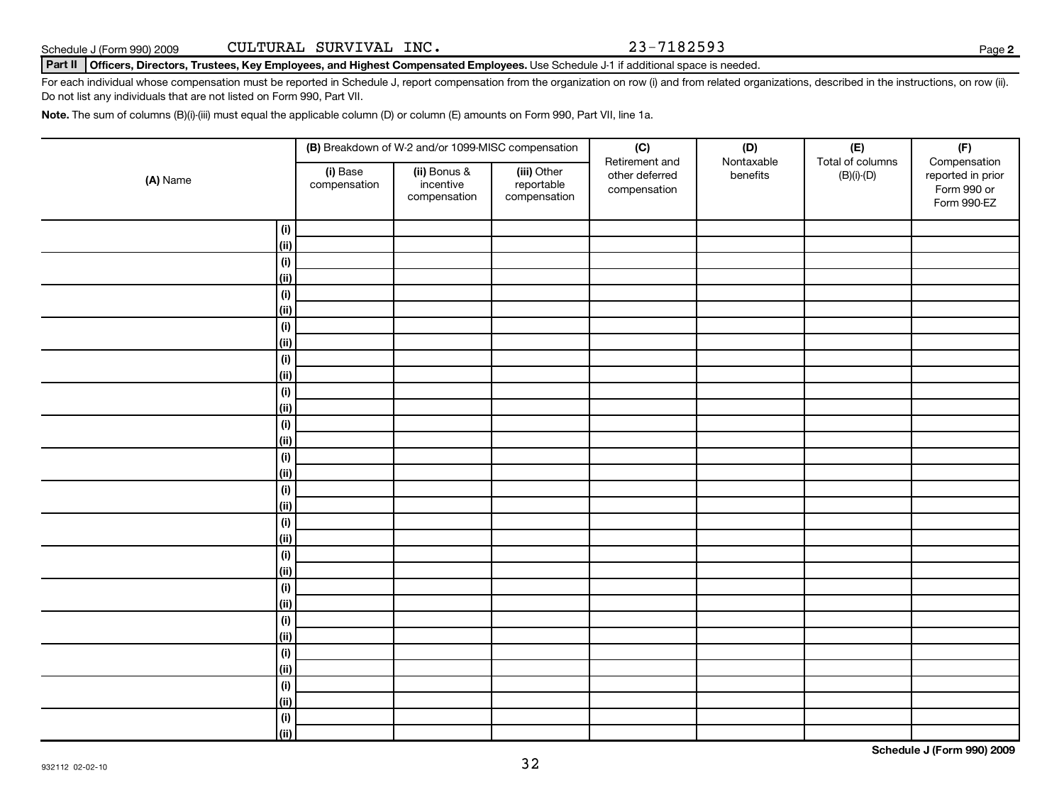### **Part II Officers, Directors, Trustees, Key Employees, and Highest Compensated Employees.**  Use Schedule J-1 if additional space is needed.

For each individual whose compensation must be reported in Schedule J, report compensation from the organization on row (i) and from related organizations, described in the instructions, on row (ii). Do not list any individuals that are not listed on Form 990, Part VII.

**Note.**  The sum of columns (B)(i)-(iii) must equal the applicable column (D) or column (E) amounts on Form 990, Part VII, line 1a.

|             |                          | (B) Breakdown of W-2 and/or 1099-MISC compensation |                                           | (C)                                              | (D)                    | $(\mathsf{E})$                   | (F)                                                             |
|-------------|--------------------------|----------------------------------------------------|-------------------------------------------|--------------------------------------------------|------------------------|----------------------------------|-----------------------------------------------------------------|
| (A) Name    | (i) Base<br>compensation | (ii) Bonus &<br>incentive<br>compensation          | (iii) Other<br>reportable<br>compensation | Retirement and<br>other deferred<br>compensation | Nontaxable<br>benefits | Total of columns<br>$(B)(i)-(D)$ | Compensation<br>reported in prior<br>Form 990 or<br>Form 990-EZ |
| (i)         |                          |                                                    |                                           |                                                  |                        |                                  |                                                                 |
| (ii)        |                          |                                                    |                                           |                                                  |                        |                                  |                                                                 |
| $\vert$ (i) |                          |                                                    |                                           |                                                  |                        |                                  |                                                                 |
| (ii)        |                          |                                                    |                                           |                                                  |                        |                                  |                                                                 |
| (i)         |                          |                                                    |                                           |                                                  |                        |                                  |                                                                 |
| (i)         |                          |                                                    |                                           |                                                  |                        |                                  |                                                                 |
| (i)         |                          |                                                    |                                           |                                                  |                        |                                  |                                                                 |
| (i)         |                          |                                                    |                                           |                                                  |                        |                                  |                                                                 |
| (i)         |                          |                                                    |                                           |                                                  |                        |                                  |                                                                 |
| (i)         |                          |                                                    |                                           |                                                  |                        |                                  |                                                                 |
| (i)         |                          |                                                    |                                           |                                                  |                        |                                  |                                                                 |
| (i)         |                          |                                                    |                                           |                                                  |                        |                                  |                                                                 |
| (i)         |                          |                                                    |                                           |                                                  |                        |                                  |                                                                 |
| (ii)        |                          |                                                    |                                           |                                                  |                        |                                  |                                                                 |
| (i)         |                          |                                                    |                                           |                                                  |                        |                                  |                                                                 |
| (i)         |                          |                                                    |                                           |                                                  |                        |                                  |                                                                 |
| (i)         |                          |                                                    |                                           |                                                  |                        |                                  |                                                                 |
| (i)         |                          |                                                    |                                           |                                                  |                        |                                  |                                                                 |
| (i)         |                          |                                                    |                                           |                                                  |                        |                                  |                                                                 |
| (i)         |                          |                                                    |                                           |                                                  |                        |                                  |                                                                 |
| (i)         |                          |                                                    |                                           |                                                  |                        |                                  |                                                                 |
| (i)         |                          |                                                    |                                           |                                                  |                        |                                  |                                                                 |
| (i)         |                          |                                                    |                                           |                                                  |                        |                                  |                                                                 |
| (ii)        |                          |                                                    |                                           |                                                  |                        |                                  |                                                                 |
| (i)         |                          |                                                    |                                           |                                                  |                        |                                  |                                                                 |
| (ii)        |                          |                                                    |                                           |                                                  |                        |                                  |                                                                 |
| (i)         |                          |                                                    |                                           |                                                  |                        |                                  |                                                                 |
| (ii)        |                          |                                                    |                                           |                                                  |                        |                                  |                                                                 |
| (i)         |                          |                                                    |                                           |                                                  |                        |                                  |                                                                 |
| (ii)        |                          |                                                    |                                           |                                                  |                        |                                  |                                                                 |
| (i)         |                          |                                                    |                                           |                                                  |                        |                                  |                                                                 |
| (ii)        |                          |                                                    |                                           |                                                  |                        |                                  |                                                                 |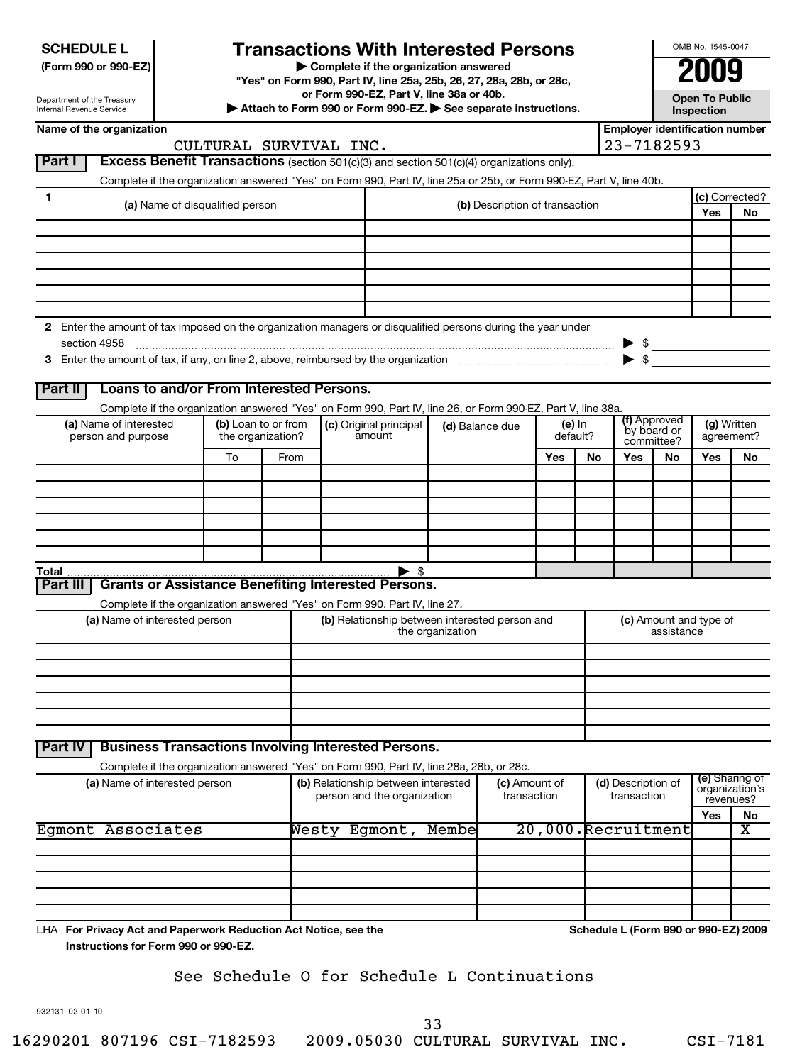# **Transactions With Interested Persons**

**(Form 990 or 990-EZ) | Complete if the organization answered**

**"Yes" on Form 990, Part IV, line 25a, 25b, 26, 27, 28a, 28b, or 28c,**

**or Form 990-EZ, Part V, line 38a or 40b.**

**| Attach to Form 990 or Form 990-EZ. | See separate instructions. Open To Public**

**Inspection**

OMB No. 1545-0047

| CULTURAL SURVIVAL INC.<br>Part I<br><b>Excess Benefit Transactions</b> (section 501(c)(3) and section 501(c)(4) organizations only).<br>Complete if the organization answered "Yes" on Form 990, Part IV, line 25a or 25b, or Form 990-EZ, Part V, line 40b.<br>1<br>(a) Name of disqualified person<br>2 Enter the amount of tax imposed on the organization managers or disqualified persons during the year under<br>section 4958<br>Loans to and/or From Interested Persons.<br>Part II<br>Complete if the organization answered "Yes" on Form 990, Part IV, line 26, or Form 990-EZ, Part V, line 38a.<br>(a) Name of interested<br>(b) Loan to or from<br>(c) Original principal<br>amount<br>person and purpose<br>the organization?<br>To<br>From | (b) Description of transaction<br>(d) Balance due<br>Yes | (e) In<br>default?<br>No | 23-7182593<br>(f) Approved<br>by board or<br>committee? | $\frac{1}{2}$ | (c) Corrected?<br>Yes<br>(g) Written | No                            |
|-----------------------------------------------------------------------------------------------------------------------------------------------------------------------------------------------------------------------------------------------------------------------------------------------------------------------------------------------------------------------------------------------------------------------------------------------------------------------------------------------------------------------------------------------------------------------------------------------------------------------------------------------------------------------------------------------------------------------------------------------------------|----------------------------------------------------------|--------------------------|---------------------------------------------------------|---------------|--------------------------------------|-------------------------------|
|                                                                                                                                                                                                                                                                                                                                                                                                                                                                                                                                                                                                                                                                                                                                                           |                                                          |                          |                                                         |               |                                      |                               |
|                                                                                                                                                                                                                                                                                                                                                                                                                                                                                                                                                                                                                                                                                                                                                           |                                                          |                          |                                                         |               |                                      |                               |
|                                                                                                                                                                                                                                                                                                                                                                                                                                                                                                                                                                                                                                                                                                                                                           |                                                          |                          |                                                         |               |                                      |                               |
|                                                                                                                                                                                                                                                                                                                                                                                                                                                                                                                                                                                                                                                                                                                                                           |                                                          |                          |                                                         |               |                                      |                               |
|                                                                                                                                                                                                                                                                                                                                                                                                                                                                                                                                                                                                                                                                                                                                                           |                                                          |                          |                                                         |               |                                      |                               |
|                                                                                                                                                                                                                                                                                                                                                                                                                                                                                                                                                                                                                                                                                                                                                           |                                                          |                          |                                                         |               |                                      |                               |
|                                                                                                                                                                                                                                                                                                                                                                                                                                                                                                                                                                                                                                                                                                                                                           |                                                          |                          |                                                         |               |                                      |                               |
|                                                                                                                                                                                                                                                                                                                                                                                                                                                                                                                                                                                                                                                                                                                                                           |                                                          |                          |                                                         |               |                                      |                               |
|                                                                                                                                                                                                                                                                                                                                                                                                                                                                                                                                                                                                                                                                                                                                                           |                                                          |                          |                                                         |               |                                      |                               |
|                                                                                                                                                                                                                                                                                                                                                                                                                                                                                                                                                                                                                                                                                                                                                           |                                                          |                          |                                                         |               |                                      |                               |
|                                                                                                                                                                                                                                                                                                                                                                                                                                                                                                                                                                                                                                                                                                                                                           |                                                          |                          |                                                         |               |                                      |                               |
|                                                                                                                                                                                                                                                                                                                                                                                                                                                                                                                                                                                                                                                                                                                                                           |                                                          |                          |                                                         |               |                                      | agreement?                    |
|                                                                                                                                                                                                                                                                                                                                                                                                                                                                                                                                                                                                                                                                                                                                                           |                                                          |                          | Yes                                                     | No            | Yes                                  | No                            |
|                                                                                                                                                                                                                                                                                                                                                                                                                                                                                                                                                                                                                                                                                                                                                           |                                                          |                          |                                                         |               |                                      |                               |
|                                                                                                                                                                                                                                                                                                                                                                                                                                                                                                                                                                                                                                                                                                                                                           |                                                          |                          |                                                         |               |                                      |                               |
|                                                                                                                                                                                                                                                                                                                                                                                                                                                                                                                                                                                                                                                                                                                                                           |                                                          |                          |                                                         |               |                                      |                               |
|                                                                                                                                                                                                                                                                                                                                                                                                                                                                                                                                                                                                                                                                                                                                                           |                                                          |                          |                                                         |               |                                      |                               |
| $\blacktriangleright$ s<br>Total $\ldots$                                                                                                                                                                                                                                                                                                                                                                                                                                                                                                                                                                                                                                                                                                                 |                                                          |                          |                                                         |               |                                      |                               |
| <b>Grants or Assistance Benefiting Interested Persons.</b><br>Part III                                                                                                                                                                                                                                                                                                                                                                                                                                                                                                                                                                                                                                                                                    |                                                          |                          |                                                         |               |                                      |                               |
| Complete if the organization answered "Yes" on Form 990, Part IV, line 27.                                                                                                                                                                                                                                                                                                                                                                                                                                                                                                                                                                                                                                                                                |                                                          |                          |                                                         |               |                                      |                               |
| (b) Relationship between interested person and<br>(a) Name of interested person<br>the organization                                                                                                                                                                                                                                                                                                                                                                                                                                                                                                                                                                                                                                                       |                                                          |                          |                                                         | assistance    | (c) Amount and type of               |                               |
|                                                                                                                                                                                                                                                                                                                                                                                                                                                                                                                                                                                                                                                                                                                                                           |                                                          |                          |                                                         |               |                                      |                               |
|                                                                                                                                                                                                                                                                                                                                                                                                                                                                                                                                                                                                                                                                                                                                                           |                                                          |                          |                                                         |               |                                      |                               |
|                                                                                                                                                                                                                                                                                                                                                                                                                                                                                                                                                                                                                                                                                                                                                           |                                                          |                          |                                                         |               |                                      |                               |
|                                                                                                                                                                                                                                                                                                                                                                                                                                                                                                                                                                                                                                                                                                                                                           |                                                          |                          |                                                         |               |                                      |                               |
|                                                                                                                                                                                                                                                                                                                                                                                                                                                                                                                                                                                                                                                                                                                                                           |                                                          |                          |                                                         |               |                                      |                               |
| <b>Business Transactions Involving Interested Persons.</b><br><b>Part IV</b>                                                                                                                                                                                                                                                                                                                                                                                                                                                                                                                                                                                                                                                                              |                                                          |                          |                                                         |               |                                      |                               |
| Complete if the organization answered "Yes" on Form 990, Part IV, line 28a, 28b, or 28c.                                                                                                                                                                                                                                                                                                                                                                                                                                                                                                                                                                                                                                                                  |                                                          |                          |                                                         |               |                                      | (e) Sharing of                |
| (a) Name of interested person<br>(b) Relationship between interested<br>person and the organization                                                                                                                                                                                                                                                                                                                                                                                                                                                                                                                                                                                                                                                       | (c) Amount of<br>transaction                             |                          | (d) Description of<br>transaction                       |               |                                      | organization's<br>revenues?   |
| Egmont Associates<br>Westy Egmont,<br>Membe                                                                                                                                                                                                                                                                                                                                                                                                                                                                                                                                                                                                                                                                                                               |                                                          |                          | 20,000.Recruitment                                      |               | Yes                                  | No<br>$\overline{\textbf{x}}$ |
|                                                                                                                                                                                                                                                                                                                                                                                                                                                                                                                                                                                                                                                                                                                                                           |                                                          |                          |                                                         |               |                                      |                               |
|                                                                                                                                                                                                                                                                                                                                                                                                                                                                                                                                                                                                                                                                                                                                                           |                                                          |                          |                                                         |               |                                      |                               |
|                                                                                                                                                                                                                                                                                                                                                                                                                                                                                                                                                                                                                                                                                                                                                           |                                                          |                          |                                                         |               |                                      |                               |
|                                                                                                                                                                                                                                                                                                                                                                                                                                                                                                                                                                                                                                                                                                                                                           |                                                          |                          |                                                         |               |                                      |                               |
| LHA For Privacy Act and Paperwork Reduction Act Notice, see the                                                                                                                                                                                                                                                                                                                                                                                                                                                                                                                                                                                                                                                                                           |                                                          |                          | Schedule L (Form 990 or 990-EZ) 2009                    |               |                                      |                               |

## See Schedule O for Schedule L Continuations

932131 02-01-10

33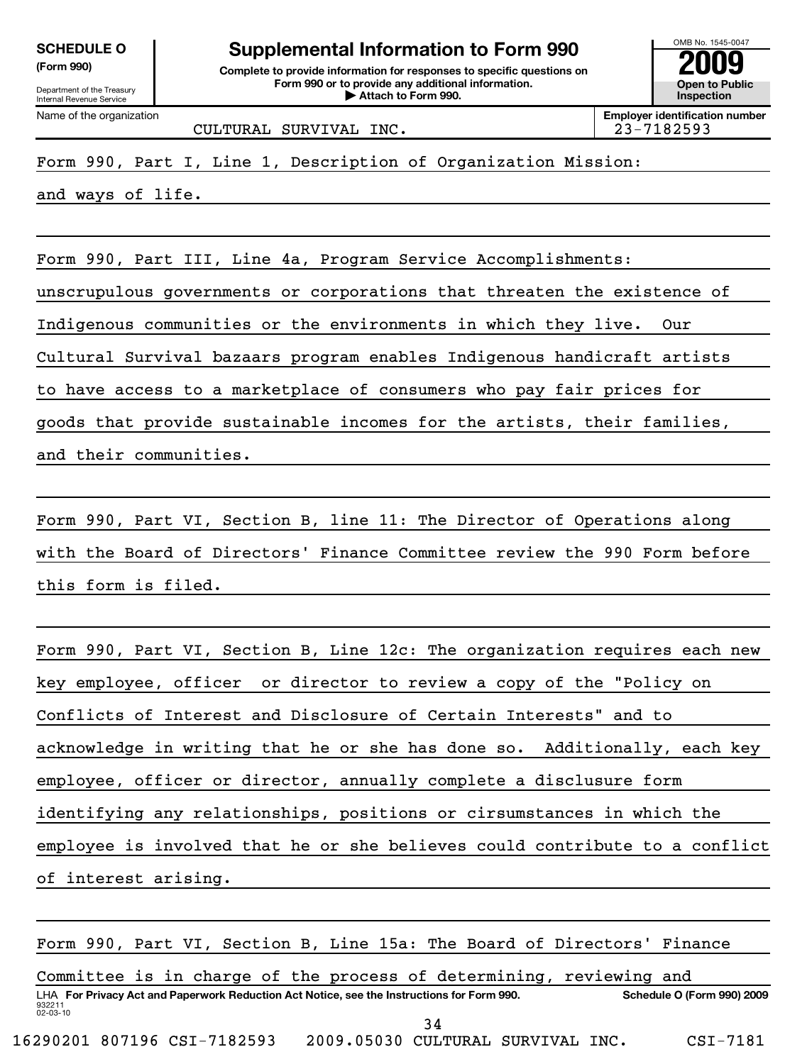Name of the organization

**(Form 990) Complete to provide information for responses to specific questions on Form 990 or to provide any additional information. | Attach to Form 990. Open to Public** SCHEDULE O<br> **Supplemental Information to Form 990**<br> **Supplemental Information for responses to specific questions on**<br> **Experimental Scheper to Public**<br> **Experimental Scheper to Public**<br> **Experimental Scheper to Public** 

OMB No. 1545-0047 **Inspection**

**Employer identification number**

CULTURAL SURVIVAL INC. 23-7182593

Form 990, Part I, Line 1, Description of Organization Mission:

and ways of life.

Form 990, Part III, Line 4a, Program Service Accomplishments:

unscrupulous governments or corporations that threaten the existence of

Indigenous communities or the environments in which they live. Our

Cultural Survival bazaars program enables Indigenous handicraft artists

to have access to a marketplace of consumers who pay fair prices for

goods that provide sustainable incomes for the artists, their families,

and their communities.

Form 990, Part VI, Section B, line 11: The Director of Operations along with the Board of Directors' Finance Committee review the 990 Form before this form is filed.

Form 990, Part VI, Section B, Line 12c: The organization requires each new key employee, officer or director to review a copy of the "Policy on Conflicts of Interest and Disclosure of Certain Interests" and to acknowledge in writing that he or she has done so. Additionally, each key employee, officer or director, annually complete a disclusure form identifying any relationships, positions or cirsumstances in which the employee is involved that he or she believes could contribute to a conflict of interest arising.

932211 02-03-10 **For Privacy Act and Paperwork Reduction Act Notice, see the Instructions for Form 990. Schedule O (Form 990) 2009** LHA Form 990, Part VI, Section B, Line 15a: The Board of Directors' Finance Committee is in charge of the process of determining, reviewing and 34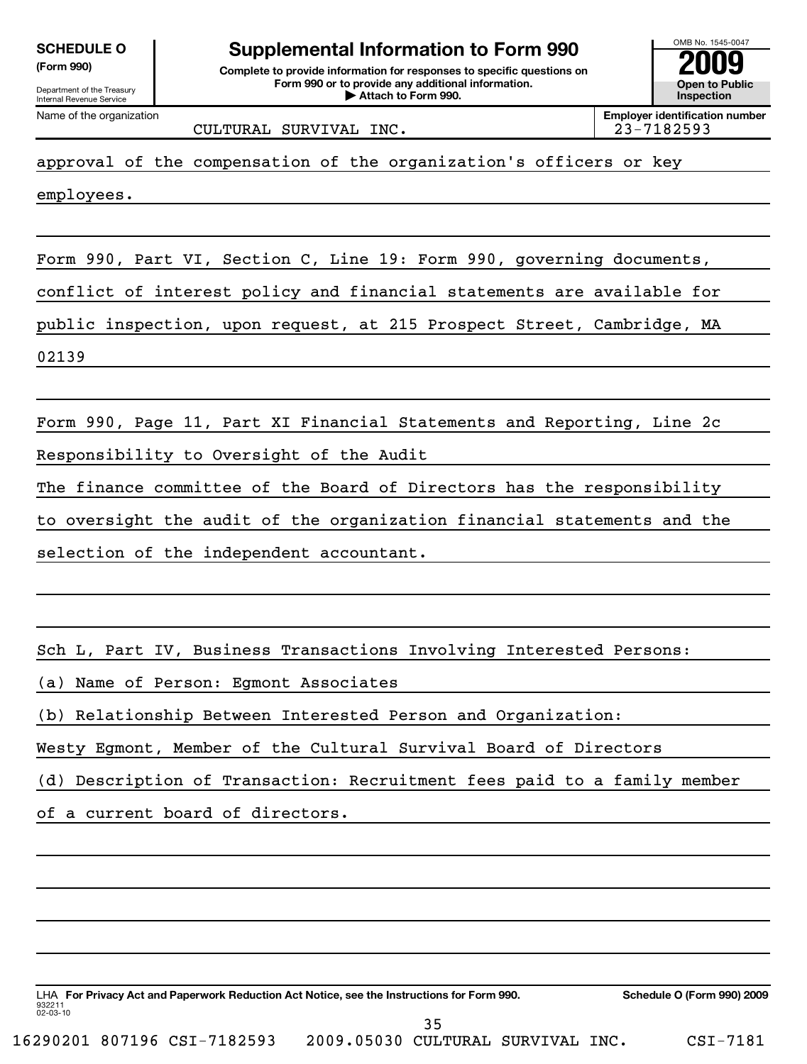**(Form 990) Complete to provide information for responses to specific questions on Form 990 or to provide any additional information. | Attach to Form 990. Open to Public** SCHEDULE O<br> **Supplemental Information to Form 990**<br> **Supplemental Information for responses to specific questions on**<br> **Experimental Scheper to Public**<br> **Experimental Scheper to Public**<br> **Experimental Scheper to Public** 

**Inspection**

**Employer identification number**

OMB No. 1545-0047

Name of the organization

CULTURAL SURVIVAL INC. 23-7182593

approval of the compensation of the organization's officers or key

employees.

Form 990, Part VI, Section C, Line 19: Form 990, governing documents,

conflict of interest policy and financial statements are available for

public inspection, upon request, at 215 Prospect Street, Cambridge, MA

02139

Form 990, Page 11, Part XI Financial Statements and Reporting, Line 2c

Responsibility to Oversight of the Audit

The finance committee of the Board of Directors has the responsibility

to oversight the audit of the organization financial statements and the

selection of the independent accountant.

Sch L, Part IV, Business Transactions Involving Interested Persons:

(a) Name of Person: Egmont Associates

(b) Relationship Between Interested Person and Organization:

Westy Egmont, Member of the Cultural Survival Board of Directors

(d) Description of Transaction: Recruitment fees paid to a family member

of a current board of directors.

932211 02-03-10 **For Privacy Act and Paperwork Reduction Act Notice, see the Instructions for Form 990. Schedule O (Form 990) 2009** LHA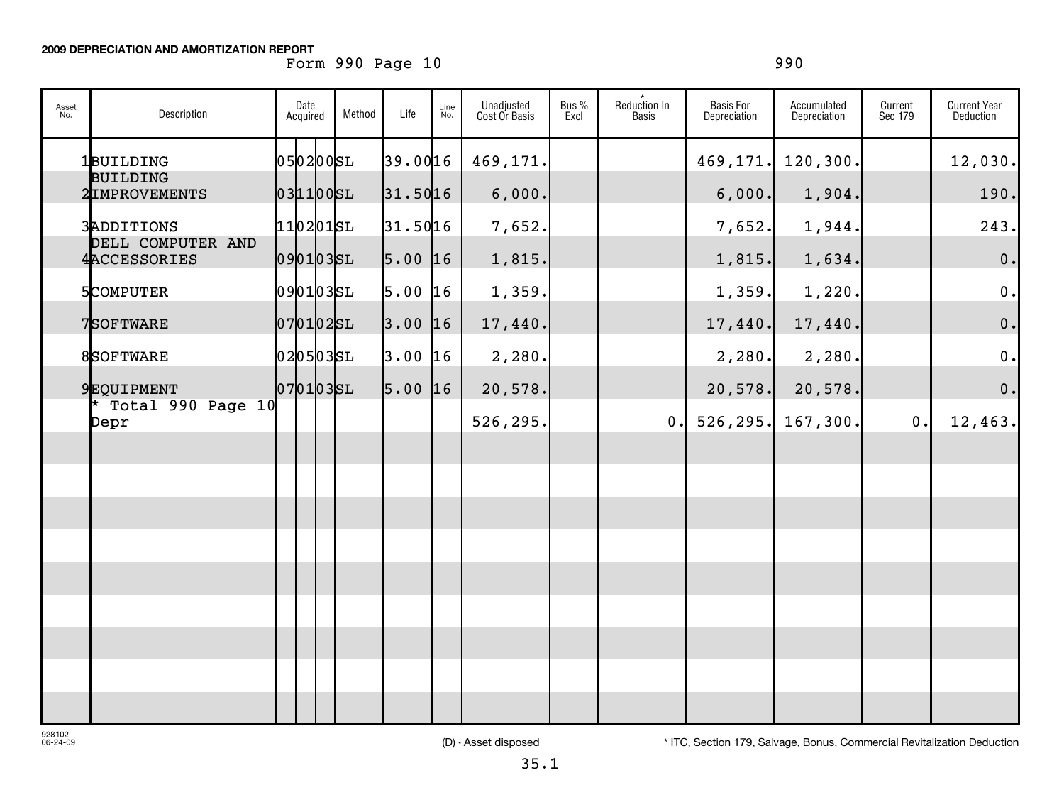## **2009 DEPRECIATION AND AMORTIZATION REPORT**

## Form 990 Page 10 990 990

| Asset<br>No. | Description                     | Date<br>Acquired | Method | Life      | Line<br>No. | Unadjusted<br>Cost Or Basis | Bus %<br>Excl | Reduction In<br>Basis | <b>Basis For</b><br>Depreciation | Accumulated<br>Depreciation | Current<br>Sec 179 | <b>Current Year</b><br>Deduction |
|--------------|---------------------------------|------------------|--------|-----------|-------------|-----------------------------|---------------|-----------------------|----------------------------------|-----------------------------|--------------------|----------------------------------|
|              | 1BUILDING<br><b>BUILDING</b>    | 05 02 00 SL      |        | 39.0016   |             | 469,171.                    |               |                       | 469,171.                         | 120, 300.                   |                    | 12,030.                          |
|              | 2IMPROVEMENTS                   | $031100$ $SL$    |        | 31.5016   |             | 6,000.                      |               |                       | 6,000.                           | 1,904.                      |                    | 190.                             |
|              | 3ADDITIONS<br>DELL COMPUTER AND | $110201$ SL      |        | 31.5016   |             | 7,652.                      |               |                       | 7,652.                           | 1,944.                      |                    | 243.                             |
|              | 4ACCESSORIES                    | 0901035L         |        | $5.00$ 16 |             | 1,815.                      |               |                       | 1,815.                           | 1,634.                      |                    | 0.                               |
|              | 5COMPUTER                       | 0901035L         |        | 5.00      | 16          | 1,359.                      |               |                       | 1,359.                           | 1,220.                      |                    | 0.                               |
|              | 7SOFTWARE                       | $ 07 01 02$ SL   |        | 3.00      | 16          | 17,440.                     |               |                       | 17,440.                          | 17,440.                     |                    | 0.                               |
|              | 8SOFTWARE                       | 0205035L         |        | $3.00$ 16 |             | 2,280.                      |               |                       | 2,280.                           | 2,280.                      |                    | 0.                               |
|              | 9EQUIPMENT                      | 0701035L         |        | $5.00$ 16 |             | 20,578.                     |               |                       | 20,578.                          | 20,578.                     |                    | $\mathbf 0$ .                    |
|              | * Total 990 Page 10<br>Depr     |                  |        |           |             | 526,295.                    |               | 0.                    | 526, 295.                        | 167, 300.                   | 0.                 | 12,463.                          |
|              |                                 |                  |        |           |             |                             |               |                       |                                  |                             |                    |                                  |
|              |                                 |                  |        |           |             |                             |               |                       |                                  |                             |                    |                                  |
|              |                                 |                  |        |           |             |                             |               |                       |                                  |                             |                    |                                  |
|              |                                 |                  |        |           |             |                             |               |                       |                                  |                             |                    |                                  |
|              |                                 |                  |        |           |             |                             |               |                       |                                  |                             |                    |                                  |
|              |                                 |                  |        |           |             |                             |               |                       |                                  |                             |                    |                                  |
|              |                                 |                  |        |           |             |                             |               |                       |                                  |                             |                    |                                  |
|              |                                 |                  |        |           |             |                             |               |                       |                                  |                             |                    |                                  |
|              |                                 |                  |        |           |             |                             |               |                       |                                  |                             |                    |                                  |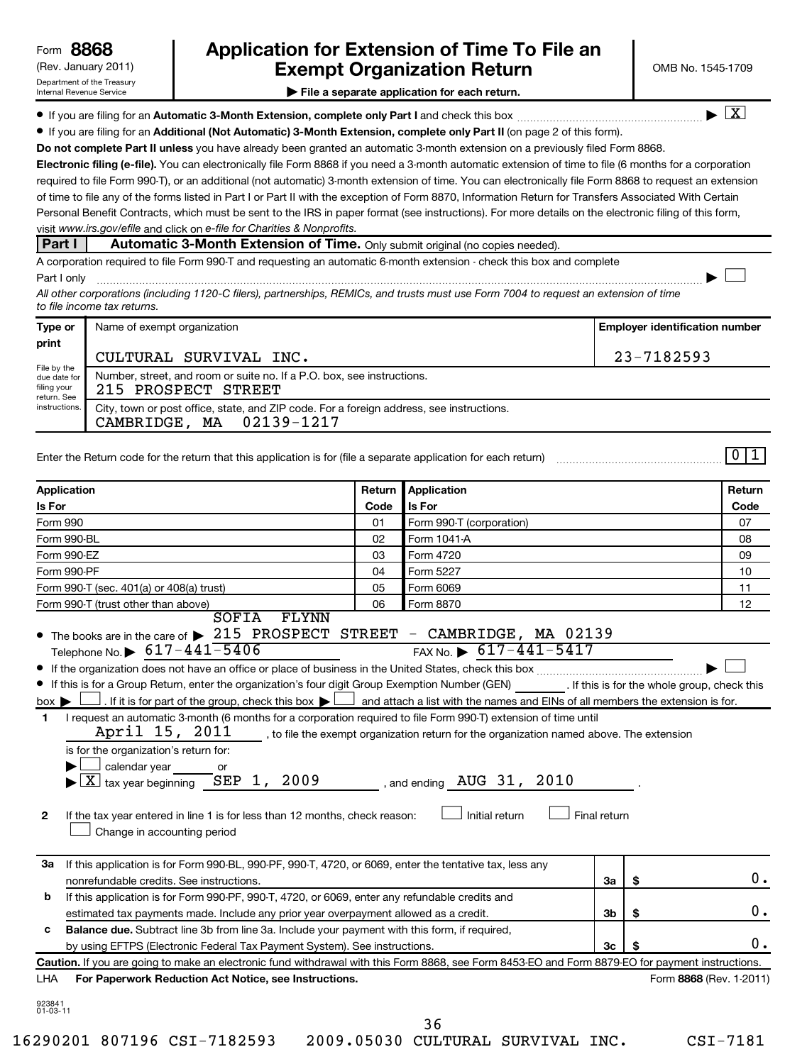## (Rev. January 2011) **Cxempt Organization Return** Manuary 2011) OMB No. 1545-1709 **8868 Application for Extension of Time To File an**

 $\lfloor x \rfloor$ 

 $\left\vert \cdot\right\vert$ 

 $011$ 

**| File a separate application for each return.**

**If you are filing for an Automatic 3-Month Extension, complete only Part I** and check this box  $\ldots$  $\ldots$  $\ldots$  $\ldots$  $\ldots$  $\ldots$ 

**• If you are filing for an Additional (Not Automatic) 3-Month Extension, complete only Part II (on page 2 of this form).** 

Do not complete Part II unless you have already been granted an automatic 3-month extension on a previously filed Form 8868.

**Electronic filing (e-file).**  You can electronically file Form 8868 if you need a 3-month automatic extension of time to file (6 months for a corporation visit www.irs.gov/efile and click on e-file for Charities & Nonprofits. required to file Form 990-T), or an additional (not automatic) 3-month extension of time. You can electronically file Form 8868 to request an extension of time to file any of the forms listed in Part I or Part II with the exception of Form 8870, Information Return for Transfers Associated With Certain Personal Benefit Contracts, which must be sent to the IRS in paper format (see instructions). For more details on the electronic filing of this form,

**Part I** | Automatic 3-Month Extension of Time. Only submit original (no copies needed).

A corporation required to file Form 990-T and requesting an automatic 6-month extension - check this box and complete Part I only ~~~~~~~~~~~~~~~~~~~~~~~~~~~~~~~~~~~~~~~~~~~~~~~~~~~~~~~~~~~~~~ |

*All other corporations (including 1120-C filers), partnerships, REMICs, and trusts must use Form 7004 to request an extension of time to file income tax returns.*

| Type or                                                                    | Name of exempt organization                                                                                             | <b>Employer identification number</b> |
|----------------------------------------------------------------------------|-------------------------------------------------------------------------------------------------------------------------|---------------------------------------|
| print                                                                      | CULTURAL SURVIVAL INC.                                                                                                  | 23-7182593                            |
| File by the<br>due date for<br>filing your<br>return. See<br>instructions. | Number, street, and room or suite no. If a P.O. box, see instructions.<br>215 PROSPECT STREET                           |                                       |
|                                                                            | City, town or post office, state, and ZIP code. For a foreign address, see instructions.<br>02139-1217<br>CAMBRIDGE, MA |                                       |

Enter the Return code for the return that this application is for (file a separate application for each return)

| <b>Application</b>                                                                                                                                                                                                                                                                                                                                                                                                                                                                                                                                                                                                                                                                                                                                                                                                                                                                        | Return | <b>Application</b>                                                                                                                                                                                            |                |                         | Return |  |
|-------------------------------------------------------------------------------------------------------------------------------------------------------------------------------------------------------------------------------------------------------------------------------------------------------------------------------------------------------------------------------------------------------------------------------------------------------------------------------------------------------------------------------------------------------------------------------------------------------------------------------------------------------------------------------------------------------------------------------------------------------------------------------------------------------------------------------------------------------------------------------------------|--------|---------------------------------------------------------------------------------------------------------------------------------------------------------------------------------------------------------------|----------------|-------------------------|--------|--|
| Is For                                                                                                                                                                                                                                                                                                                                                                                                                                                                                                                                                                                                                                                                                                                                                                                                                                                                                    | Code   | <b>Is For</b>                                                                                                                                                                                                 |                |                         | Code   |  |
| Form 990                                                                                                                                                                                                                                                                                                                                                                                                                                                                                                                                                                                                                                                                                                                                                                                                                                                                                  | 01     | Form 990-T (corporation)                                                                                                                                                                                      |                |                         | 07     |  |
| Form 990-BL                                                                                                                                                                                                                                                                                                                                                                                                                                                                                                                                                                                                                                                                                                                                                                                                                                                                               | 02     | Form 1041-A                                                                                                                                                                                                   |                |                         | 08     |  |
| Form 990-EZ                                                                                                                                                                                                                                                                                                                                                                                                                                                                                                                                                                                                                                                                                                                                                                                                                                                                               | 03     | Form 4720                                                                                                                                                                                                     |                |                         | 09     |  |
| Form 990-PF                                                                                                                                                                                                                                                                                                                                                                                                                                                                                                                                                                                                                                                                                                                                                                                                                                                                               | 04     | Form 5227                                                                                                                                                                                                     |                |                         |        |  |
| Form 990-T (sec. 401(a) or 408(a) trust)                                                                                                                                                                                                                                                                                                                                                                                                                                                                                                                                                                                                                                                                                                                                                                                                                                                  | 05     | Form 6069                                                                                                                                                                                                     | 11             |                         |        |  |
| Form 990-T (trust other than above)                                                                                                                                                                                                                                                                                                                                                                                                                                                                                                                                                                                                                                                                                                                                                                                                                                                       | 06     | Form 8870                                                                                                                                                                                                     |                |                         | 12     |  |
| SOFIA<br>FLYNN<br>• The books are in the care of > 215 PROSPECT STREET - CAMBRIDGE, MA 02139<br>Telephone No. $\triangleright$ 617-441-5406<br>If this is for a Group Return, enter the organization's four digit Group Exemption Number (GEN) [If this is for the whole group, check this<br>. If it is for part of the group, check this box $\blacktriangleright$ and attach a list with the names and EINs of all members the extension is for.<br>$box \blacktriangleright$<br>I request an automatic 3-month (6 months for a corporation required to file Form 990-T) extension of time until<br>1<br>April 15, 2011<br>is for the organization's return for:<br>calendar year<br>or<br>$\overline{\text{X}}$ tax year beginning $\overline{\text{SEP}}$ 1, 2009<br>If the tax year entered in line 1 is for less than 12 months, check reason:<br>2<br>Change in accounting period |        | FAX No. $\triangleright$ 617-441-5417<br>to file the exempt organization return for the organization named above. The extension<br>, and ending $\,$ AUG $\,$ 31, $\,$ 2010<br>Initial return<br>Final return |                |                         |        |  |
| If this application is for Form 990-BL, 990-PF, 990-T, 4720, or 6069, enter the tentative tax, less any<br>За<br>nonrefundable credits. See instructions.                                                                                                                                                                                                                                                                                                                                                                                                                                                                                                                                                                                                                                                                                                                                 |        |                                                                                                                                                                                                               | За             | \$                      | 0.     |  |
| If this application is for Form 990-PF, 990-T, 4720, or 6069, enter any refundable credits and<br>b<br>estimated tax payments made. Include any prior year overpayment allowed as a credit.                                                                                                                                                                                                                                                                                                                                                                                                                                                                                                                                                                                                                                                                                               | 3b     | \$                                                                                                                                                                                                            | 0.             |                         |        |  |
| Balance due. Subtract line 3b from line 3a. Include your payment with this form, if required,<br>с<br>by using EFTPS (Electronic Federal Tax Payment System). See instructions.                                                                                                                                                                                                                                                                                                                                                                                                                                                                                                                                                                                                                                                                                                           |        |                                                                                                                                                                                                               | 3 <sub>c</sub> |                         | 0.     |  |
| Caution. If you are going to make an electronic fund withdrawal with this Form 8868, see Form 8453-EO and Form 8879-EO for payment instructions.                                                                                                                                                                                                                                                                                                                                                                                                                                                                                                                                                                                                                                                                                                                                          |        |                                                                                                                                                                                                               |                |                         |        |  |
| For Paperwork Reduction Act Notice, see Instructions.<br>LHA                                                                                                                                                                                                                                                                                                                                                                                                                                                                                                                                                                                                                                                                                                                                                                                                                              |        |                                                                                                                                                                                                               |                | Form 8868 (Rev. 1-2011) |        |  |
| 923841<br>$01 - 03 - 11$                                                                                                                                                                                                                                                                                                                                                                                                                                                                                                                                                                                                                                                                                                                                                                                                                                                                  |        | 36                                                                                                                                                                                                            |                |                         |        |  |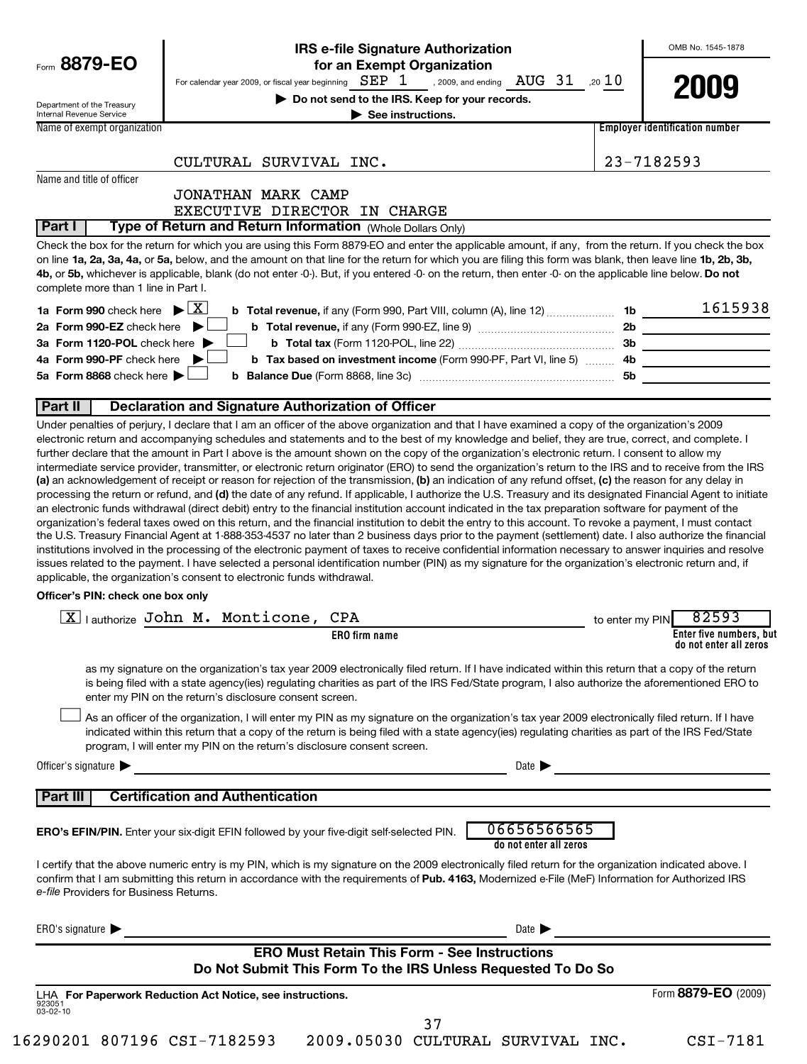|                                                        | <b>IRS e-file Signature Authorization</b>                                                                                                                                                                                                                                                                                                                                                                                                                                                                                                                                                                                                                                                                                                                                                                                                                                                                                                                                                                                                    |                 | OMB No. 1545-1878                                 |
|--------------------------------------------------------|----------------------------------------------------------------------------------------------------------------------------------------------------------------------------------------------------------------------------------------------------------------------------------------------------------------------------------------------------------------------------------------------------------------------------------------------------------------------------------------------------------------------------------------------------------------------------------------------------------------------------------------------------------------------------------------------------------------------------------------------------------------------------------------------------------------------------------------------------------------------------------------------------------------------------------------------------------------------------------------------------------------------------------------------|-----------------|---------------------------------------------------|
| Form 8879-EO                                           | for an Exempt Organization<br>For calendar year 2009, or fiscal year beginning $\text{ SEP}$ $1$ , 2009, and ending $\text{ AUG}$ $31$ , 20 $10$                                                                                                                                                                                                                                                                                                                                                                                                                                                                                                                                                                                                                                                                                                                                                                                                                                                                                             |                 | 2009                                              |
| Department of the Treasury<br>Internal Revenue Service | Do not send to the IRS. Keep for your records.<br>$\blacktriangleright$ See instructions.                                                                                                                                                                                                                                                                                                                                                                                                                                                                                                                                                                                                                                                                                                                                                                                                                                                                                                                                                    |                 |                                                   |
| Name of exempt organization                            |                                                                                                                                                                                                                                                                                                                                                                                                                                                                                                                                                                                                                                                                                                                                                                                                                                                                                                                                                                                                                                              |                 | <b>Employer identification number</b>             |
|                                                        | CULTURAL SURVIVAL INC.                                                                                                                                                                                                                                                                                                                                                                                                                                                                                                                                                                                                                                                                                                                                                                                                                                                                                                                                                                                                                       |                 | 23-7182593                                        |
| Name and title of officer                              |                                                                                                                                                                                                                                                                                                                                                                                                                                                                                                                                                                                                                                                                                                                                                                                                                                                                                                                                                                                                                                              |                 |                                                   |
|                                                        | JONATHAN MARK CAMP<br>EXECUTIVE DIRECTOR IN CHARGE                                                                                                                                                                                                                                                                                                                                                                                                                                                                                                                                                                                                                                                                                                                                                                                                                                                                                                                                                                                           |                 |                                                   |
| Part I                                                 | Type of Return and Return Information (Whole Dollars Only)                                                                                                                                                                                                                                                                                                                                                                                                                                                                                                                                                                                                                                                                                                                                                                                                                                                                                                                                                                                   |                 |                                                   |
| complete more than 1 line in Part I.                   | Check the box for the return for which you are using this Form 8879-EO and enter the applicable amount, if any, from the return. If you check the box<br>on line 1a, 2a, 3a, 4a, or 5a, below, and the amount on that line for the return for which you are filing this form was blank, then leave line 1b, 2b, 3b,<br>4b, or 5b, whichever is applicable, blank (do not enter -0-). But, if you entered -0- on the return, then enter -0- on the applicable line below. Do not                                                                                                                                                                                                                                                                                                                                                                                                                                                                                                                                                              |                 |                                                   |
| 1a Form 990 check here $\blacktriangleright \boxed{X}$ |                                                                                                                                                                                                                                                                                                                                                                                                                                                                                                                                                                                                                                                                                                                                                                                                                                                                                                                                                                                                                                              |                 | 1615938                                           |
| 2a Form 990-EZ check here $\blacktriangleright$        |                                                                                                                                                                                                                                                                                                                                                                                                                                                                                                                                                                                                                                                                                                                                                                                                                                                                                                                                                                                                                                              |                 |                                                   |
| 3a Form 1120-POL check here ▶                          |                                                                                                                                                                                                                                                                                                                                                                                                                                                                                                                                                                                                                                                                                                                                                                                                                                                                                                                                                                                                                                              |                 |                                                   |
| 4a Form 990-PF check here $\blacktriangleright$        | b Tax based on investment income (Form 990-PF, Part VI, line 5)  4b                                                                                                                                                                                                                                                                                                                                                                                                                                                                                                                                                                                                                                                                                                                                                                                                                                                                                                                                                                          |                 | <u> 1989 - Johann Barbara, martxa a</u>           |
| 5a Form 8868 check here $\blacktriangleright$          |                                                                                                                                                                                                                                                                                                                                                                                                                                                                                                                                                                                                                                                                                                                                                                                                                                                                                                                                                                                                                                              |                 |                                                   |
| Part II                                                | <b>Declaration and Signature Authorization of Officer</b>                                                                                                                                                                                                                                                                                                                                                                                                                                                                                                                                                                                                                                                                                                                                                                                                                                                                                                                                                                                    |                 |                                                   |
| Officer's PIN: check one box only                      | processing the return or refund, and (d) the date of any refund. If applicable, I authorize the U.S. Treasury and its designated Financial Agent to initiate<br>an electronic funds withdrawal (direct debit) entry to the financial institution account indicated in the tax preparation software for payment of the<br>organization's federal taxes owed on this return, and the financial institution to debit the entry to this account. To revoke a payment, I must contact<br>the U.S. Treasury Financial Agent at 1-888-353-4537 no later than 2 business days prior to the payment (settlement) date. I also authorize the financial<br>institutions involved in the processing of the electronic payment of taxes to receive confidential information necessary to answer inquiries and resolve<br>issues related to the payment. I have selected a personal identification number (PIN) as my signature for the organization's electronic return and, if<br>applicable, the organization's consent to electronic funds withdrawal. |                 |                                                   |
|                                                        | $\boxed{\mathbf{X}}$ authorize John M. Monticone,<br>CPA                                                                                                                                                                                                                                                                                                                                                                                                                                                                                                                                                                                                                                                                                                                                                                                                                                                                                                                                                                                     | to enter my PIN | 82593                                             |
|                                                        | <b>ERO</b> firm name                                                                                                                                                                                                                                                                                                                                                                                                                                                                                                                                                                                                                                                                                                                                                                                                                                                                                                                                                                                                                         |                 | Enter five numbers, but<br>do not enter all zeros |
|                                                        | as my signature on the organization's tax year 2009 electronically filed return. If I have indicated within this return that a copy of the return<br>is being filed with a state agency(ies) regulating charities as part of the IRS Fed/State program, I also authorize the aforementioned ERO to<br>enter my PIN on the return's disclosure consent screen.                                                                                                                                                                                                                                                                                                                                                                                                                                                                                                                                                                                                                                                                                |                 |                                                   |
|                                                        | As an officer of the organization, I will enter my PIN as my signature on the organization's tax year 2009 electronically filed return. If I have<br>indicated within this return that a copy of the return is being filed with a state agency(ies) regulating charities as part of the IRS Fed/State<br>program, I will enter my PIN on the return's disclosure consent screen.                                                                                                                                                                                                                                                                                                                                                                                                                                                                                                                                                                                                                                                             |                 |                                                   |
| Officer's signature $\blacktriangleright$              | Date $\blacktriangleright$                                                                                                                                                                                                                                                                                                                                                                                                                                                                                                                                                                                                                                                                                                                                                                                                                                                                                                                                                                                                                   |                 |                                                   |
|                                                        |                                                                                                                                                                                                                                                                                                                                                                                                                                                                                                                                                                                                                                                                                                                                                                                                                                                                                                                                                                                                                                              |                 |                                                   |
| Part III                                               | <b>Certification and Authentication</b>                                                                                                                                                                                                                                                                                                                                                                                                                                                                                                                                                                                                                                                                                                                                                                                                                                                                                                                                                                                                      |                 |                                                   |
|                                                        | 06656566565<br><b>ERO's EFIN/PIN.</b> Enter your six-digit EFIN followed by your five-digit self-selected PIN.<br>do not enter all zeros                                                                                                                                                                                                                                                                                                                                                                                                                                                                                                                                                                                                                                                                                                                                                                                                                                                                                                     |                 |                                                   |
| e-file Providers for Business Returns.                 | I certify that the above numeric entry is my PIN, which is my signature on the 2009 electronically filed return for the organization indicated above. I<br>confirm that I am submitting this return in accordance with the requirements of Pub. 4163, Modernized e-File (MeF) Information for Authorized IRS                                                                                                                                                                                                                                                                                                                                                                                                                                                                                                                                                                                                                                                                                                                                 |                 |                                                   |
| ERO's signature $\blacktriangleright$                  | Date $\blacktriangleright$                                                                                                                                                                                                                                                                                                                                                                                                                                                                                                                                                                                                                                                                                                                                                                                                                                                                                                                                                                                                                   |                 |                                                   |
|                                                        | <b>ERO Must Retain This Form - See Instructions</b><br>Do Not Submit This Form To the IRS Unless Requested To Do So                                                                                                                                                                                                                                                                                                                                                                                                                                                                                                                                                                                                                                                                                                                                                                                                                                                                                                                          |                 |                                                   |
|                                                        | LHA For Paperwork Reduction Act Notice, see instructions.                                                                                                                                                                                                                                                                                                                                                                                                                                                                                                                                                                                                                                                                                                                                                                                                                                                                                                                                                                                    |                 | Form 8879-EO (2009)                               |
| 923051<br>$03 - 02 - 10$                               |                                                                                                                                                                                                                                                                                                                                                                                                                                                                                                                                                                                                                                                                                                                                                                                                                                                                                                                                                                                                                                              |                 |                                                   |
|                                                        | 37                                                                                                                                                                                                                                                                                                                                                                                                                                                                                                                                                                                                                                                                                                                                                                                                                                                                                                                                                                                                                                           |                 |                                                   |
| 16290201 807196 CSI-7182593                            | 2009.05030 CULTURAL SURVIVAL INC.                                                                                                                                                                                                                                                                                                                                                                                                                                                                                                                                                                                                                                                                                                                                                                                                                                                                                                                                                                                                            |                 | CSI-7181                                          |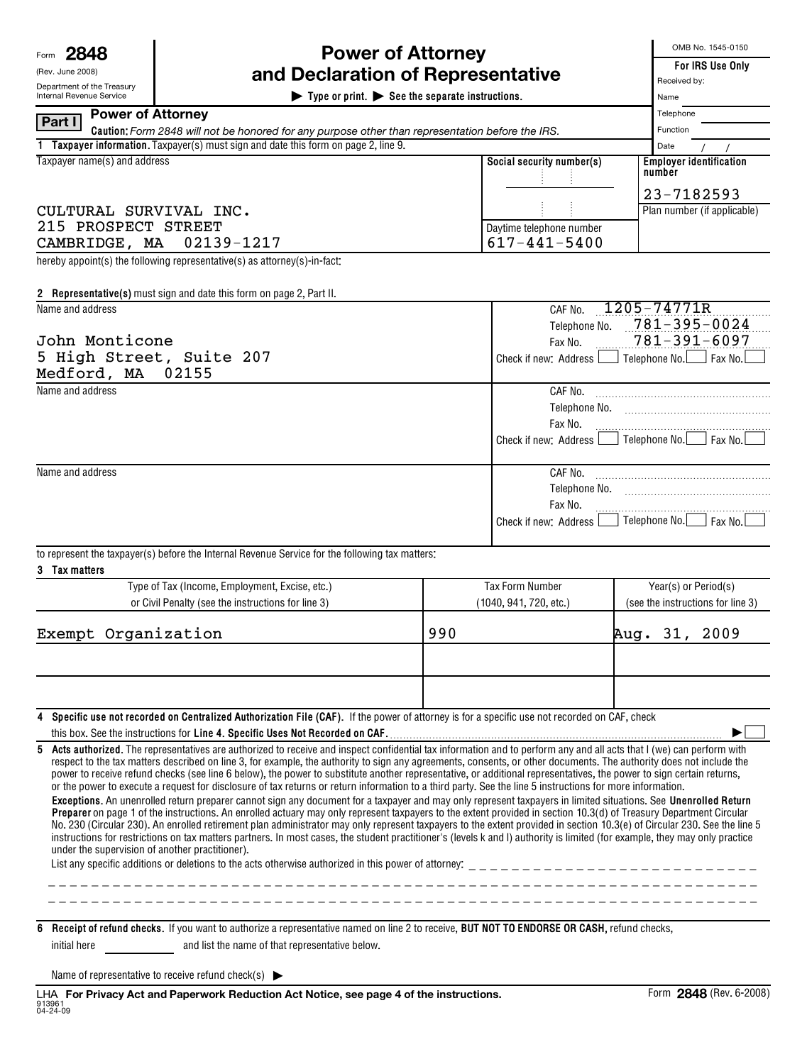| Form | יו סר |
|------|-------|
|------|-------|

| (Rev. June 2008)         |
|--------------------------|
| Department of the Treas  |
| Internal Revenue Service |

## **Power of Attorney and Declaration of Representative**

| Department of the Treasury   |                          | a Deciaration or nepresenta                                                                                                                                                                                                                                                                                                                                                                                                                                                                                                                                                                                                                                                                                                                                                                                                                                                                                                                                                                                                                                                                                                                                                                                                                                                                                                                                                                                                             |     |                                  |          | Received by:                          |                                              |  |  |  |
|------------------------------|--------------------------|-----------------------------------------------------------------------------------------------------------------------------------------------------------------------------------------------------------------------------------------------------------------------------------------------------------------------------------------------------------------------------------------------------------------------------------------------------------------------------------------------------------------------------------------------------------------------------------------------------------------------------------------------------------------------------------------------------------------------------------------------------------------------------------------------------------------------------------------------------------------------------------------------------------------------------------------------------------------------------------------------------------------------------------------------------------------------------------------------------------------------------------------------------------------------------------------------------------------------------------------------------------------------------------------------------------------------------------------------------------------------------------------------------------------------------------------|-----|----------------------------------|----------|---------------------------------------|----------------------------------------------|--|--|--|
| Internal Revenue Service     |                          | $\blacktriangleright$ Type or print. $\blacktriangleright$ See the separate instructions.                                                                                                                                                                                                                                                                                                                                                                                                                                                                                                                                                                                                                                                                                                                                                                                                                                                                                                                                                                                                                                                                                                                                                                                                                                                                                                                                               |     |                                  |          | Name                                  |                                              |  |  |  |
| Part I                       | <b>Power of Attorney</b> |                                                                                                                                                                                                                                                                                                                                                                                                                                                                                                                                                                                                                                                                                                                                                                                                                                                                                                                                                                                                                                                                                                                                                                                                                                                                                                                                                                                                                                         |     |                                  |          | Telephone                             |                                              |  |  |  |
|                              |                          | Caution: Form 2848 will not be honored for any purpose other than representation before the IRS.                                                                                                                                                                                                                                                                                                                                                                                                                                                                                                                                                                                                                                                                                                                                                                                                                                                                                                                                                                                                                                                                                                                                                                                                                                                                                                                                        |     |                                  | Function |                                       |                                              |  |  |  |
|                              |                          | 1 Taxpayer information. Taxpayer(s) must sign and date this form on page 2, line 9.                                                                                                                                                                                                                                                                                                                                                                                                                                                                                                                                                                                                                                                                                                                                                                                                                                                                                                                                                                                                                                                                                                                                                                                                                                                                                                                                                     |     |                                  |          | Date                                  |                                              |  |  |  |
| Taxpayer name(s) and address |                          |                                                                                                                                                                                                                                                                                                                                                                                                                                                                                                                                                                                                                                                                                                                                                                                                                                                                                                                                                                                                                                                                                                                                                                                                                                                                                                                                                                                                                                         |     | Social security number(s)        |          | number                                | <b>Employer identification</b><br>23-7182593 |  |  |  |
| CULTURAL SURVIVAL INC.       |                          |                                                                                                                                                                                                                                                                                                                                                                                                                                                                                                                                                                                                                                                                                                                                                                                                                                                                                                                                                                                                                                                                                                                                                                                                                                                                                                                                                                                                                                         |     |                                  |          |                                       | Plan number (if applicable)                  |  |  |  |
| 215 PROSPECT STREET          |                          |                                                                                                                                                                                                                                                                                                                                                                                                                                                                                                                                                                                                                                                                                                                                                                                                                                                                                                                                                                                                                                                                                                                                                                                                                                                                                                                                                                                                                                         |     | Daytime telephone number         |          |                                       |                                              |  |  |  |
| CAMBRIDGE, MA                |                          | 02139-1217                                                                                                                                                                                                                                                                                                                                                                                                                                                                                                                                                                                                                                                                                                                                                                                                                                                                                                                                                                                                                                                                                                                                                                                                                                                                                                                                                                                                                              |     | $617 - 441 - 5400$               |          |                                       |                                              |  |  |  |
|                              |                          | hereby appoint(s) the following representative(s) as attorney(s)-in-fact:                                                                                                                                                                                                                                                                                                                                                                                                                                                                                                                                                                                                                                                                                                                                                                                                                                                                                                                                                                                                                                                                                                                                                                                                                                                                                                                                                               |     |                                  |          |                                       |                                              |  |  |  |
|                              |                          | 2 Representative(s) must sign and date this form on page 2, Part II.                                                                                                                                                                                                                                                                                                                                                                                                                                                                                                                                                                                                                                                                                                                                                                                                                                                                                                                                                                                                                                                                                                                                                                                                                                                                                                                                                                    |     |                                  |          |                                       |                                              |  |  |  |
| Name and address             |                          |                                                                                                                                                                                                                                                                                                                                                                                                                                                                                                                                                                                                                                                                                                                                                                                                                                                                                                                                                                                                                                                                                                                                                                                                                                                                                                                                                                                                                                         |     | 1205-74771R<br>CAF No.           |          |                                       |                                              |  |  |  |
|                              |                          |                                                                                                                                                                                                                                                                                                                                                                                                                                                                                                                                                                                                                                                                                                                                                                                                                                                                                                                                                                                                                                                                                                                                                                                                                                                                                                                                                                                                                                         |     | Telephone No.                    |          |                                       | $781 - 395 - 0024$                           |  |  |  |
| John Monticone               |                          |                                                                                                                                                                                                                                                                                                                                                                                                                                                                                                                                                                                                                                                                                                                                                                                                                                                                                                                                                                                                                                                                                                                                                                                                                                                                                                                                                                                                                                         |     | Fax No.                          |          |                                       | $781 - 391 - 6097$                           |  |  |  |
| Medford, MA                  |                          | 5 High Street, Suite 207                                                                                                                                                                                                                                                                                                                                                                                                                                                                                                                                                                                                                                                                                                                                                                                                                                                                                                                                                                                                                                                                                                                                                                                                                                                                                                                                                                                                                |     | Check if new: Address            |          |                                       | │ Telephone No.│ │ Fax No.│                  |  |  |  |
| Name and address             |                          | 02155                                                                                                                                                                                                                                                                                                                                                                                                                                                                                                                                                                                                                                                                                                                                                                                                                                                                                                                                                                                                                                                                                                                                                                                                                                                                                                                                                                                                                                   |     |                                  |          |                                       |                                              |  |  |  |
|                              |                          |                                                                                                                                                                                                                                                                                                                                                                                                                                                                                                                                                                                                                                                                                                                                                                                                                                                                                                                                                                                                                                                                                                                                                                                                                                                                                                                                                                                                                                         |     |                                  |          |                                       |                                              |  |  |  |
|                              |                          |                                                                                                                                                                                                                                                                                                                                                                                                                                                                                                                                                                                                                                                                                                                                                                                                                                                                                                                                                                                                                                                                                                                                                                                                                                                                                                                                                                                                                                         |     | Telephone No.                    |          |                                       |                                              |  |  |  |
|                              |                          |                                                                                                                                                                                                                                                                                                                                                                                                                                                                                                                                                                                                                                                                                                                                                                                                                                                                                                                                                                                                                                                                                                                                                                                                                                                                                                                                                                                                                                         |     | Fax No.<br>Check if new: Address |          | $\vert$ Telephone No. $\vert$ Fax No. |                                              |  |  |  |
|                              |                          |                                                                                                                                                                                                                                                                                                                                                                                                                                                                                                                                                                                                                                                                                                                                                                                                                                                                                                                                                                                                                                                                                                                                                                                                                                                                                                                                                                                                                                         |     |                                  |          |                                       |                                              |  |  |  |
| Name and address             |                          |                                                                                                                                                                                                                                                                                                                                                                                                                                                                                                                                                                                                                                                                                                                                                                                                                                                                                                                                                                                                                                                                                                                                                                                                                                                                                                                                                                                                                                         |     |                                  |          |                                       |                                              |  |  |  |
|                              |                          |                                                                                                                                                                                                                                                                                                                                                                                                                                                                                                                                                                                                                                                                                                                                                                                                                                                                                                                                                                                                                                                                                                                                                                                                                                                                                                                                                                                                                                         |     | Telephone No.                    |          |                                       |                                              |  |  |  |
|                              |                          |                                                                                                                                                                                                                                                                                                                                                                                                                                                                                                                                                                                                                                                                                                                                                                                                                                                                                                                                                                                                                                                                                                                                                                                                                                                                                                                                                                                                                                         |     | Fax No.                          |          |                                       |                                              |  |  |  |
|                              |                          |                                                                                                                                                                                                                                                                                                                                                                                                                                                                                                                                                                                                                                                                                                                                                                                                                                                                                                                                                                                                                                                                                                                                                                                                                                                                                                                                                                                                                                         |     | Check if new: Address L          |          |                                       | Telephone No.   Fax No.                      |  |  |  |
|                              |                          |                                                                                                                                                                                                                                                                                                                                                                                                                                                                                                                                                                                                                                                                                                                                                                                                                                                                                                                                                                                                                                                                                                                                                                                                                                                                                                                                                                                                                                         |     |                                  |          |                                       |                                              |  |  |  |
|                              |                          | to represent the taxpayer(s) before the Internal Revenue Service for the following tax matters:                                                                                                                                                                                                                                                                                                                                                                                                                                                                                                                                                                                                                                                                                                                                                                                                                                                                                                                                                                                                                                                                                                                                                                                                                                                                                                                                         |     |                                  |          |                                       |                                              |  |  |  |
| 3 Tax matters                |                          |                                                                                                                                                                                                                                                                                                                                                                                                                                                                                                                                                                                                                                                                                                                                                                                                                                                                                                                                                                                                                                                                                                                                                                                                                                                                                                                                                                                                                                         |     |                                  |          |                                       |                                              |  |  |  |
|                              |                          | Type of Tax (Income, Employment, Excise, etc.)                                                                                                                                                                                                                                                                                                                                                                                                                                                                                                                                                                                                                                                                                                                                                                                                                                                                                                                                                                                                                                                                                                                                                                                                                                                                                                                                                                                          |     | <b>Tax Form Number</b>           |          | Year(s) or Period(s)                  |                                              |  |  |  |
|                              |                          | or Civil Penalty (see the instructions for line 3)                                                                                                                                                                                                                                                                                                                                                                                                                                                                                                                                                                                                                                                                                                                                                                                                                                                                                                                                                                                                                                                                                                                                                                                                                                                                                                                                                                                      |     | (1040, 941, 720, etc.)           |          | (see the instructions for line 3)     |                                              |  |  |  |
| Exempt Organization          |                          |                                                                                                                                                                                                                                                                                                                                                                                                                                                                                                                                                                                                                                                                                                                                                                                                                                                                                                                                                                                                                                                                                                                                                                                                                                                                                                                                                                                                                                         | 990 |                                  |          |                                       | Aug. 31, 2009                                |  |  |  |
|                              |                          |                                                                                                                                                                                                                                                                                                                                                                                                                                                                                                                                                                                                                                                                                                                                                                                                                                                                                                                                                                                                                                                                                                                                                                                                                                                                                                                                                                                                                                         |     |                                  |          |                                       |                                              |  |  |  |
|                              |                          |                                                                                                                                                                                                                                                                                                                                                                                                                                                                                                                                                                                                                                                                                                                                                                                                                                                                                                                                                                                                                                                                                                                                                                                                                                                                                                                                                                                                                                         |     |                                  |          |                                       |                                              |  |  |  |
| 4                            |                          | Specific use not recorded on Centralized Authorization File (CAF). If the power of attorney is for a specific use not recorded on CAF, check                                                                                                                                                                                                                                                                                                                                                                                                                                                                                                                                                                                                                                                                                                                                                                                                                                                                                                                                                                                                                                                                                                                                                                                                                                                                                            |     |                                  |          |                                       |                                              |  |  |  |
|                              |                          |                                                                                                                                                                                                                                                                                                                                                                                                                                                                                                                                                                                                                                                                                                                                                                                                                                                                                                                                                                                                                                                                                                                                                                                                                                                                                                                                                                                                                                         |     |                                  |          |                                       |                                              |  |  |  |
| 5                            |                          | Acts authorized. The representatives are authorized to receive and inspect confidential tax information and to perform any and all acts that I (we) can perform with<br>respect to the tax matters described on line 3, for example, the authority to sign any agreements, consents, or other documents. The authority does not include the<br>power to receive refund checks (see line 6 below), the power to substitute another representative, or additional representatives, the power to sign certain returns,<br>or the power to execute a request for disclosure of tax returns or return information to a third party. See the line 5 instructions for more information.<br>Exceptions. An unenrolled return preparer cannot sign any document for a taxpayer and may only represent taxpayers in limited situations. See Unenrolled Return<br>Preparer on page 1 of the instructions. An enrolled actuary may only represent taxpayers to the extent provided in section 10.3(d) of Treasury Department Circular<br>No. 230 (Circular 230). An enrolled retirement plan administrator may only represent taxpayers to the extent provided in section 10.3(e) of Circular 230. See the line 5<br>instructions for restrictions on tax matters partners. In most cases, the student practitioner's (levels k and l) authority is limited (for example, they may only practice<br>under the supervision of another practitioner). |     |                                  |          |                                       |                                              |  |  |  |
|                              |                          | 6 Receipt of refund checks. If you want to authorize a representative named on line 2 to receive, BUT NOT TO ENDORSE OR CASH, refund checks,                                                                                                                                                                                                                                                                                                                                                                                                                                                                                                                                                                                                                                                                                                                                                                                                                                                                                                                                                                                                                                                                                                                                                                                                                                                                                            |     |                                  |          |                                       |                                              |  |  |  |
| initial here                 |                          | and list the name of that representative below.                                                                                                                                                                                                                                                                                                                                                                                                                                                                                                                                                                                                                                                                                                                                                                                                                                                                                                                                                                                                                                                                                                                                                                                                                                                                                                                                                                                         |     |                                  |          |                                       |                                              |  |  |  |

Name of representative to receive refund check(s)  $\blacktriangleright$ 

OMB No. 1545-0150

**For IRS Use Only**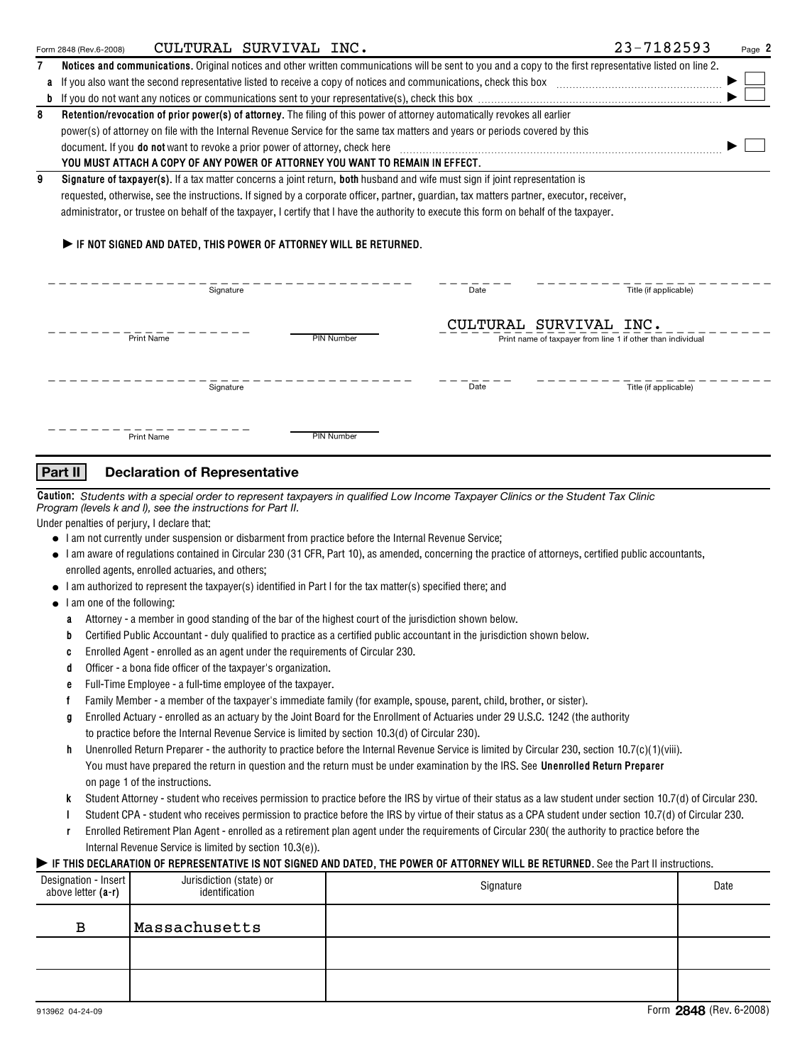|   | CULTURAL SURVIVAL INC.<br>Form 2848 (Rev.6-2008)                                                                                          | 23-7182593<br>Page 2                                                                                                                                       |  |  |  |  |  |  |  |
|---|-------------------------------------------------------------------------------------------------------------------------------------------|------------------------------------------------------------------------------------------------------------------------------------------------------------|--|--|--|--|--|--|--|
| 7 |                                                                                                                                           | Notices and communications. Original notices and other written communications will be sent to you and a copy to the first representative listed on line 2. |  |  |  |  |  |  |  |
|   | If you also want the second representative listed to receive a copy of notices and communications, check this box                         |                                                                                                                                                            |  |  |  |  |  |  |  |
|   |                                                                                                                                           |                                                                                                                                                            |  |  |  |  |  |  |  |
| 8 | Retention/revocation of prior power(s) of attorney. The filing of this power of attorney automatically revokes all earlier                |                                                                                                                                                            |  |  |  |  |  |  |  |
|   | power(s) of attorney on file with the Internal Revenue Service for the same tax matters and years or periods covered by this              |                                                                                                                                                            |  |  |  |  |  |  |  |
|   | document. If you <b>do not</b> want to revoke a prior power of attorney, check here                                                       |                                                                                                                                                            |  |  |  |  |  |  |  |
|   | YOU MUST ATTACH A COPY OF ANY POWER OF ATTORNEY YOU WANT TO REMAIN IN EFFECT.                                                             |                                                                                                                                                            |  |  |  |  |  |  |  |
| 9 | Signature of taxpayer(s). If a tax matter concerns a joint return, both husband and wife must sign if joint representation is             |                                                                                                                                                            |  |  |  |  |  |  |  |
|   | requested, otherwise, see the instructions. If signed by a corporate officer, partner, quardian, tax matters partner, executor, receiver, |                                                                                                                                                            |  |  |  |  |  |  |  |
|   | administrator, or trustee on behalf of the taxpayer, I certify that I have the authority to execute this form on behalf of the taxpayer.  |                                                                                                                                                            |  |  |  |  |  |  |  |
|   | $\blacktriangleright$ if not signed and dated. This power of attorney will be returned.<br>Signature                                      | Title (if applicable)<br>Date                                                                                                                              |  |  |  |  |  |  |  |
|   | Print Name<br><b>PIN Number</b>                                                                                                           | CULTURAL SURVIVAL INC.<br>Print name of taxpayer from line 1 if other than individual                                                                      |  |  |  |  |  |  |  |
|   | Signature                                                                                                                                 | Date<br>Title (if applicable)                                                                                                                              |  |  |  |  |  |  |  |
|   | <b>PIN Number</b><br><b>Print Name</b>                                                                                                    |                                                                                                                                                            |  |  |  |  |  |  |  |

## **Part II Declaration of Representative**

**Caution:** *Students with a special order to represent taxpayers in qualified Low Income Taxpayer Clinics or the Student Tax Clinic Program (levels k and l), see the instructions for Part II.*

Under penalties of perjury, I declare that:

- I am not currently under suspension or disbarment from practice before the Internal Revenue Service;
- Tam aware of regulations contained in Circular 230 (31 CFR, Part 10), as amended, concerning the practice of attorneys, certified public accountants,<br>● Iam aware of regulations contained in Circular 230 (31 CFR, Part 10 enrolled agents, enrolled actuaries, and others;
- I am authorized to represent the taxpayer(s) identified in Part I for the tax matter(s) specified there; and
- I am one of the following:
	- **a** Attorney a member in good standing of the bar of the highest court of the jurisdiction shown below.
	- **b** Certified Public Accountant duly qualified to practice as a certified public accountant in the jurisdiction shown below.
	- **c** Enrolled Agent enrolled as an agent under the requirements of Circular 230.
	- **d** Officer a bona fide officer of the taxpayer's organization.
	- **e** Full-Time Employee a full-time employee of the taxpayer.
	- **f** Family Member - a member of the taxpayer's immediate family (for example, spouse, parent, child, brother, or sister).
	- **g** Enrolled Actuary enrolled as an actuary by the Joint Board for the Enrollment of Actuaries under 29 U.S.C. 1242 (the authority to practice before the Internal Revenue Service is limited by section 10.3(d) of Circular 230).
	- **h** Unenrolled Return Preparer the authority to practice before the Internal Revenue Service is limited by Circular 230, section 10.7(c)(1)(viii). You must have prepared the return in question and the return must be under examination by the IRS. See **Unenrolled Return Preparer** on page 1 of the instructions.
	- **k** Student Attorney student who receives permission to practice before the IRS by virtue of their status as a law student under section 10.7(d) of Circular 230.
	- **l** Student CPA - student who receives permission to practice before the IRS by virtue of their status as a CPA student under section 10.7(d) of Circular 230.
	- **r** Enrolled Retirement Plan Agent - enrolled as a retirement plan agent under the requirements of Circular 230( the authority to practice before the Internal Revenue Service is limited by section 10.3(e)).

### IF THIS DECLARATION OF REPRESENTATIVE IS NOT SIGNED AND DATED, THE POWER OF ATTORNEY WILL BE RETURNED. See the Part II instructions.

| Designation - Insert<br>above letter $(a-r)$ | Jurisdiction (state) or<br>identification | Signature | Date |
|----------------------------------------------|-------------------------------------------|-----------|------|
| в                                            | Massachusetts                             |           |      |
|                                              |                                           |           |      |
|                                              |                                           |           |      |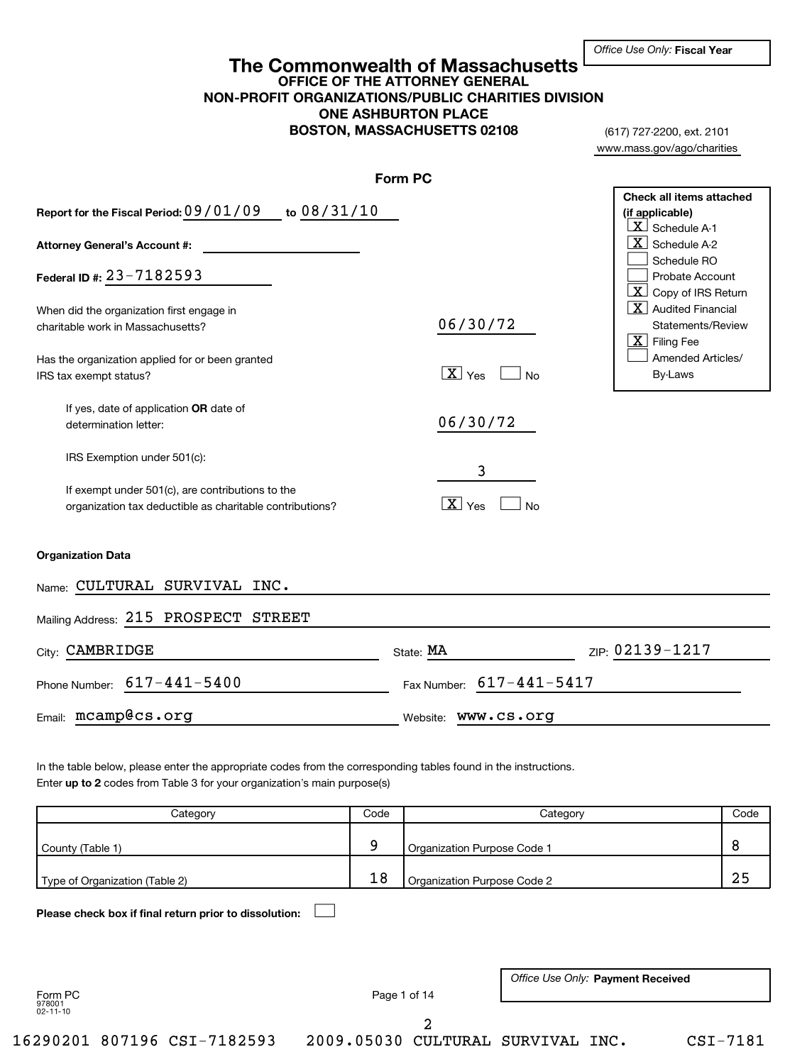(617) 727-2200, ext. 2101 www.mass.gov/ago/charities

## **OFFICE OF THE ATTORNEY GENERAL NON-PROFIT ORGANIZATIONS/PUBLIC CHARITIES DIVISION ONE ASHBURTON PLACE BOSTON, MASSACHUSETTS 02108 The Commonwealth of Massachusetts**

|                                                                                                                                                              | Form PC                                      |                                                                                                                                                                       |
|--------------------------------------------------------------------------------------------------------------------------------------------------------------|----------------------------------------------|-----------------------------------------------------------------------------------------------------------------------------------------------------------------------|
| Report for the Fiscal Period: 09/01/09 to 08/31/10<br>Attorney General's Account #:                                                                          |                                              | Check all items attached<br>(if applicable)<br>$X$ Schedule A-1<br>$\vert$ X $\vert$ Schedule A-2<br>Schedule RO                                                      |
| Federal ID #: 23-7182593                                                                                                                                     |                                              | Probate Account                                                                                                                                                       |
| When did the organization first engage in<br>charitable work in Massachusetts?<br>Has the organization applied for or been granted<br>IRS tax exempt status? | 06/30/72<br>$\boxed{\mathbf{X}}$ Yes<br>∫ No | $\lfloor x \rfloor$ Copy of IRS Return<br>$\boxed{\text{X}}$ Audited Financial<br>Statements/Review<br>$\lfloor x \rfloor$ Filing Fee<br>Amended Articles/<br>By-Laws |
| If yes, date of application OR date of<br>determination letter:                                                                                              | 06/30/72                                     |                                                                                                                                                                       |
| IRS Exemption under 501(c):                                                                                                                                  |                                              |                                                                                                                                                                       |
| If exempt under 501(c), are contributions to the<br>organization tax deductible as charitable contributions?                                                 | 3<br>$\boxed{\text{X}}$ Yes<br><b>No</b>     |                                                                                                                                                                       |
| <b>Organization Data</b>                                                                                                                                     |                                              |                                                                                                                                                                       |
| Name: CULTURAL SURVIVAL INC.                                                                                                                                 |                                              |                                                                                                                                                                       |
| Mailing Address: 215 PROSPECT STREET                                                                                                                         |                                              |                                                                                                                                                                       |
| City: CAMBRIDGE                                                                                                                                              | State: MA                                    | ZIP: 02139-1217                                                                                                                                                       |
| Phone Number: 617-441-5400                                                                                                                                   | Fax Number: 617-441-5417                     |                                                                                                                                                                       |
| Email: mcamp@cs.org                                                                                                                                          | Website: WWW.CS.Org                          |                                                                                                                                                                       |

Enter up to 2 codes from Table 3 for your organization's main purpose(s) In the table below, please enter the appropriate codes from the corresponding tables found in the instructions.

|                                                        |                                                                     | Category           | Code         | Category                    |                        | Code                              |            |
|--------------------------------------------------------|---------------------------------------------------------------------|--------------------|--------------|-----------------------------|------------------------|-----------------------------------|------------|
| County (Table 1)                                       |                                                                     |                    | 9            | Organization Purpose Code 1 |                        | 8                                 |            |
|                                                        | 18<br>Organization Purpose Code 2<br>Type of Organization (Table 2) |                    |              | 25                          |                        |                                   |            |
| Please check box if final return prior to dissolution: |                                                                     |                    |              |                             |                        |                                   |            |
|                                                        |                                                                     |                    |              |                             |                        |                                   |            |
| Form PC                                                |                                                                     |                    | Page 1 of 14 |                             |                        | Office Use Only: Payment Received |            |
| 978001<br>$02 - 11 - 10$                               |                                                                     |                    |              |                             |                        |                                   |            |
| 16290201                                               |                                                                     | 807196 CSI-7182593 | 2009.05030   | 2                           | CULTURAL SURVIVAL INC. |                                   | $CSI-7181$ |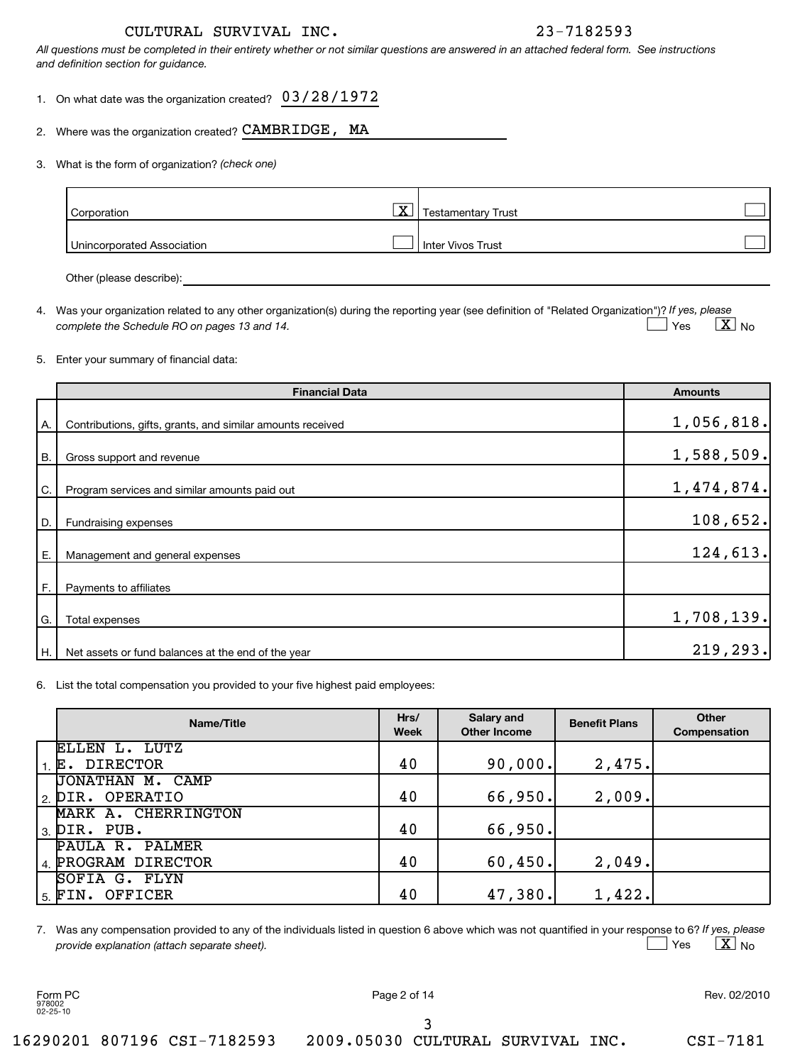*All questions must be completed in their entirety whether or not similar questions are answered in an attached federal form. See instructions and definition section for guidance.*

- 1. On what date was the organization created? 03/28/1972
- 2. Where was the organization created?  $\mathtt{CAMBRIDGE}$  ,  $\mathtt{MA}$

### *(check one)* 3. What is the form of organization?

| Corporation                | $\overline{\mathbf{X}}$ | <b>Testamentary Trust</b> |  |
|----------------------------|-------------------------|---------------------------|--|
| Unincorporated Association |                         | Inter Vivos Trust         |  |
|                            |                         |                           |  |

Other (please describe):

4. Was your organization related to any other organization(s) during the reporting year (see definition of "Related Organization")? If yes, please *complete the Schedule RO on pages 13 and 14.* Yes  $\boxed{\textbf{X}}$  No  $\Box$  Yes

### 5. Enter your summary of financial data:

|           | <b>Financial Data</b>                                      | <b>Amounts</b> |
|-----------|------------------------------------------------------------|----------------|
| Α.        | Contributions, gifts, grants, and similar amounts received | 1,056,818.     |
| <b>B.</b> | Gross support and revenue                                  | 1,588,509.     |
| C.        | Program services and similar amounts paid out              | 1,474,874.     |
| D.        | Fundraising expenses                                       | 108,652.       |
| Е.        | Management and general expenses                            | 124,613.       |
| F.        | Payments to affiliates                                     |                |
| G.        | Total expenses                                             | 1,708,139.     |
| Η.        | Net assets or fund balances at the end of the year         | 219, 293.      |

6. List the total compensation you provided to your five highest paid employees:

| Name/Title                           | Hrs/<br><b>Week</b> | Salary and<br><b>Other Income</b> | <b>Benefit Plans</b> | Other<br>Compensation |
|--------------------------------------|---------------------|-----------------------------------|----------------------|-----------------------|
| ELLEN L. LUTZ                        |                     |                                   |                      |                       |
| $1. E.$ DIRECTOR                     | 40                  | 90,000.                           | 2,475.               |                       |
| JONATHAN M. CAMP                     |                     |                                   |                      |                       |
| 2. DIR. OPERATIO                     | 40                  | 66,950.                           | 2,009.               |                       |
| MARK A. CHERRINGTON                  |                     |                                   |                      |                       |
| $l_3$ $\overline{\text{PIR}}$ . PUB. | 40                  | 66,950.                           |                      |                       |
| PAULA R. PALMER                      |                     |                                   |                      |                       |
| 4. PROGRAM DIRECTOR                  | 40                  | 60, 450.                          | 2,049.               |                       |
| SOFIA G. FLYN                        |                     |                                   |                      |                       |
| 15. FIN. OFFICER                     | 40                  | 47,380.                           | 1,422.               |                       |

7. Was any compensation provided to any of the individuals listed in question 6 above which was not quantified in your response to 6? If yes, please *provide explanation (attach separate sheet).* Yes  $\qquad \qquad \mathbf{X} \mid$  No  $\perp$  Yes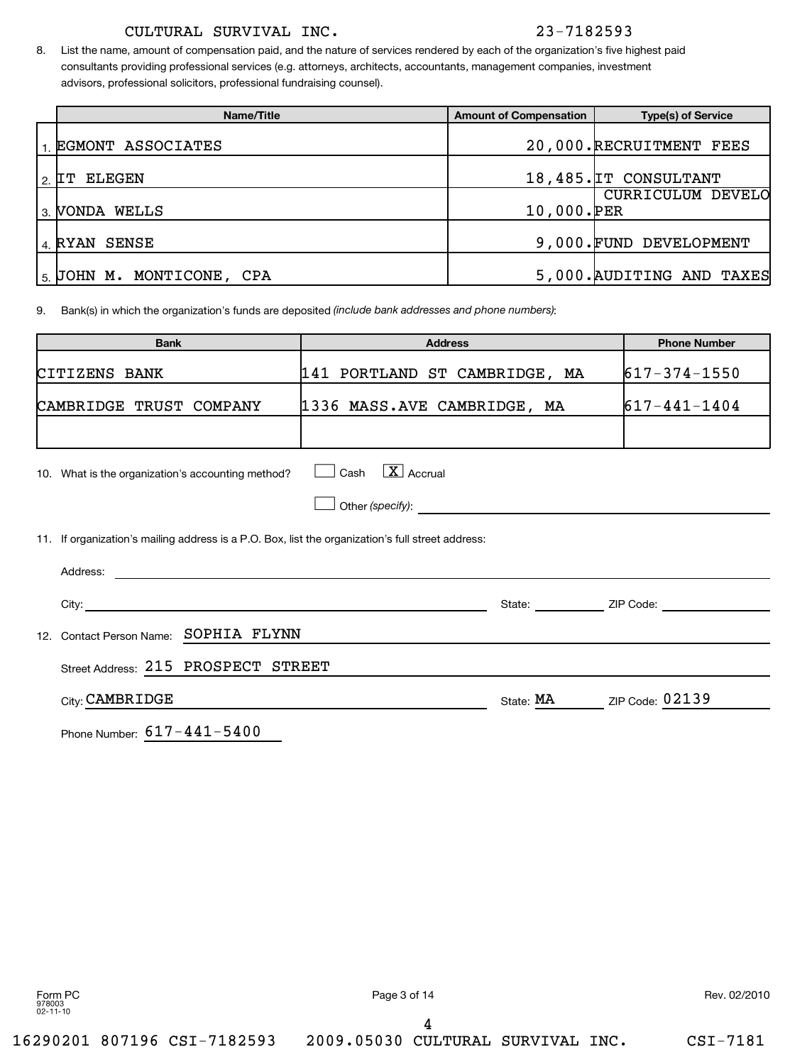8. List the name, amount of compensation paid, and the nature of services rendered by each of the organization's five highest paid consultants providing professional services (e.g. attorneys, architects, accountants, management companies, investment advisors, professional solicitors, professional fundraising counsel).

| Name/Title                                   | <b>Amount of Compensation</b> | <b>Type(s) of Service</b> |
|----------------------------------------------|-------------------------------|---------------------------|
| EGMONT ASSOCIATES                            |                               | 20,000.RECRUITMENT FEES   |
| ELEGEN<br>  2. IT                            |                               | 18,485. IT CONSULTANT     |
| s VONDA WELLS                                | 10,000.PER                    | CURRICULUM DEVELO         |
| 4 RYAN SENSE                                 |                               | 9,000. FUND DEVELOPMENT   |
| $\vert$ <sub>5.</sub> JOHN M. MONTICONE, CPA |                               | 5,000. AUDITING AND TAXES |

9. Bank(s) in which the organization's funds are deposited *(include bank addresses and phone numbers)*:

| <b>Bank</b>                                                                                       | <b>Address</b>                      |           | <b>Phone Number</b> |
|---------------------------------------------------------------------------------------------------|-------------------------------------|-----------|---------------------|
| CITIZENS BANK                                                                                     | 141 PORTLAND ST CAMBRIDGE, MA       |           | $617 - 374 - 1550$  |
| CAMBRIDGE TRUST COMPANY                                                                           | 1336 MASS.AVE CAMBRIDGE, MA         |           | $617 - 441 - 1404$  |
|                                                                                                   |                                     |           |                     |
| 10. What is the organization's accounting method?                                                 | $\lfloor x \rfloor$ Accrual<br>Cash |           |                     |
|                                                                                                   |                                     |           |                     |
| 11. If organization's mailing address is a P.O. Box, list the organization's full street address: |                                     |           |                     |
|                                                                                                   |                                     |           |                     |
|                                                                                                   |                                     |           | State: ZIP Code:    |
| SOPHIA FLYNN<br>Contact Person Name:<br>12.                                                       |                                     |           |                     |
| Street Address: 215 PROSPECT STREET                                                               |                                     |           |                     |
| City: CAMBRIDGE                                                                                   |                                     | State: MA | ZIP Code: 02139     |
|                                                                                                   |                                     |           |                     |

Phone Number: 617-441-5400

Form PC Page 3 of 14 Rev. 02/2010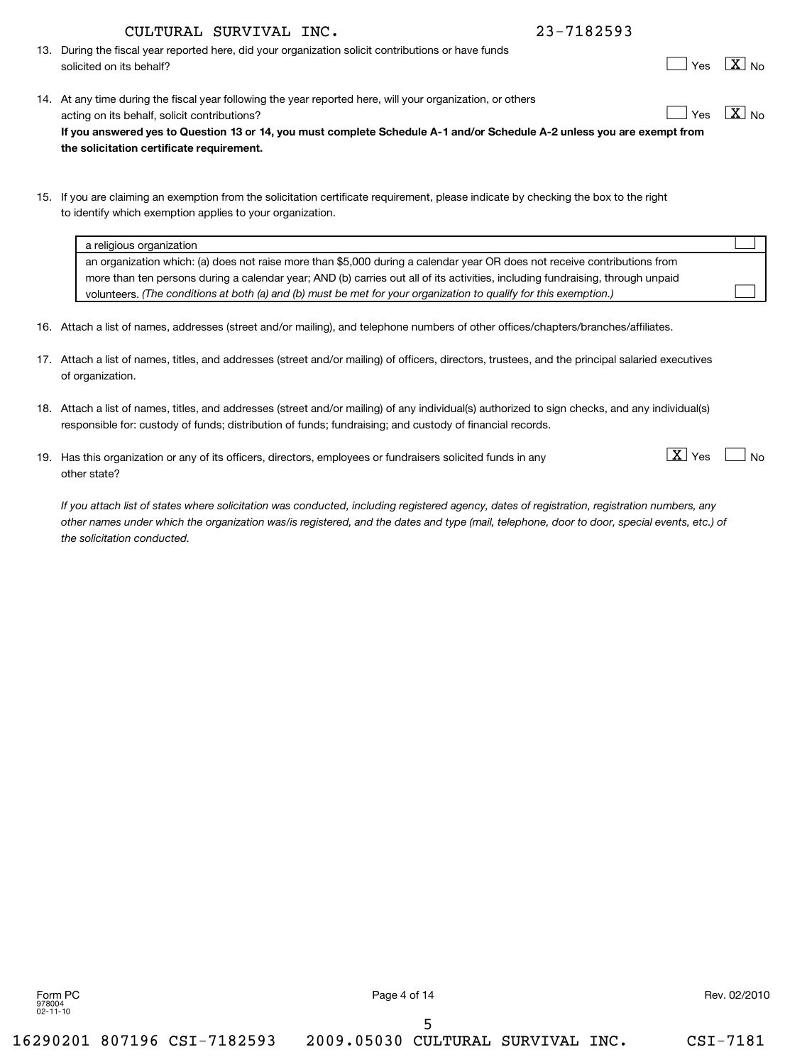5

16290201 807196 CSI-7182593 2009.05030 CULTURAL SURVIVAL INC. CSI-7181

## CULTURAL SURVIVAL INC. 23-7182593

- 13. During the fiscal year reported here, did your organization solicit contributions or have funds solicited on its behalf?
- **If you answered yes to Question 13 or 14, you must complete Schedule A-1 and/or Schedule A-2 unless you are exempt from the solicitation certificate requirement.** 14. At any time during the fiscal year following the year reported here, will your organization, or others acting on its behalf, solicit contributions?  $\boxed{\phantom{a}}$  Yes  $\boxed{\phantom{a}}$  X
- 15. If you are claiming an exemption from the solicitation certificate requirement, please indicate by checking the box to the right to identify which exemption applies to your organization.

| a religious organization                                                                                                       |  |
|--------------------------------------------------------------------------------------------------------------------------------|--|
| an organization which: (a) does not raise more than \$5,000 during a calendar year OR does not receive contributions from      |  |
| more than ten persons during a calendar year; AND (b) carries out all of its activities, including fundraising, through unpaid |  |
| volunteers. (The conditions at both (a) and (b) must be met for your organization to qualify for this exemption.)              |  |

- 16. Attach a list of names, addresses (street and/or mailing), and telephone numbers of other offices/chapters/branches/affiliates.
- 17. Attach a list of names, titles, and addresses (street and/or mailing) of officers, directors, trustees, and the principal salaried executives of organization.
- 18. Attach a list of names, titles, and addresses (street and/or mailing) of any individual(s) authorized to sign checks, and any individual(s) responsible for: custody of funds; distribution of funds; fundraising; and custody of financial records.
- 19. Has this organization or any of its officers, directors, employees or fundraisers solicited funds in any  $\lfloor \underline{X} \rfloor$  Yes other state?

*If you attach list of states where solicitation was conducted, including registered agency, dates of registration, registration numbers, any other names under which the organization was/is registered, and the dates and type (mail, telephone, door to door, special events, etc.) of the solicitation conducted.*

| יני |  | J∩ |
|-----|--|----|
|-----|--|----|

 $\boxed{\text{X}}$  Yes  $\boxed{\phantom{0}}$  No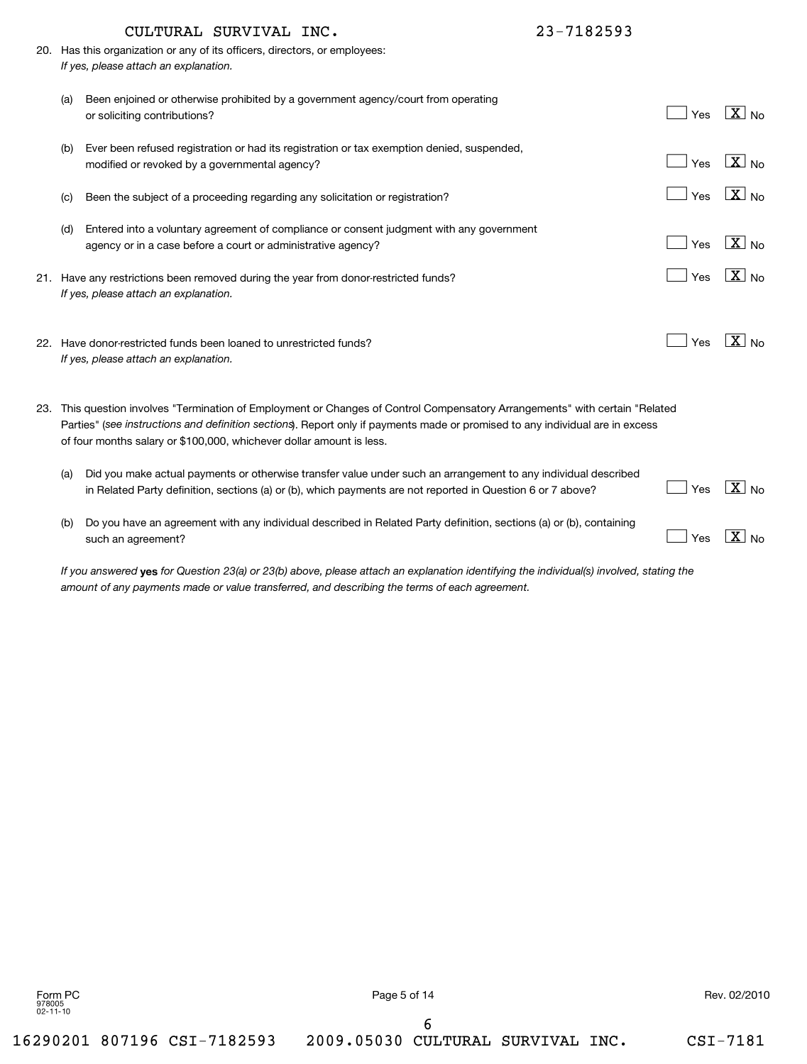|     | CULTURAL SURVIVAL INC.                                                                                                                                                                                                                                                                                                                | 23-7182593 |                       |
|-----|---------------------------------------------------------------------------------------------------------------------------------------------------------------------------------------------------------------------------------------------------------------------------------------------------------------------------------------|------------|-----------------------|
|     | 20. Has this organization or any of its officers, directors, or employees:<br>If yes, please attach an explanation.                                                                                                                                                                                                                   |            |                       |
| (a) | Been enjoined or otherwise prohibited by a government agency/court from operating<br>or soliciting contributions?                                                                                                                                                                                                                     | Yes        | $\boxed{\text{X}}$ No |
| (b) | Ever been refused registration or had its registration or tax exemption denied, suspended,<br>modified or revoked by a governmental agency?                                                                                                                                                                                           | Yes        | $\boxed{\text{X}}$ No |
| (c) | Been the subject of a proceeding regarding any solicitation or registration?                                                                                                                                                                                                                                                          | Yes        | $\boxed{\text{X}}$ No |
| (d) | Entered into a voluntary agreement of compliance or consent judgment with any government<br>agency or in a case before a court or administrative agency?                                                                                                                                                                              | Yes        | $\boxed{\text{X}}$ No |
|     | 21. Have any restrictions been removed during the year from donor-restricted funds?<br>If yes, please attach an explanation.                                                                                                                                                                                                          | Yes        | $\sqrt{X}$ No         |
|     | 22. Have donor-restricted funds been loaned to unrestricted funds?<br>If yes, please attach an explanation.                                                                                                                                                                                                                           | Yes        | $\boxed{\text{X}}$ No |
|     | 23. This question involves "Termination of Employment or Changes of Control Compensatory Arrangements" with certain "Related<br>Parties" (see instructions and definition sections). Report only if payments made or promised to any individual are in excess<br>of four months salary or \$100,000, whichever dollar amount is less. |            |                       |
| (a) | Did you make actual payments or otherwise transfer value under such an arrangement to any individual described<br>in Related Party definition, sections (a) or (b), which payments are not reported in Question 6 or 7 above?                                                                                                         | Yes        | $\boxed{\text{X}}$ No |
| (b) | Do you have an agreement with any individual described in Related Party definition, sections (a) or (b), containing<br>such an agreement?                                                                                                                                                                                             | Yes        | $\sqrt{X}$ No         |

If you answered **yes** for Question 23(a) or 23(b) above, please attach an explanation identifying the individual(s) involved, stating the *amount of any payments made or value transferred, and describing the terms of each agreement.*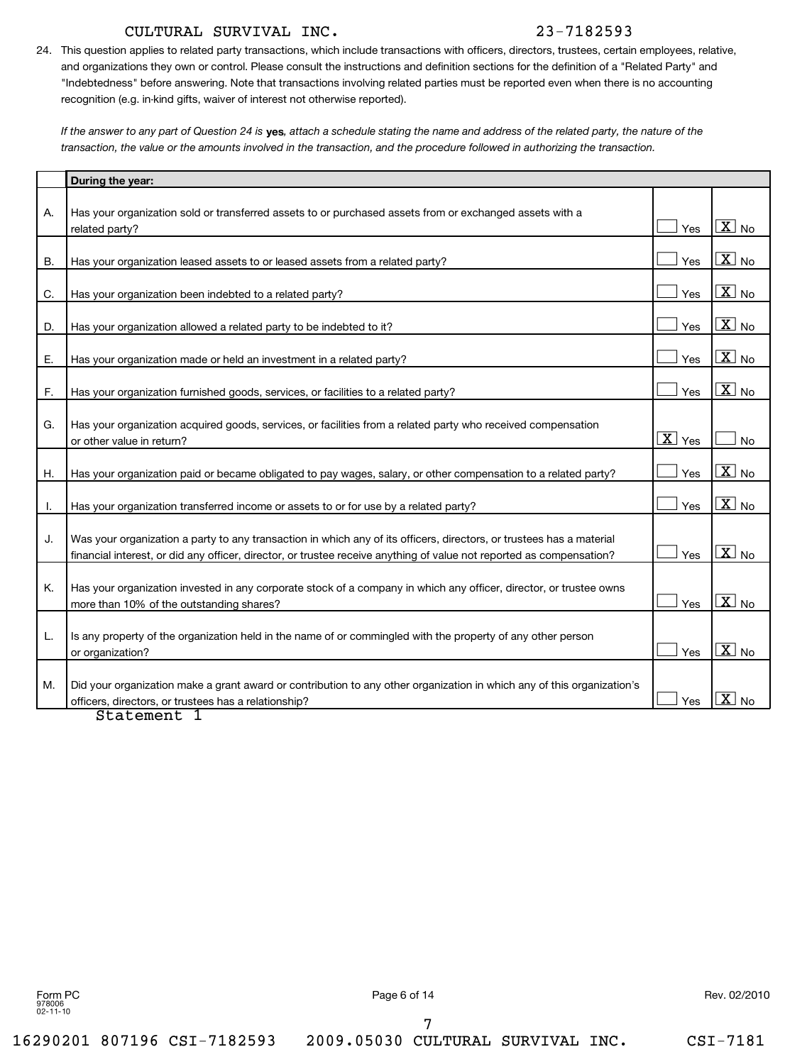24. This question applies to related party transactions, which include transactions with officers, directors, trustees, certain employees, relative, and organizations they own or control. Please consult the instructions and definition sections for the definition of a "Related Party" and "Indebtedness" before answering. Note that transactions involving related parties must be reported even when there is no accounting recognition (e.g. in-kind gifts, waiver of interest not otherwise reported).

If the answer to any part of Question 24 is **yes**, attach a schedule stating the name and address of the related party, the nature of the *transaction, the value or the amounts involved in the transaction, and the procedure followed in authorizing the transaction.*

|           | During the year:                                                                                                                                                                                                                                  |                             |                       |
|-----------|---------------------------------------------------------------------------------------------------------------------------------------------------------------------------------------------------------------------------------------------------|-----------------------------|-----------------------|
| Α.        | Has your organization sold or transferred assets to or purchased assets from or exchanged assets with a                                                                                                                                           |                             |                       |
|           | related party?                                                                                                                                                                                                                                    | Yes                         | $\boxed{\text{X}}$ No |
| <b>B.</b> | Has your organization leased assets to or leased assets from a related party?                                                                                                                                                                     | Yes                         | $\boxed{\text{X}}$ No |
| C.        | Has your organization been indebted to a related party?                                                                                                                                                                                           | Yes                         | $\boxed{\text{X}}$ No |
| D.        | Has your organization allowed a related party to be indebted to it?                                                                                                                                                                               | Yes                         | $X_{N0}$              |
| Е.        | Has your organization made or held an investment in a related party?                                                                                                                                                                              | Yes                         | $\boxed{\text{X}}$ No |
| F.        | Has your organization furnished goods, services, or facilities to a related party?                                                                                                                                                                | Yes                         | $\boxed{\text{X}}$ No |
| G.        | Has your organization acquired goods, services, or facilities from a related party who received compensation<br>or other value in return?                                                                                                         | $\overline{\mathbf{X}}$ Yes | <b>No</b>             |
| Η.        | Has your organization paid or became obligated to pay wages, salary, or other compensation to a related party?                                                                                                                                    | Yes                         | $X_{N0}$              |
| I.        | Has your organization transferred income or assets to or for use by a related party?                                                                                                                                                              | Yes                         | $\boxed{\text{X}}$ No |
| J.        | Was your organization a party to any transaction in which any of its officers, directors, or trustees has a material<br>financial interest, or did any officer, director, or trustee receive anything of value not reported as compensation?      | Yes                         | $\boxed{\text{X}}$ No |
| Κ.        | Has your organization invested in any corporate stock of a company in which any officer, director, or trustee owns<br>more than 10% of the outstanding shares?                                                                                    | Yes                         | $X_{N0}$              |
| L.        | Is any property of the organization held in the name of or commingled with the property of any other person<br>or organization?                                                                                                                   | Yes                         | $\overline{X}$ No     |
| М.        | Did your organization make a grant award or contribution to any other organization in which any of this organization's<br>officers, directors, or trustees has a relationship?<br>$C + \lambda + \lambda + \lambda + \lambda + \lambda + \lambda$ | Yes                         | $\boxed{\text{X}}$ No |

Statement 1

Form PC Page 6 of 14 Rev. 02/2010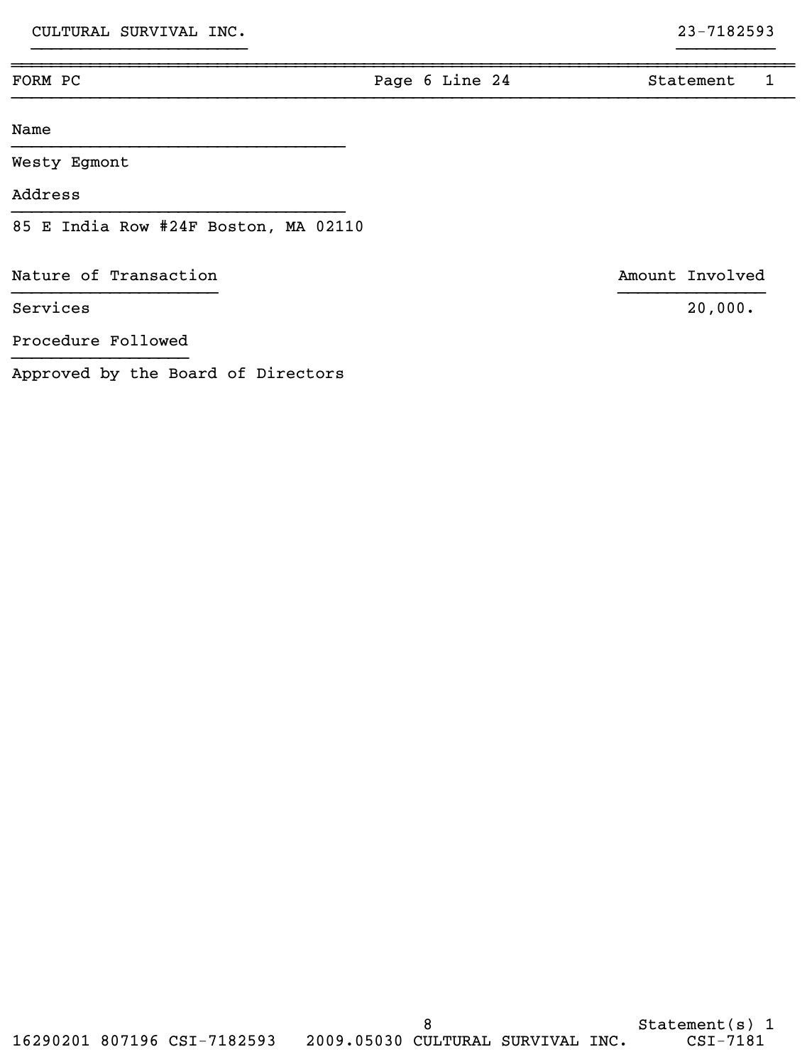| FORM PC                              | Page 6 Line 24 | Statement       |  |
|--------------------------------------|----------------|-----------------|--|
| Name                                 |                |                 |  |
| Westy Egmont                         |                |                 |  |
| Address                              |                |                 |  |
| 85 E India Row #24F Boston, MA 02110 |                |                 |  |
| Nature of Transaction                |                | Amount Involved |  |
| Services                             |                | 20,000.         |  |
| Procedure Followed                   |                |                 |  |

}}}}}}}}}}}}}}}}}}}}}} }}}}}}}}}}

}}}}}}}}}}}}}}}}}}

Approved by the Board of Directors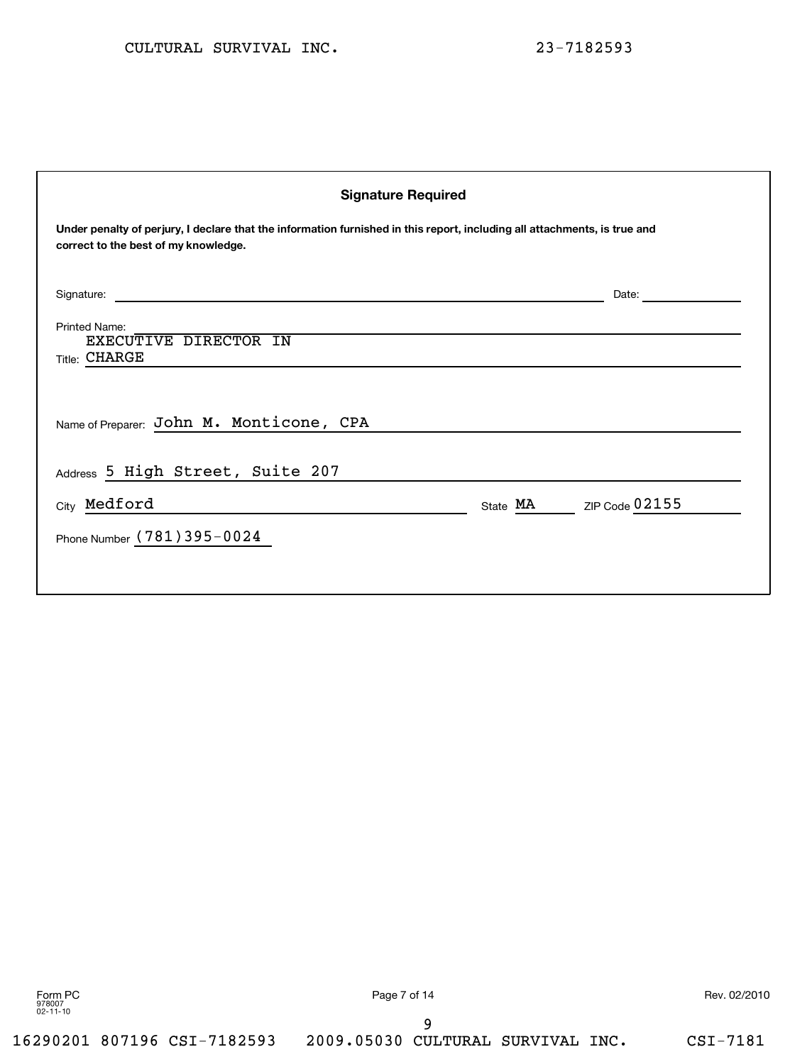| <b>Signature Required</b>                                                                                                                                         |                         |  |  |  |
|-------------------------------------------------------------------------------------------------------------------------------------------------------------------|-------------------------|--|--|--|
| Under penalty of perjury, I declare that the information furnished in this report, including all attachments, is true and<br>correct to the best of my knowledge. |                         |  |  |  |
|                                                                                                                                                                   | Date: <u>______</u>     |  |  |  |
| Printed Name:<br>EXECUTIVE DIRECTOR IN<br><b>Title: CHARGE</b>                                                                                                    |                         |  |  |  |
| Name of Preparer: John M. Monticone, CPA                                                                                                                          |                         |  |  |  |
| Address 5 High Street, Suite 207                                                                                                                                  |                         |  |  |  |
| City Medford                                                                                                                                                      | State MA ZIP Code 02155 |  |  |  |
| Phone Number (781) 395-0024                                                                                                                                       |                         |  |  |  |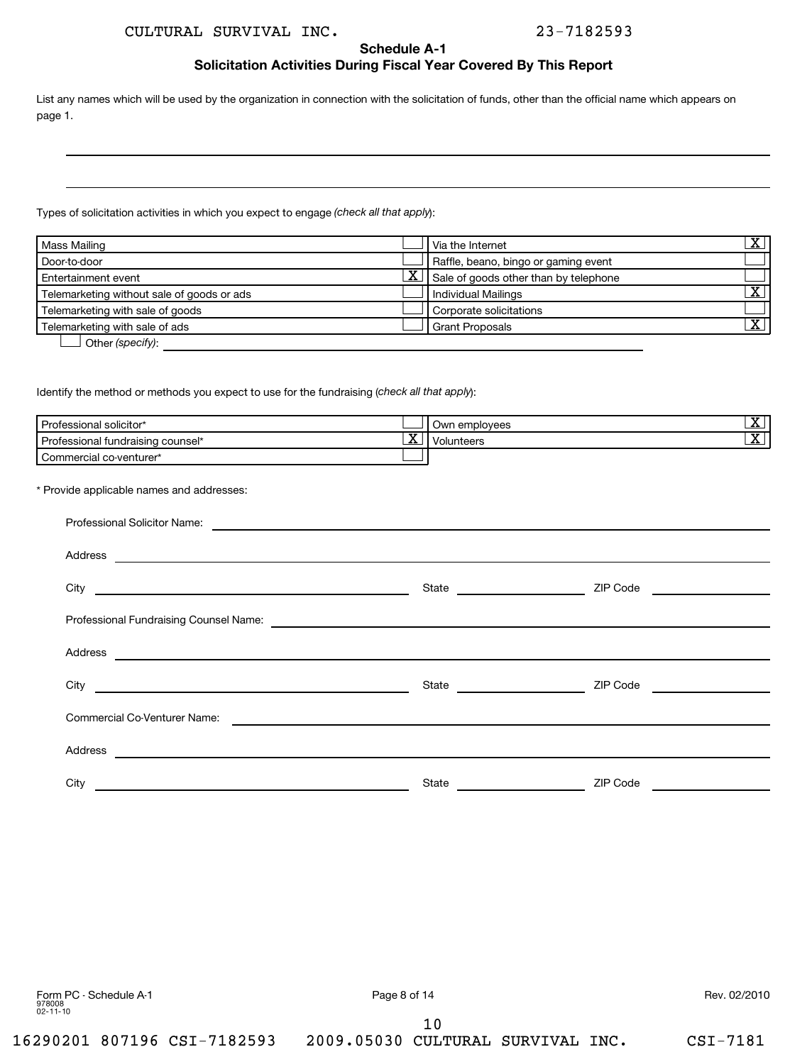**Schedule A-1**

## **Solicitation Activities During Fiscal Year Covered By This Report**

List any names which will be used by the organization in connection with the solicitation of funds, other than the official name which appears on page 1.

Types of solicitation activities in which you expect to engage (check all that apply):

| Mass Mailing                               |             | Via the Internet                      | v |
|--------------------------------------------|-------------|---------------------------------------|---|
| Door-to-door                               |             | Raffle, beano, bingo or gaming event  |   |
| Entertainment event                        | <u>_x  </u> | Sale of goods other than by telephone |   |
| Telemarketing without sale of goods or ads |             | Individual Mailings                   | v |
| Telemarketing with sale of goods           |             | Corporate solicitations               |   |
| Telemarketing with sale of ads             |             | <b>Grant Proposals</b>                | х |
| Other (specify):                           |             |                                       |   |

Identify the method or methods you expect to use for the fundraising (check all that apply):

| Professional solicitor*           |         | Own employees              | -44                      |
|-----------------------------------|---------|----------------------------|--------------------------|
| Professional fundraising counsel* | --<br>▵ | blunteers<br>. $V_{\rm C}$ | $\overline{\phantom{a}}$ |
| Commercial co-venturer*           |         |                            |                          |

\* Provide applicable names and addresses:

| Professional Solicitor Name:<br><u> 1980 - Jan Samuel Barbara, martin de la contrada de la contrada de la contrada de la contrada de la contrada</u>  |                                |                                    |
|-------------------------------------------------------------------------------------------------------------------------------------------------------|--------------------------------|------------------------------------|
|                                                                                                                                                       |                                |                                    |
|                                                                                                                                                       | State ________________________ | ZIP Code <u>__________________</u> |
|                                                                                                                                                       |                                |                                    |
| Address<br><u> Alexandria de la contrada de la contrada de la contrada de la contrada de la contrada de la contrada de la c</u>                       |                                |                                    |
|                                                                                                                                                       |                                | ZIP Code <u>__________________</u> |
| Commercial Co-Venturer Name:<br><u> 1989 - Andrea State Barbara, amerikan personal di sebagai personal di sebagai personal di sebagai personal di</u> |                                |                                    |
| Address<br><u> Alexandria de la contrada de la contrada de la contrada de la contrada de la contrada de la contrada de la c</u>                       |                                |                                    |
| City                                                                                                                                                  | State                          | ZIP Code                           |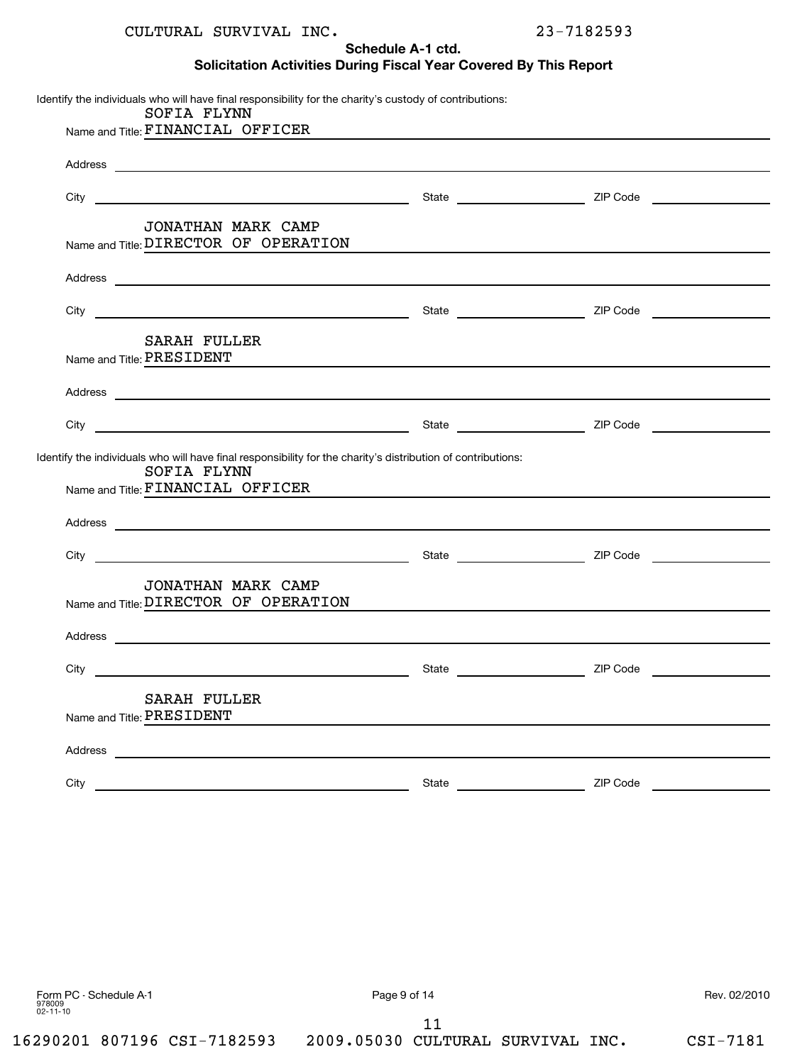**Schedule A-1 ctd.**

**Solicitation Activities During Fiscal Year Covered By This Report**

| SOFIA FLYNN                                                                                                                                                                                                                                                                        |  |
|------------------------------------------------------------------------------------------------------------------------------------------------------------------------------------------------------------------------------------------------------------------------------------|--|
| Name and Title: FINANCIAL OFFICER MANAGEMENT CONTROL CONTROL CONTROL CONTROL CONTROL CONTROL CONTROL CONTROL CONTROL CONTROL CONTROL CONTROL CONTROL CONTROL CONTROL CONTROL CONTROL CONTROL CONTROL CONTROL CONTROL CONTROL C                                                     |  |
|                                                                                                                                                                                                                                                                                    |  |
|                                                                                                                                                                                                                                                                                    |  |
| JONATHAN MARK CAMP<br>Name and Title: DIRECTOR OF OPERATION CONTRACT CONSUMING THE RESERVE OF STATE OF STATE OF STATE OF STATE OF ST                                                                                                                                               |  |
|                                                                                                                                                                                                                                                                                    |  |
|                                                                                                                                                                                                                                                                                    |  |
| SARAH FULLER<br>Name and Title: PRESIDENT                                                                                                                                                                                                                                          |  |
|                                                                                                                                                                                                                                                                                    |  |
|                                                                                                                                                                                                                                                                                    |  |
|                                                                                                                                                                                                                                                                                    |  |
| SOFIA FLYNN                                                                                                                                                                                                                                                                        |  |
|                                                                                                                                                                                                                                                                                    |  |
| Name and Title: FINANCIAL OFFICER CONSERVANT CONSERVANT OF THE SAME AND THE SERVE CONSERVANT OF THE SAME AND T                                                                                                                                                                     |  |
|                                                                                                                                                                                                                                                                                    |  |
| Identify the individuals who will have final responsibility for the charity's distribution of contributions:<br>JONATHAN MARK CAMP<br>Name and Title: DIRECTOR OF OPERATION                                                                                                        |  |
|                                                                                                                                                                                                                                                                                    |  |
|                                                                                                                                                                                                                                                                                    |  |
| Address experience and the contract of the contract of the contract of the contract of the contract of the contract of the contract of the contract of the contract of the contract of the contract of the contract of the con<br><b>SARAH FULLER</b><br>Name and Title: PRESIDENT |  |
| Address                                                                                                                                                                                                                                                                            |  |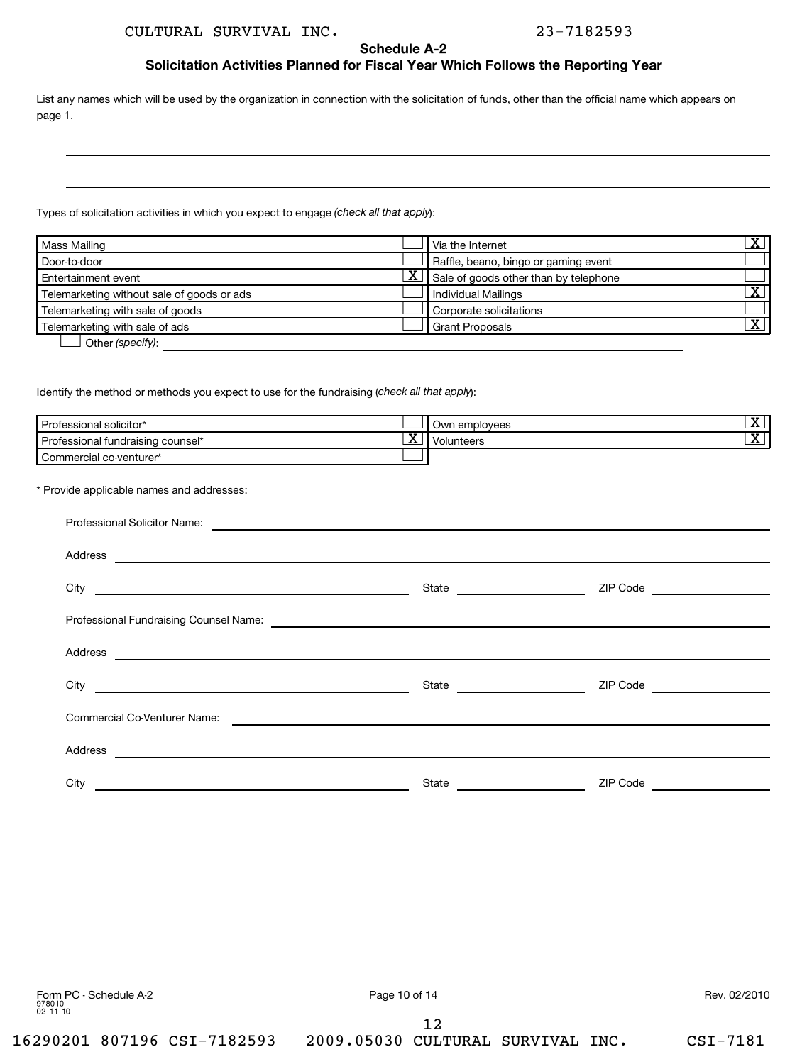## **Schedule A-2**

## **Solicitation Activities Planned for Fiscal Year Which Follows the Reporting Year**

List any names which will be used by the organization in connection with the solicitation of funds, other than the official name which appears on page 1.

Types of solicitation activities in which you expect to engage (check all that apply):

| Mass Mailing                               |                         | Via the Internet                      | v |
|--------------------------------------------|-------------------------|---------------------------------------|---|
| Door-to-door                               |                         | Raffle, beano, bingo or gaming event  |   |
| Entertainment event                        | $\overline{\textbf{X}}$ | Sale of goods other than by telephone |   |
| Telemarketing without sale of goods or ads |                         | <b>Individual Mailings</b>            | v |
| Telemarketing with sale of goods           |                         | Corporate solicitations               |   |
| Telemarketing with sale of ads             |                         | <b>Grant Proposals</b>                | v |
| Other (specify):                           |                         |                                       |   |

Other (specify):

Identify the method or methods you expect to use for the fundraising (check all that apply):

| Professional solicitor*           |             | Own employees | - 33<br><u>_∡⊾</u> |
|-----------------------------------|-------------|---------------|--------------------|
| Professional fundraising counsel* | $\tau$<br>△ | olunteers     | - 44               |
| Commercial co-venturer*           |             |               |                    |

\* Provide applicable names and addresses:

| City <u>and the contract of the contract of the contract of the contract of the contract of the contract of the contract of the contract of the contract of the contract of the contract of the contract of the contract of the </u> |                                | ZIP Code ___________________  |
|--------------------------------------------------------------------------------------------------------------------------------------------------------------------------------------------------------------------------------------|--------------------------------|-------------------------------|
|                                                                                                                                                                                                                                      |                                |                               |
|                                                                                                                                                                                                                                      |                                |                               |
|                                                                                                                                                                                                                                      | State ________________________ | ZIP Code ____________________ |
| Commercial Co-Venturer Name:                                                                                                                                                                                                         |                                |                               |
| Address<br><u> 1999 - Jan Samuel Barbara, martin da shekara ta 1999 - Andrea Samuel Barbara, marka a shekara ta 1991 - Andre</u>                                                                                                     |                                |                               |
| City                                                                                                                                                                                                                                 | State                          | ZIP Code                      |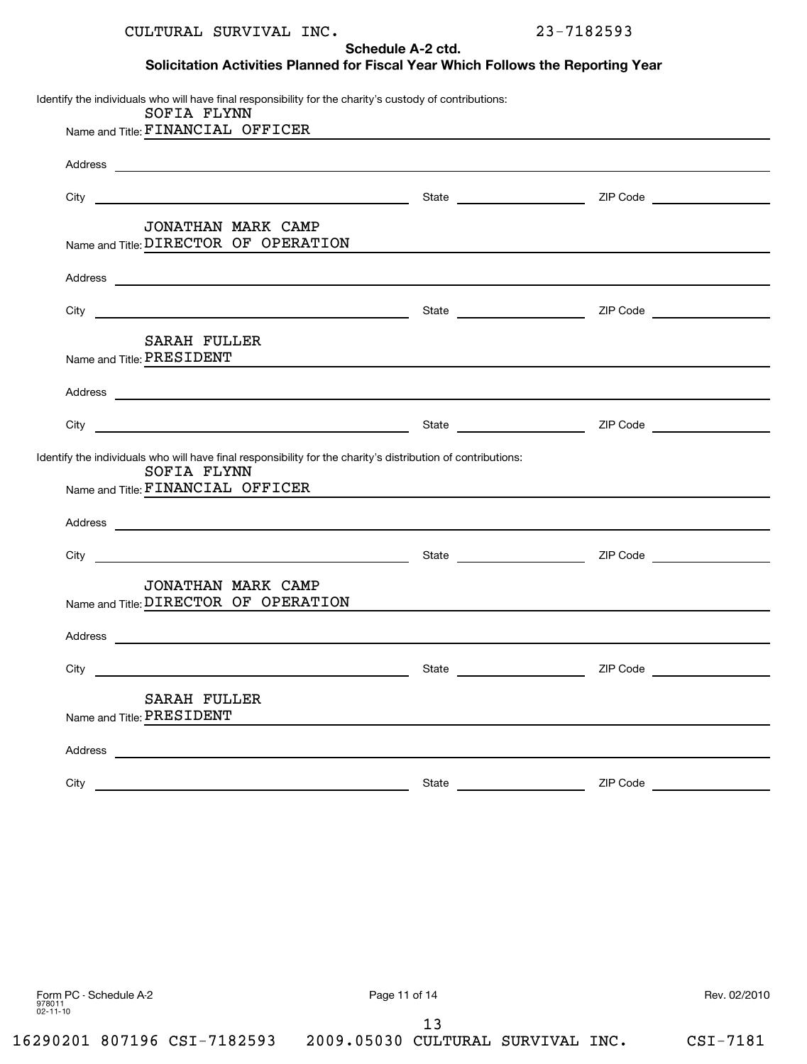**Schedule A-2 ctd.**

## **Solicitation Activities Planned for Fiscal Year Which Follows the Reporting Year**

Identify the individuals who will have final responsibility for the charity's custody of contributions: Name and Title: FINANCIAL OFFICER Address and the contract of the contract of the contract of the contract of the contract of the contract of the contract of the contract of the contract of the contract of the contract of the contract of the contract of th City **State 2IP Code** 2IP Code 2IP Code 2IP Code 2IP Code 2IP Code 2IP Code 2IP Code 2IP Code 2IP Code 2IP Code 2IP Code 2IP Code 2IP Code 2IP Code 2IP Code 2IP Code 2IP Code 2IP Code 2IP Code 2IP Code 2IP Code 2IP Code 2I Name and Title: DIRECTOR OF OPERATION **Address** City **State City CODE 21P** Code Name and Title: PRESIDENT Address and the contract of the contract of the contract of the contract of the contract of the contract of the contract of the contract of the contract of the contract of the contract of the contract of the contract of th City State ZIP Code Identify the individuals who will have final responsibility for the charity's distribution of contributions: Name and Title: FINANCIAL OFFICER Address City State ZIP Code Name and Title: DIRECTOR OF OPERATION Address and the contract of the contract of the contract of the contract of the contract of the contract of the contract of the contract of the contract of the contract of the contract of the contract of the contract of th City State ZIP Code Name and Title: PRESIDENT Address and the contract of the contract of the contract of the contract of the contract of the contract of the contract of the contract of the contract of the contract of the contract of the contract of the contract of th City State ZIP Code SOFIA FLYNN JONATHAN MARK CAMP SARAH FULLER SOFIA FLYNN JONATHAN MARK CAMP SARAH FULLER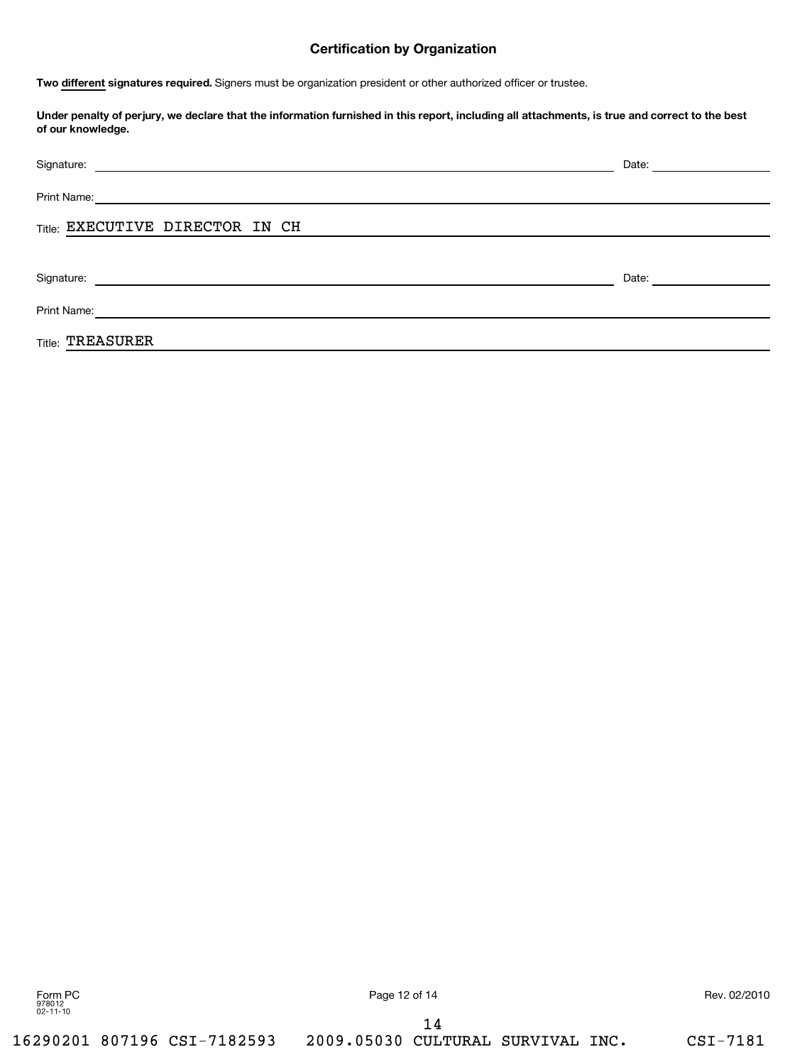## **Certification by Organization**

Two different signatures required. Signers must be organization president or other authorized officer or trustee.

**Under penalty of perjury, we declare that the information furnished in this report, including all attachments, is true and correct to the best of our knowledge.**

| Signature: <u>Construction of the Construction of the Construction of the Construction of the Construction of the Construction of the Construction of the Construction of the Construction of the Construction of the Constructi</u> | Date: <u>_______</u> |
|--------------------------------------------------------------------------------------------------------------------------------------------------------------------------------------------------------------------------------------|----------------------|
| Print Name:<br><u> 1989 - Andrea Stadt Britain, fransk politik (d. 1989)</u>                                                                                                                                                         |                      |
| Title: EXECUTIVE DIRECTOR IN CH                                                                                                                                                                                                      |                      |
|                                                                                                                                                                                                                                      |                      |
| Signature:<br><u> 1989 - Johann John Stein, fransk politik (f. 1989)</u>                                                                                                                                                             | Date:                |
| Print Name:<br><u> 1989 - Andrea Andrew Maria (h. 1989).</u>                                                                                                                                                                         |                      |
| <b>Title: TREASURER</b>                                                                                                                                                                                                              |                      |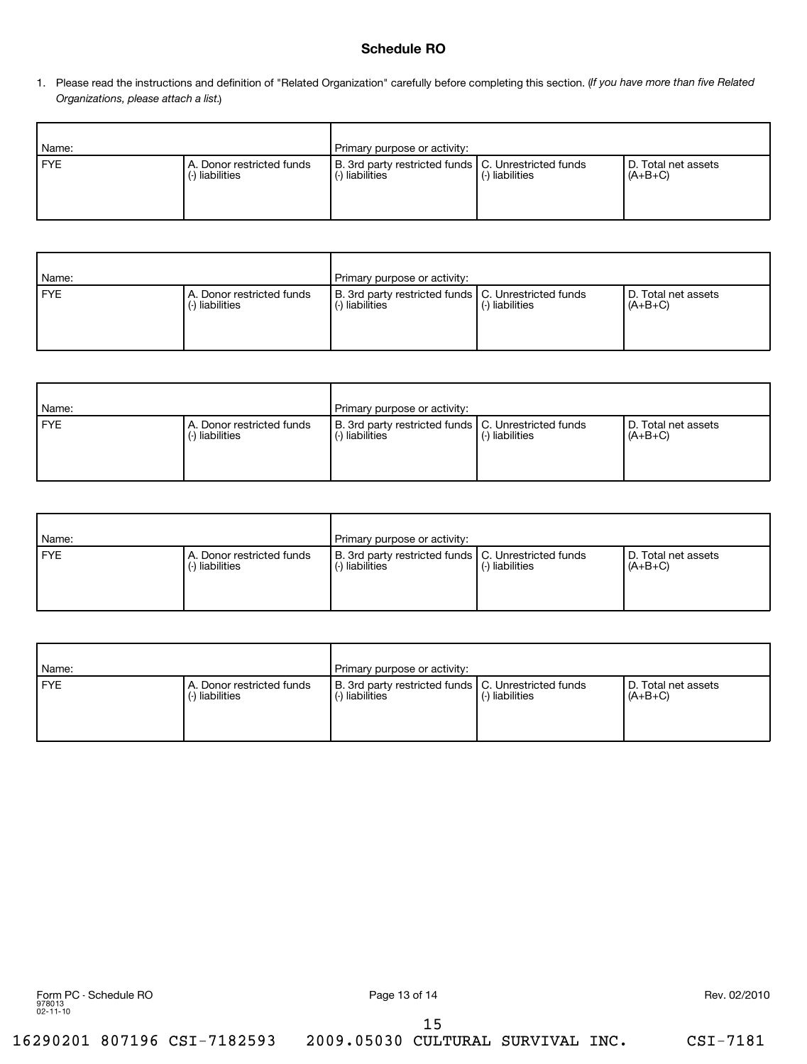## **Schedule RO**

1. Please read the instructions and definition of "Related Organization" carefully before completing this section. (If you have more than five Related *Organizations, please attach a list.* )

| Name:      |                                              | Primary purpose or activity:                                                  |                 |                                    |  |
|------------|----------------------------------------------|-------------------------------------------------------------------------------|-----------------|------------------------------------|--|
| <b>FYE</b> | A. Donor restricted funds<br>(-) liabilities | B. 3rd party restricted funds   C. Unrestricted funds<br>liabilities<br>$(-)$ | (-) liabilities | l D. Total net assets<br>$(A+B+C)$ |  |

| Name:      |                                          | Primary purpose or activity:                                                      |                 |                                    |
|------------|------------------------------------------|-----------------------------------------------------------------------------------|-----------------|------------------------------------|
| <b>FYE</b> | A. Donor restricted funds<br>Iiabilities | B. 3rd party restricted funds   C. Unrestricted funds<br>liabilities<br>$(\cdot)$ | (-) liabilities | I D. Total net assets<br>$(A+B+C)$ |

| Name:      |                                          | Primary purpose or activity:                                             |                 |                                    |
|------------|------------------------------------------|--------------------------------------------------------------------------|-----------------|------------------------------------|
| <b>FYE</b> | A. Donor restricted funds<br>Iiabilities | B. 3rd party restricted funds   C. Unrestricted funds<br>(-) liabilities | (-) liabilities | I D. Total net assets<br>$(A+B+C)$ |

| Name: |                                          | Primary purpose or activity:                                             |                 |                                    |
|-------|------------------------------------------|--------------------------------------------------------------------------|-----------------|------------------------------------|
| FYE   | A. Donor restricted funds<br>Iiabilities | B. 3rd party restricted funds   C. Unrestricted funds<br>(-) liabilities | (-) liabilities | l D. Total net assets<br>$(A+B+C)$ |

| Name:      |                                             | Primary purpose or activity:                                             |                 |                                  |
|------------|---------------------------------------------|--------------------------------------------------------------------------|-----------------|----------------------------------|
| <b>FYE</b> | A. Donor restricted funds<br>-) liabilities | B. 3rd party restricted funds   C. Unrestricted funds<br>(-) liabilities | (-) liabilities | D. Total net assets<br>$(A+B+C)$ |

15